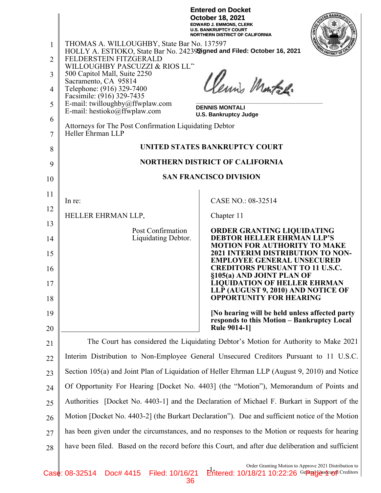|                |                                                                                                                       | <b>Entered on Docket</b><br><b>October 18, 2021</b><br><b>EDWARD J. EMMONS, CLERK</b>                                |  |  |  |  |  |  |
|----------------|-----------------------------------------------------------------------------------------------------------------------|----------------------------------------------------------------------------------------------------------------------|--|--|--|--|--|--|
|                |                                                                                                                       | <b>U.S. BANKRUPTCY COURT</b><br><b>NORTHERN DISTRICT OF CALIFORNIA</b>                                               |  |  |  |  |  |  |
| $\mathbf{1}$   | THOMAS A. WILLOUGHBY, State Bar No. 137597<br>HOLLY A. ESTIOKO, State Bar No. 24239Signed and Filed: October 16, 2021 |                                                                                                                      |  |  |  |  |  |  |
| $\overline{2}$ | FELDERSTEIN FITZGERALD<br>WILLOUGHBY PASCUZZI & RIOS LL                                                               |                                                                                                                      |  |  |  |  |  |  |
| 3              | 500 Capitol Mall, Suite 2250<br>Sacramento, CA 95814                                                                  |                                                                                                                      |  |  |  |  |  |  |
| $\overline{4}$ | Telephone: (916) 329-7400<br>Facsimile: (916) 329-7435                                                                | Clemis Montal.                                                                                                       |  |  |  |  |  |  |
| 5              | E-mail: twilloughby@ffwplaw.com<br>E-mail: hestioko@ffwplaw.com                                                       | <b>DENNIS MONTALI</b><br><b>U.S. Bankruptcy Judge</b>                                                                |  |  |  |  |  |  |
| 6              | Attorneys for The Post Confirmation Liquidating Debtor                                                                |                                                                                                                      |  |  |  |  |  |  |
| $\overline{7}$ | Heller Ehrman LLP                                                                                                     | UNITED STATES BANKRUPTCY COURT                                                                                       |  |  |  |  |  |  |
| 8              | <b>NORTHERN DISTRICT OF CALIFORNIA</b>                                                                                |                                                                                                                      |  |  |  |  |  |  |
| 9              |                                                                                                                       |                                                                                                                      |  |  |  |  |  |  |
| 10             |                                                                                                                       | <b>SAN FRANCISCO DIVISION</b>                                                                                        |  |  |  |  |  |  |
| 11             | In re:                                                                                                                | CASE NO.: 08-32514                                                                                                   |  |  |  |  |  |  |
| 12             | HELLER EHRMAN LLP,                                                                                                    | Chapter 11                                                                                                           |  |  |  |  |  |  |
| 13<br>14       | Post Confirmation<br>Liquidating Debtor.                                                                              | ORDER GRANTING LIQUIDATING<br><b>DEBTOR HELLER EHRMAN LLP'S</b>                                                      |  |  |  |  |  |  |
| 15             |                                                                                                                       | <b>MOTION FOR AUTHORITY TO MAKE</b><br><b>2021 INTERIM DISTRIBUTION TO NON-</b><br><b>EMPLOYEE GENERAL UNSECURED</b> |  |  |  |  |  |  |
| 16             |                                                                                                                       | <b>CREDITORS PURSUANT TO 11 U.S.C.</b><br>§105(a) AND JOINT PLAN OF                                                  |  |  |  |  |  |  |
| 17<br>18       |                                                                                                                       | <b>LIQUIDATION OF HELLER EHRMAN</b><br>LLP (AUGUST 9, 2010) AND NOTICE OF<br><b>OPPORTUNITY FOR HEARING</b>          |  |  |  |  |  |  |
| 19             |                                                                                                                       | [No hearing will be held unless affected party                                                                       |  |  |  |  |  |  |
| 20             |                                                                                                                       | responds to this Motion – Bankruptcy Local<br><b>Rule 9014-11</b>                                                    |  |  |  |  |  |  |
| 21             |                                                                                                                       | The Court has considered the Liquidating Debtor's Motion for Authority to Make 2021                                  |  |  |  |  |  |  |
| 22             |                                                                                                                       | Interim Distribution to Non-Employee General Unsecured Creditors Pursuant to 11 U.S.C.                               |  |  |  |  |  |  |
| 23             |                                                                                                                       | Section 105(a) and Joint Plan of Liquidation of Heller Ehrman LLP (August 9, 2010) and Notice                        |  |  |  |  |  |  |
| 24             |                                                                                                                       | Of Opportunity For Hearing [Docket No. 4403] (the "Motion"), Memorandum of Points and                                |  |  |  |  |  |  |
| 25             |                                                                                                                       | Authorities [Docket No. 4403-1] and the Declaration of Michael F. Burkart in Support of the                          |  |  |  |  |  |  |
| 26             |                                                                                                                       | Motion [Docket No. 4403-2] (the Burkart Declaration"). Due and sufficient notice of the Motion                       |  |  |  |  |  |  |
| 27             |                                                                                                                       | has been given under the circumstances, and no responses to the Motion or requests for hearing                       |  |  |  |  |  |  |
| 28             |                                                                                                                       | have been filed. Based on the record before this Court, and after due deliberation and sufficient                    |  |  |  |  |  |  |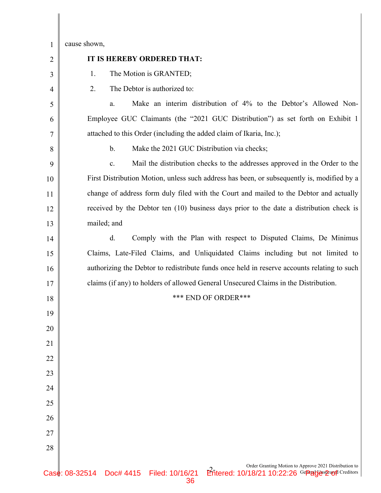$\parallel$  cause shown

| $\mathbf{I}$   | Cause Silowii,                                                                                                                                            |
|----------------|-----------------------------------------------------------------------------------------------------------------------------------------------------------|
| $\overline{2}$ | IT IS HEREBY ORDERED THAT:                                                                                                                                |
| 3              | The Motion is GRANTED;<br>1.                                                                                                                              |
| 4              | The Debtor is authorized to:<br>2.                                                                                                                        |
| 5              | Make an interim distribution of 4% to the Debtor's Allowed Non-<br>a.                                                                                     |
| 6              | Employee GUC Claimants (the "2021 GUC Distribution") as set forth on Exhibit 1                                                                            |
| 7              | attached to this Order (including the added claim of Ikaria, Inc.);                                                                                       |
| 8              | Make the 2021 GUC Distribution via checks;<br>$\mathbf b$ .                                                                                               |
| 9              | Mail the distribution checks to the addresses approved in the Order to the<br>$\mathbf{c}$ .                                                              |
| 10             | First Distribution Motion, unless such address has been, or subsequently is, modified by a                                                                |
| 11             | change of address form duly filed with the Court and mailed to the Debtor and actually                                                                    |
| 12             | received by the Debtor ten (10) business days prior to the date a distribution check is                                                                   |
| 13             | mailed; and                                                                                                                                               |
| 14             | d.<br>Comply with the Plan with respect to Disputed Claims, De Minimus                                                                                    |
| 15             | Claims, Late-Filed Claims, and Unliquidated Claims including but not limited to                                                                           |
| 16             | authorizing the Debtor to redistribute funds once held in reserve accounts relating to such                                                               |
| 17             | claims (if any) to holders of allowed General Unsecured Claims in the Distribution.                                                                       |
| 18             | *** END OF ORDER***                                                                                                                                       |
| 19             |                                                                                                                                                           |
| 20             |                                                                                                                                                           |
| 21             |                                                                                                                                                           |
| 22             |                                                                                                                                                           |
| 23             |                                                                                                                                                           |
| 24             |                                                                                                                                                           |
| 25             |                                                                                                                                                           |
| 26             |                                                                                                                                                           |
| 27             |                                                                                                                                                           |
| 28             |                                                                                                                                                           |
|                | Order Granting Motion to Approve 2021 Distribution to<br>Doc# 4415 Filed: 10/16/21 Entered: 10/18/21 10:22:26 Gepatdes 2 upfl Creditors<br>Case: 08-32514 |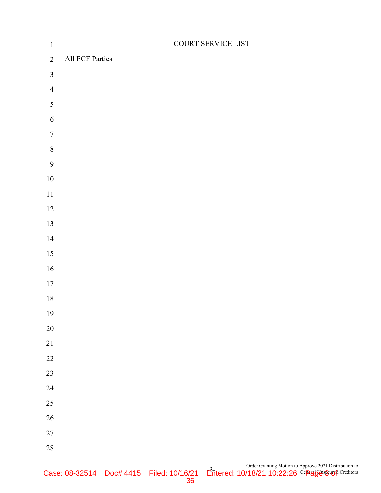| $\,1$          |                 |  | COURT SERVICE LIST                                                                                                       |
|----------------|-----------------|--|--------------------------------------------------------------------------------------------------------------------------|
| $\overline{2}$ | All ECF Parties |  |                                                                                                                          |
| $\mathfrak{Z}$ |                 |  |                                                                                                                          |
| $\overline{4}$ |                 |  |                                                                                                                          |
| $\mathfrak{S}$ |                 |  |                                                                                                                          |
| 6              |                 |  |                                                                                                                          |
| $\tau$         |                 |  |                                                                                                                          |
| $8\,$          |                 |  |                                                                                                                          |
| $\overline{9}$ |                 |  |                                                                                                                          |
| $10\,$         |                 |  |                                                                                                                          |
| $11\,$         |                 |  |                                                                                                                          |
| $12\,$         |                 |  |                                                                                                                          |
| 13             |                 |  |                                                                                                                          |
| $14$           |                 |  |                                                                                                                          |
| 15             |                 |  |                                                                                                                          |
| $16\,$         |                 |  |                                                                                                                          |
| $17\,$         |                 |  |                                                                                                                          |
| $18\,$         |                 |  |                                                                                                                          |
| 19             |                 |  |                                                                                                                          |
| $20\,$         |                 |  |                                                                                                                          |
| $21\,$         |                 |  |                                                                                                                          |
| $22\,$         |                 |  |                                                                                                                          |
| $23\,$         |                 |  |                                                                                                                          |
| $24\,$         |                 |  |                                                                                                                          |
| $25\,$         |                 |  |                                                                                                                          |
| $26\,$         |                 |  |                                                                                                                          |
| $27\,$         |                 |  |                                                                                                                          |
| $28\,$         |                 |  |                                                                                                                          |
|                | Case: 08-32514  |  | Order Granting Motion to Approve 2021 Distribution to<br>Doc# 4415 Filed: 10/16/21 Entered: 10/18/21 10:22:26 Gepradices |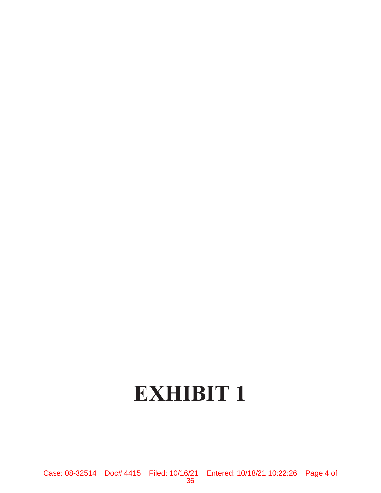## **EXHIBIT 1**

Case: 08-32514 Doc# 4415 Filed: 10/16/21 Entered: 10/18/21 10:22:26 Page 4 of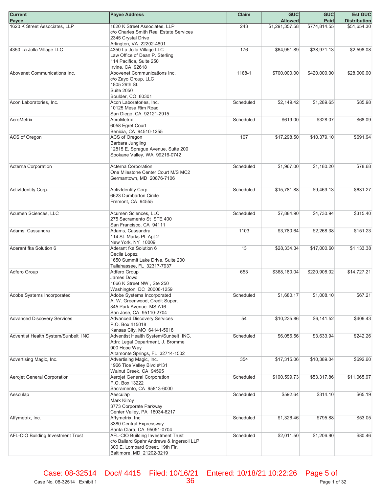| <b>Current</b>                           | <b>Payee Address</b>                                                                                                                           | Claim     | <b>GUC</b>     | <b>GUC</b>   | Est GUC             |
|------------------------------------------|------------------------------------------------------------------------------------------------------------------------------------------------|-----------|----------------|--------------|---------------------|
| Payee                                    |                                                                                                                                                |           | Allowed        | Paid         | <b>Distribution</b> |
| 1620 K Street Associates, LLP            | 1620 K Street Associates, LLP<br>c/o Charles Smith Real Estate Services<br>2345 Crystal Drive                                                  | 243       | \$1,291,357.58 | \$774,814.55 | \$51,654.30         |
| 4350 La Jolla Village LLC                | Arlington, VA 22202-4801<br>4350 La Jolla Village LLC<br>Law Office of Dean P. Sterling<br>114 Pacifica, Suite 250<br>Irvine, CA 92618         | 176       | \$64,951.89    | \$38,971.13  | \$2,598.08          |
| Abovenet Communications Inc.             | Abovenet Communications Inc.<br>c/o Zayo Group, LLC<br>1805 29th St.<br><b>Suite 2050</b><br>Boulder, CO 80301                                 | 1188-1    | \$700,000.00   | \$420,000.00 | \$28,000.00         |
| Acon Laboratories, Inc.                  | Acon Laboratories, Inc.<br>10125 Mesa Rim Road<br>San Diego, CA 92121-2915                                                                     | Scheduled | \$2,149.42     | \$1,289.65   | \$85.98             |
| <b>AcroMetrix</b>                        | AcroMetrix<br>6058 Egret Court<br>Benicia, CA 94510-1255                                                                                       | Scheduled | \$619.00       | \$328.07     | \$68.09             |
| ACS of Oregon                            | ACS of Oregon<br>Barbara Jungling<br>12815 E. Sprague Avenue, Suite 200<br>Spokane Valley, WA 99216-0742                                       | 107       | \$17,298.50    | \$10,379.10  | \$691.94            |
| Acterna Corporation                      | Acterna Corporation<br>One Milestone Center Court M/S MC2<br>Germantown, MD 20876-7106                                                         | Scheduled | \$1,967.00     | \$1,180.20   | \$78.68             |
| ActivIdentity Corp.                      | ActivIdentity Corp.<br>6623 Dumbarton Circle<br>Fremont, CA 94555                                                                              | Scheduled | \$15,781.88    | \$9,469.13   | \$631.27            |
| Acumen Sciences, LLC                     | Acumen Sciences, LLC<br>275 Sacramento St STE 400<br>San Francisco, CA 94111                                                                   | Scheduled | \$7,884.90     | \$4,730.94   | \$315.40            |
| Adams, Cassandra                         | Adams, Cassandra<br>114 St. Marks Pl. Apt 2                                                                                                    | 1103      | \$3,780.64     | \$2,268.38   | \$151.23            |
| Aderant fka Solution 6                   | New York, NY 10009<br>Aderant fka Solution 6<br>Cecila Lopez<br>1650 Summit Lake Drive, Suite 200<br>Tallahassee, FL 32317-7937                | 13        | \$28,334.34    | \$17,000.60  | \$1,133.38          |
| Adfero Group                             | Adfero Group<br>James Dowd<br>1666 K Street NW, Ste 250<br>Washington, DC 20006-1259                                                           | 653       | \$368,180.04   | \$220,908.02 | \$14,727.21         |
| Adobe Systems Incorporated               | Adobe Systems Incorporated<br>A. W. Greenwood, Credit Super.<br>345 Park Avenue MS A16<br>San Jose, CA 95110-2704                              | Scheduled | \$1,680.17     | \$1,008.10   | \$67.21             |
| <b>Advanced Discovery Services</b>       | <b>Advanced Discovery Services</b><br>P.O. Box 415018<br>Kansas City, MO 64141-5018                                                            | 54        | \$10,235.86    | \$6,141.52   | \$409.43            |
| Adventist Health System/Sunbelt INC.     | Adventist Health System/Sunbelt INC.<br>Attn: Legal Department, J. Bromme<br>900 Hope Way<br>Altamonte Springs, FL 32714-1502                  | Scheduled | \$6,056.56     | \$3,633.94   | \$242.26            |
| Advertising Magic, Inc.                  | Advertising Magic, Inc.<br>1966 Tice Valley Blvd #131<br>Walnut Creek, CA 94595                                                                | 354       | \$17,315.06    | \$10,389.04  | \$692.60            |
| Aerojet General Corporation              | Aerojet General Corporation<br>P.O. Box 13222<br>Sacramento, CA 95813-6000                                                                     | Scheduled | \$100,599.73   | \$53,317.86  | \$11,065.97         |
| Aesculap                                 | Aesculap<br>Mark Kilroy<br>3773 Corporate Parkway<br>Center Valley, PA 18034-8217                                                              | Scheduled | \$592.64       | \$314.10     | \$65.19             |
| Affymetrix, Inc.                         | Affymetrix, Inc.<br>3380 Central Expressway<br>Santa Clara, CA 95051-0704                                                                      | Scheduled | \$1,326.46     | \$795.88     | \$53.05             |
| <b>AFL-CIO Building Investment Trust</b> | AFL-CIO Building Investment Trust<br>c/o Ballard Spahr Andrews & Ingersoll LLP<br>300 E. Lombard Street, 19th Flr.<br>Baltimore, MD 21202-3219 | Scheduled | \$2,011.50     | \$1,206.90   | \$80.46             |

 $36$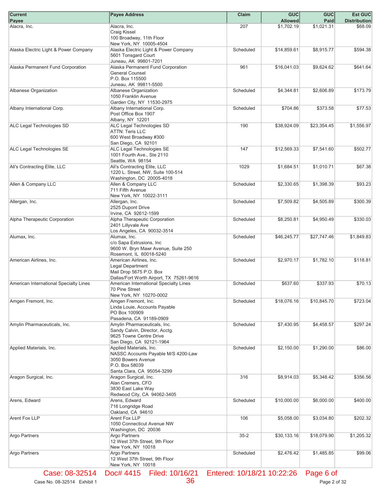| <b>Current</b>                         | <b>Payee Address</b>                                           | Claim                   | <b>GUC</b>            | <b>GUC</b>                                                                                                                                                                                                                                                                         | <b>Est GUC</b>                 |
|----------------------------------------|----------------------------------------------------------------|-------------------------|-----------------------|------------------------------------------------------------------------------------------------------------------------------------------------------------------------------------------------------------------------------------------------------------------------------------|--------------------------------|
| Payee<br>Alacra, Inc.                  | Alacra, Inc.                                                   | 207                     | Allowed<br>\$1,702.19 | Paid<br>\$1,021.31                                                                                                                                                                                                                                                                 | <b>Distribution</b><br>\$68.09 |
|                                        | <b>Craig Kissel</b>                                            |                         |                       |                                                                                                                                                                                                                                                                                    |                                |
|                                        | 100 Broadway, 11th Floor                                       |                         |                       |                                                                                                                                                                                                                                                                                    |                                |
|                                        | New York, NY 10005-4504                                        |                         |                       |                                                                                                                                                                                                                                                                                    |                                |
| Alaska Electric Light & Power Company  | Alaska Electric Light & Power Company                          | Scheduled               | \$14,859.61           | \$8,915.77                                                                                                                                                                                                                                                                         | \$594.38                       |
|                                        | 5601 Tonsgard Court<br>Juneau, AK 99801-7201                   |                         |                       |                                                                                                                                                                                                                                                                                    |                                |
| Alaska Permanent Fund Corporation      | Alaska Permanent Fund Corporation                              | 961                     | \$16,041.03           | \$9,624.62                                                                                                                                                                                                                                                                         | \$641.64                       |
|                                        | <b>General Counsel</b>                                         |                         |                       |                                                                                                                                                                                                                                                                                    |                                |
|                                        | P.O. Box 115500                                                |                         |                       |                                                                                                                                                                                                                                                                                    |                                |
|                                        | Juneau, AK 99811-5500                                          |                         |                       |                                                                                                                                                                                                                                                                                    |                                |
| Albanese Organization                  | Albanese Organization                                          | Scheduled               | \$4,344.81            |                                                                                                                                                                                                                                                                                    | \$173.79                       |
|                                        | 1050 Franklin Avenue<br>Garden City, NY 11530-2975             |                         |                       |                                                                                                                                                                                                                                                                                    |                                |
| Albany International Corp.             | Albany International Corp.                                     | Scheduled               | \$704.86              |                                                                                                                                                                                                                                                                                    | \$77.53                        |
|                                        | Post Office Box 1907                                           |                         |                       |                                                                                                                                                                                                                                                                                    |                                |
|                                        | Albany, NY 12201                                               |                         |                       |                                                                                                                                                                                                                                                                                    |                                |
| ALC Legal Technologies SD              | ALC Legal Technologies SD                                      | 190                     | \$38,924.09           |                                                                                                                                                                                                                                                                                    | \$1,556.97                     |
|                                        | <b>ATTN: Teris LLC</b>                                         |                         |                       |                                                                                                                                                                                                                                                                                    |                                |
|                                        | 600 West Broadway #300<br>San Diego, CA 92101                  |                         |                       |                                                                                                                                                                                                                                                                                    |                                |
| ALC Legal Technologies SE              | ALC Legal Technologies SE                                      | 147                     | \$12,569.33           |                                                                                                                                                                                                                                                                                    | \$502.77                       |
|                                        | 1001 Fourth Ave., Ste 2110                                     |                         |                       |                                                                                                                                                                                                                                                                                    |                                |
|                                        | Seattle, WA 98154                                              |                         |                       |                                                                                                                                                                                                                                                                                    |                                |
| Ali's Contracting Elite, LLC           | Ali's Contracting Elite, LLC                                   | 1029                    | \$1,684.51            |                                                                                                                                                                                                                                                                                    | \$67.38                        |
|                                        | 1220 L. Street, NW, Suite 100-514<br>Washington, DC 20005-4018 |                         |                       |                                                                                                                                                                                                                                                                                    |                                |
| Allen & Company LLC                    | Allen & Company LLC                                            | Scheduled               | \$2,330.65            |                                                                                                                                                                                                                                                                                    | \$93.23                        |
|                                        | 711 Fifth Avenue                                               |                         |                       |                                                                                                                                                                                                                                                                                    |                                |
|                                        | New York, NY 10022-3111                                        |                         |                       |                                                                                                                                                                                                                                                                                    |                                |
| Allergan, Inc.                         | Allergan, Inc.                                                 | Scheduled               | \$7,509.82            | \$4,505.89                                                                                                                                                                                                                                                                         | \$300.39                       |
|                                        | 2525 Dupont Drive                                              |                         |                       |                                                                                                                                                                                                                                                                                    |                                |
|                                        | Irvine, CA 92612-1599<br>Alpha Therapeutic Corporation         | Scheduled               |                       |                                                                                                                                                                                                                                                                                    | \$330.03                       |
| Alpha Therapeutic Corporation          | 2401 Lillyvale Ave                                             |                         |                       |                                                                                                                                                                                                                                                                                    |                                |
|                                        | Los Angeles, CA 90032-3514                                     |                         |                       |                                                                                                                                                                                                                                                                                    |                                |
| Alumax, Inc.                           | Alumax, Inc.                                                   | Scheduled               | \$46,245.77           | \$27,747.46                                                                                                                                                                                                                                                                        | \$1,849.83                     |
|                                        | c/o Sapa Extrusions, Inc                                       |                         |                       |                                                                                                                                                                                                                                                                                    |                                |
|                                        | 9600 W. Bryn Mawr Avenue, Suite 250                            |                         |                       |                                                                                                                                                                                                                                                                                    |                                |
| American Airlines, Inc.                | Rosemont, IL 60018-5240<br>American Airlines, Inc.             |                         |                       |                                                                                                                                                                                                                                                                                    | \$118.81                       |
|                                        | Legal Department                                               | Scheduled<br>\$2,970.17 |                       |                                                                                                                                                                                                                                                                                    |                                |
|                                        | Mail Drop 5675 P.O. Box                                        |                         |                       |                                                                                                                                                                                                                                                                                    |                                |
|                                        | Dallas/Fort Worth Airport, TX 75261-9616                       |                         |                       |                                                                                                                                                                                                                                                                                    |                                |
| American International Specialty Lines | American International Specialty Lines                         | Scheduled               | \$637.60              |                                                                                                                                                                                                                                                                                    | \$70.13                        |
|                                        | 70 Pine Street<br>New York, NY 10270-0002                      |                         |                       |                                                                                                                                                                                                                                                                                    |                                |
| Amgen Fremont, Inc.                    | Amgen Fremont, Inc.                                            | Scheduled               | \$18,076.16           |                                                                                                                                                                                                                                                                                    | \$723.04                       |
|                                        | Linda Louie, Accounts Payable                                  |                         |                       |                                                                                                                                                                                                                                                                                    |                                |
|                                        | PO Box 100909                                                  |                         |                       |                                                                                                                                                                                                                                                                                    |                                |
|                                        | Pasadena, CA 91189-0909                                        |                         |                       |                                                                                                                                                                                                                                                                                    |                                |
| Amylin Pharmaceuticals, Inc.           | Amylin Pharmaceuticals, Inc.                                   | Scheduled               | \$7,430.95            | \$2,606.89<br>\$373.58<br>\$23,354.45<br>\$7,541.60<br>\$1,010.71<br>\$1,398.39<br>\$4,950.49<br>\$8,250.81<br>\$1,782.10<br>\$337.93<br>\$10,845.70<br>\$4,458.57<br>\$1,290.00<br>\$5,348.42<br>\$8,914.03<br>\$6,000.00<br>\$3,034.80<br>\$18,079.90<br>\$1,485.85<br>Page 6 of | \$297.24                       |
|                                        | Sandy Calvin, Director, Acctg.<br>9625 Towne Centre Drive      |                         |                       |                                                                                                                                                                                                                                                                                    |                                |
|                                        | San Diego, CA 92121-1964                                       |                         |                       |                                                                                                                                                                                                                                                                                    |                                |
| Applied Materials, Inc.                | Applied Materials, Inc.                                        | Scheduled               | \$2,150.00            |                                                                                                                                                                                                                                                                                    | \$86.00                        |
|                                        | NASSC Accounts Payable M/S 4200-Law                            |                         |                       |                                                                                                                                                                                                                                                                                    |                                |
|                                        | 3050 Bowers Avenue                                             |                         |                       |                                                                                                                                                                                                                                                                                    |                                |
|                                        | P.O. Box 58039                                                 |                         |                       |                                                                                                                                                                                                                                                                                    |                                |
| Aragon Surgical, Inc.                  | Santa Clara, CA 95054-3299<br>Aragon Surgical, Inc.            | 316                     |                       |                                                                                                                                                                                                                                                                                    | \$356.56                       |
|                                        | Alan Cremers, CFO                                              |                         |                       |                                                                                                                                                                                                                                                                                    |                                |
|                                        | 3830 East Lake Way                                             |                         |                       |                                                                                                                                                                                                                                                                                    |                                |
|                                        | Redwood City, CA 94062-3405                                    |                         |                       |                                                                                                                                                                                                                                                                                    |                                |
| Arens, Edward                          | Arens, Edward                                                  | Scheduled               | \$10,000.00           |                                                                                                                                                                                                                                                                                    | \$400.00                       |
|                                        | 716 Longridge Road                                             |                         |                       |                                                                                                                                                                                                                                                                                    |                                |
| Arent Fox LLP                          | Oakland, CA 94610<br>Arent Fox LLP                             | 106                     | \$5,058.00            |                                                                                                                                                                                                                                                                                    | \$202.32                       |
|                                        | 1050 Connecticut Avenue NW                                     |                         |                       |                                                                                                                                                                                                                                                                                    |                                |
|                                        | Washington, DC 20036                                           |                         |                       |                                                                                                                                                                                                                                                                                    |                                |
| Argo Partners                          | Argo Partners                                                  | $35 - 2$                | \$30,133.16           |                                                                                                                                                                                                                                                                                    | \$1,205.32                     |
|                                        | 12 West 37th Street, 9th Floor                                 |                         |                       |                                                                                                                                                                                                                                                                                    |                                |
|                                        | New York, NY 10018                                             |                         |                       |                                                                                                                                                                                                                                                                                    |                                |
| Argo Partners                          | <b>Argo Partners</b><br>12 West 37th Street, 9th Floor         | Scheduled               | \$2,476.42            |                                                                                                                                                                                                                                                                                    | \$99.06                        |
|                                        | New York, NY 10018                                             |                         |                       |                                                                                                                                                                                                                                                                                    |                                |
|                                        | Filed: 10/16/21   Entered: 10/18/21  10:22:26                  |                         |                       |                                                                                                                                                                                                                                                                                    |                                |
| Case: 08-32514                         | Doc# 4415                                                      |                         |                       |                                                                                                                                                                                                                                                                                    |                                |

 $36$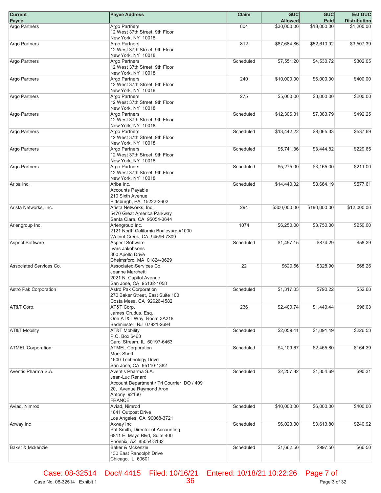| <b>Current</b>           | <b>Payee Address</b>                                                 | Claim     | <b>GUC</b>                                                            | <b>GUC</b>                                                                                                                                                                                                                                                                                                                                                                                                     | <b>Est GUC</b>      |
|--------------------------|----------------------------------------------------------------------|-----------|-----------------------------------------------------------------------|----------------------------------------------------------------------------------------------------------------------------------------------------------------------------------------------------------------------------------------------------------------------------------------------------------------------------------------------------------------------------------------------------------------|---------------------|
| Payee                    |                                                                      |           | Allowed                                                               | Paid                                                                                                                                                                                                                                                                                                                                                                                                           | <b>Distribution</b> |
| <b>Argo Partners</b>     | Argo Partners<br>12 West 37th Street, 9th Floor                      | 804       |                                                                       |                                                                                                                                                                                                                                                                                                                                                                                                                | \$1,200.00          |
| Argo Partners            | New York, NY 10018<br>Argo Partners                                  | 812       |                                                                       | \$18,000.00<br>\$52,610.92<br>\$4,530.72<br>\$6,000.00<br>\$5,000.00<br>\$3,000.00<br>\$7,383.79<br>\$8,065.33<br>\$5,741.36<br>\$3,444.82<br>\$5,275.00<br>\$3,165.00<br>\$8,664.19<br>\$180,000.00<br>\$3,750.00<br>\$6,250.00<br>\$874.29<br>\$1,457.15<br>\$620.56<br>\$328.90<br>\$790.22<br>\$1,317.03<br>\$1,440.44<br>\$1,091.49<br>\$2,465.80<br>\$1,354.69<br>\$6,000.00<br>\$6,023.00<br>\$3,613.80 | \$3,507.39          |
|                          | 12 West 37th Street, 9th Floor                                       |           |                                                                       |                                                                                                                                                                                                                                                                                                                                                                                                                |                     |
| <b>Argo Partners</b>     | New York, NY 10018<br>Argo Partners                                  | Scheduled |                                                                       |                                                                                                                                                                                                                                                                                                                                                                                                                | \$302.05            |
|                          | 12 West 37th Street, 9th Floor<br>New York, NY 10018                 |           |                                                                       |                                                                                                                                                                                                                                                                                                                                                                                                                |                     |
| Argo Partners            | Argo Partners                                                        | 240       |                                                                       |                                                                                                                                                                                                                                                                                                                                                                                                                | \$400.00            |
|                          | 12 West 37th Street, 9th Floor                                       |           |                                                                       |                                                                                                                                                                                                                                                                                                                                                                                                                |                     |
| Argo Partners            | New York, NY 10018<br>Argo Partners                                  | 275       |                                                                       |                                                                                                                                                                                                                                                                                                                                                                                                                | \$200.00            |
|                          | 12 West 37th Street, 9th Floor<br>New York, NY 10018                 |           |                                                                       |                                                                                                                                                                                                                                                                                                                                                                                                                |                     |
| <b>Argo Partners</b>     | Argo Partners                                                        | Scheduled |                                                                       |                                                                                                                                                                                                                                                                                                                                                                                                                | \$492.25            |
|                          | 12 West 37th Street, 9th Floor<br>New York, NY 10018                 |           |                                                                       |                                                                                                                                                                                                                                                                                                                                                                                                                |                     |
| Argo Partners            | Argo Partners                                                        | Scheduled |                                                                       |                                                                                                                                                                                                                                                                                                                                                                                                                | \$537.69            |
|                          | 12 West 37th Street, 9th Floor<br>New York, NY 10018                 |           |                                                                       |                                                                                                                                                                                                                                                                                                                                                                                                                |                     |
| Argo Partners            | Argo Partners                                                        | Scheduled |                                                                       |                                                                                                                                                                                                                                                                                                                                                                                                                | \$229.65            |
|                          | 12 West 37th Street, 9th Floor<br>New York, NY 10018                 |           |                                                                       |                                                                                                                                                                                                                                                                                                                                                                                                                |                     |
| Argo Partners            | Argo Partners                                                        | Scheduled |                                                                       |                                                                                                                                                                                                                                                                                                                                                                                                                | \$211.00            |
|                          | 12 West 37th Street, 9th Floor<br>New York, NY 10018                 |           |                                                                       |                                                                                                                                                                                                                                                                                                                                                                                                                |                     |
| Ariba Inc.               | Ariba Inc.                                                           | Scheduled |                                                                       |                                                                                                                                                                                                                                                                                                                                                                                                                | \$577.61            |
|                          | <b>Accounts Payable</b>                                              |           |                                                                       |                                                                                                                                                                                                                                                                                                                                                                                                                |                     |
|                          | 210 Sixth Avenue<br>Pittsburgh, PA 15222-2602                        |           |                                                                       |                                                                                                                                                                                                                                                                                                                                                                                                                |                     |
| Arista Networks, Inc.    | Arista Networks, Inc.                                                | 294       |                                                                       |                                                                                                                                                                                                                                                                                                                                                                                                                | \$12,000.00         |
|                          | 5470 Great America Parkway<br>Santa Clara, CA 95054-3644             |           |                                                                       |                                                                                                                                                                                                                                                                                                                                                                                                                |                     |
| Arlengroup Inc.          | Arlengroup Inc.                                                      | 1074      |                                                                       |                                                                                                                                                                                                                                                                                                                                                                                                                | \$250.00            |
|                          | 2121 North California Boulevard #1000<br>Walnut Creek, CA 94596-7309 |           |                                                                       |                                                                                                                                                                                                                                                                                                                                                                                                                |                     |
| <b>Aspect Software</b>   | <b>Aspect Software</b>                                               | Scheduled |                                                                       |                                                                                                                                                                                                                                                                                                                                                                                                                | \$58.29             |
|                          | Ivars Jakobsons<br>300 Apollo Drive                                  |           |                                                                       |                                                                                                                                                                                                                                                                                                                                                                                                                |                     |
|                          | Chelmsford, MA 01824-3629                                            |           |                                                                       |                                                                                                                                                                                                                                                                                                                                                                                                                |                     |
| Associated Services Co.  | Associated Services Co.                                              | 22        |                                                                       |                                                                                                                                                                                                                                                                                                                                                                                                                | \$68.26             |
|                          | Jeanne Marchetti                                                     |           |                                                                       |                                                                                                                                                                                                                                                                                                                                                                                                                |                     |
|                          | 2021 N. Capitol Avenue                                               |           |                                                                       |                                                                                                                                                                                                                                                                                                                                                                                                                |                     |
| Astro Pak Corporation    | San Jose, CA 95132-1058<br>Astro Pak Corporation                     | Scheduled |                                                                       |                                                                                                                                                                                                                                                                                                                                                                                                                | \$52.68             |
|                          | 270 Baker Street, East Suite 100<br>Costa Mesa, CA 92626-4582        |           |                                                                       |                                                                                                                                                                                                                                                                                                                                                                                                                |                     |
| AT&T Corp.               | AT&T Corp.                                                           | 236       |                                                                       |                                                                                                                                                                                                                                                                                                                                                                                                                | \$96.03             |
|                          | James Grudus, Esq.<br>One AT&T Way, Room 3A218                       |           |                                                                       |                                                                                                                                                                                                                                                                                                                                                                                                                |                     |
|                          | Bedminster, NJ 07921-2694                                            |           | \$14,440.32<br>\$300,000.00<br>\$2,400.74<br>\$2,059.41<br>\$4,109.67 |                                                                                                                                                                                                                                                                                                                                                                                                                |                     |
| <b>AT&amp;T Mobility</b> | <b>AT&amp;T Mobility</b>                                             | Scheduled |                                                                       | \$30,000.00<br>\$87,684.86<br>\$7,551.20<br>\$10,000.00<br>\$12,306.31<br>\$13,442.22<br>\$2,257.82<br>\$10,000.00<br>\$1,662.50<br>\$997.50                                                                                                                                                                                                                                                                   | \$226.53            |
|                          | P.O. Box 6463                                                        |           |                                                                       |                                                                                                                                                                                                                                                                                                                                                                                                                |                     |
|                          | Carol Stream, IL 60197-6463                                          |           |                                                                       |                                                                                                                                                                                                                                                                                                                                                                                                                |                     |
| <b>ATMEL Corporation</b> | <b>ATMEL Corporation</b>                                             | Scheduled |                                                                       |                                                                                                                                                                                                                                                                                                                                                                                                                | \$164.39            |
|                          | Mark Sheft                                                           |           |                                                                       |                                                                                                                                                                                                                                                                                                                                                                                                                |                     |
|                          | 1600 Technology Drive                                                |           |                                                                       |                                                                                                                                                                                                                                                                                                                                                                                                                |                     |
| Aventis Pharma S.A.      | San Jose, CA 95110-1382<br>Aventis Pharma S.A.                       | Scheduled |                                                                       |                                                                                                                                                                                                                                                                                                                                                                                                                | \$90.31             |
|                          | Jean-Luc Renard                                                      |           |                                                                       |                                                                                                                                                                                                                                                                                                                                                                                                                |                     |
|                          | Account Department / Tri Courrier DO / 409                           |           |                                                                       |                                                                                                                                                                                                                                                                                                                                                                                                                |                     |
|                          | 20, Avenue Raymond Aron                                              |           |                                                                       |                                                                                                                                                                                                                                                                                                                                                                                                                |                     |
|                          | Antony 92160                                                         |           |                                                                       |                                                                                                                                                                                                                                                                                                                                                                                                                |                     |
|                          | <b>FRANCE</b>                                                        |           |                                                                       |                                                                                                                                                                                                                                                                                                                                                                                                                |                     |
| Aviad, Nimrod            | Aviad, Nimrod                                                        | Scheduled |                                                                       |                                                                                                                                                                                                                                                                                                                                                                                                                | \$400.00            |
|                          | 1841 Outpost Drive                                                   |           |                                                                       |                                                                                                                                                                                                                                                                                                                                                                                                                |                     |
|                          | Los Angeles, CA 90068-3721                                           |           |                                                                       |                                                                                                                                                                                                                                                                                                                                                                                                                |                     |
| Axway Inc                | Axway Inc                                                            | Scheduled |                                                                       |                                                                                                                                                                                                                                                                                                                                                                                                                | \$240.92            |
|                          | Pat Smith, Director of Accounting<br>6811 E. Mayo Blvd, Suite 400    |           |                                                                       |                                                                                                                                                                                                                                                                                                                                                                                                                |                     |
|                          | Phoenix, AZ 85054-3132                                               |           |                                                                       |                                                                                                                                                                                                                                                                                                                                                                                                                |                     |
| Baker & Mckenzie         | Baker & Mckenzie                                                     | Scheduled |                                                                       |                                                                                                                                                                                                                                                                                                                                                                                                                | \$66.50             |
|                          | 130 East Randolph Drive                                              |           |                                                                       |                                                                                                                                                                                                                                                                                                                                                                                                                |                     |
|                          | Chicago, IL 60601                                                    |           |                                                                       |                                                                                                                                                                                                                                                                                                                                                                                                                |                     |

Case: 08-32514 Doc# 4415 Filed: 10/16/21 Entered: 10/18/21 10:22:26 Page 7 of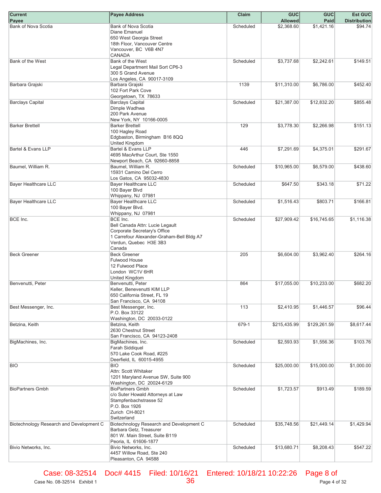| <b>Current</b>                                                                                                                                                                                                                                                                                                           | <b>Payee Address</b>                                                                                                                                                                                                                                                                                                                                    | Claim                                                                                                                                                    | <b>GUC</b>                                                                                                                                                                                                                                                                                                                                                                                                                                                                                      | GUC         | <b>Est GUC</b>      |
|--------------------------------------------------------------------------------------------------------------------------------------------------------------------------------------------------------------------------------------------------------------------------------------------------------------------------|---------------------------------------------------------------------------------------------------------------------------------------------------------------------------------------------------------------------------------------------------------------------------------------------------------------------------------------------------------|----------------------------------------------------------------------------------------------------------------------------------------------------------|-------------------------------------------------------------------------------------------------------------------------------------------------------------------------------------------------------------------------------------------------------------------------------------------------------------------------------------------------------------------------------------------------------------------------------------------------------------------------------------------------|-------------|---------------------|
| Payee                                                                                                                                                                                                                                                                                                                    |                                                                                                                                                                                                                                                                                                                                                         |                                                                                                                                                          | Allowed                                                                                                                                                                                                                                                                                                                                                                                                                                                                                         | Paid        | <b>Distribution</b> |
| Bank of Nova Scotia                                                                                                                                                                                                                                                                                                      | <b>Bank of Nova Scotia</b>                                                                                                                                                                                                                                                                                                                              | Scheduled                                                                                                                                                | \$2,368.60                                                                                                                                                                                                                                                                                                                                                                                                                                                                                      | \$1,421.16  | \$94.74             |
|                                                                                                                                                                                                                                                                                                                          | Diane Emanuel                                                                                                                                                                                                                                                                                                                                           |                                                                                                                                                          |                                                                                                                                                                                                                                                                                                                                                                                                                                                                                                 |             |                     |
|                                                                                                                                                                                                                                                                                                                          | 650 West Georgia Street                                                                                                                                                                                                                                                                                                                                 |                                                                                                                                                          |                                                                                                                                                                                                                                                                                                                                                                                                                                                                                                 |             |                     |
|                                                                                                                                                                                                                                                                                                                          | 18th Floor, Vancouver Centre                                                                                                                                                                                                                                                                                                                            |                                                                                                                                                          |                                                                                                                                                                                                                                                                                                                                                                                                                                                                                                 |             |                     |
|                                                                                                                                                                                                                                                                                                                          | Vancouver, BC V6B 4N7                                                                                                                                                                                                                                                                                                                                   |                                                                                                                                                          |                                                                                                                                                                                                                                                                                                                                                                                                                                                                                                 |             |                     |
|                                                                                                                                                                                                                                                                                                                          | CANADA<br>Bank of the West                                                                                                                                                                                                                                                                                                                              |                                                                                                                                                          |                                                                                                                                                                                                                                                                                                                                                                                                                                                                                                 |             | \$149.51            |
|                                                                                                                                                                                                                                                                                                                          | Legal Department Mail Sort CP6-3                                                                                                                                                                                                                                                                                                                        |                                                                                                                                                          |                                                                                                                                                                                                                                                                                                                                                                                                                                                                                                 |             |                     |
|                                                                                                                                                                                                                                                                                                                          | 300 S Grand Avenue                                                                                                                                                                                                                                                                                                                                      |                                                                                                                                                          |                                                                                                                                                                                                                                                                                                                                                                                                                                                                                                 |             |                     |
|                                                                                                                                                                                                                                                                                                                          | Los Angeles, CA 90017-3109                                                                                                                                                                                                                                                                                                                              |                                                                                                                                                          |                                                                                                                                                                                                                                                                                                                                                                                                                                                                                                 |             |                     |
|                                                                                                                                                                                                                                                                                                                          | Barbara Grajski                                                                                                                                                                                                                                                                                                                                         |                                                                                                                                                          |                                                                                                                                                                                                                                                                                                                                                                                                                                                                                                 |             | \$452.40            |
|                                                                                                                                                                                                                                                                                                                          | 102 Fort Park Cove                                                                                                                                                                                                                                                                                                                                      |                                                                                                                                                          |                                                                                                                                                                                                                                                                                                                                                                                                                                                                                                 |             |                     |
|                                                                                                                                                                                                                                                                                                                          | Georgetown, TX 78633                                                                                                                                                                                                                                                                                                                                    |                                                                                                                                                          |                                                                                                                                                                                                                                                                                                                                                                                                                                                                                                 |             |                     |
| <b>Barclays Capital</b>                                                                                                                                                                                                                                                                                                  | <b>Barclays Capital</b>                                                                                                                                                                                                                                                                                                                                 | Scheduled                                                                                                                                                | \$21,387.00                                                                                                                                                                                                                                                                                                                                                                                                                                                                                     | \$12,832.20 | \$855.48            |
|                                                                                                                                                                                                                                                                                                                          | Dimple Wadhwa                                                                                                                                                                                                                                                                                                                                           |                                                                                                                                                          |                                                                                                                                                                                                                                                                                                                                                                                                                                                                                                 |             |                     |
|                                                                                                                                                                                                                                                                                                                          | 200 Park Avenue                                                                                                                                                                                                                                                                                                                                         |                                                                                                                                                          |                                                                                                                                                                                                                                                                                                                                                                                                                                                                                                 |             |                     |
|                                                                                                                                                                                                                                                                                                                          | New York, NY 10166-0005                                                                                                                                                                                                                                                                                                                                 |                                                                                                                                                          |                                                                                                                                                                                                                                                                                                                                                                                                                                                                                                 |             |                     |
|                                                                                                                                                                                                                                                                                                                          | <b>Barker Brettell</b>                                                                                                                                                                                                                                                                                                                                  |                                                                                                                                                          |                                                                                                                                                                                                                                                                                                                                                                                                                                                                                                 |             | \$151.13            |
|                                                                                                                                                                                                                                                                                                                          | 100 Hagley Road                                                                                                                                                                                                                                                                                                                                         |                                                                                                                                                          |                                                                                                                                                                                                                                                                                                                                                                                                                                                                                                 |             |                     |
|                                                                                                                                                                                                                                                                                                                          | Edgbaston, Birmingham B16 8QQ                                                                                                                                                                                                                                                                                                                           |                                                                                                                                                          |                                                                                                                                                                                                                                                                                                                                                                                                                                                                                                 |             |                     |
|                                                                                                                                                                                                                                                                                                                          | United Kingdom<br>Bartel & Evans LLP                                                                                                                                                                                                                                                                                                                    |                                                                                                                                                          |                                                                                                                                                                                                                                                                                                                                                                                                                                                                                                 |             | \$291.67            |
|                                                                                                                                                                                                                                                                                                                          | 4695 MacArthur Court, Ste 1550                                                                                                                                                                                                                                                                                                                          |                                                                                                                                                          |                                                                                                                                                                                                                                                                                                                                                                                                                                                                                                 |             |                     |
|                                                                                                                                                                                                                                                                                                                          | Newport Beach, CA 92660-8858                                                                                                                                                                                                                                                                                                                            |                                                                                                                                                          |                                                                                                                                                                                                                                                                                                                                                                                                                                                                                                 |             |                     |
|                                                                                                                                                                                                                                                                                                                          | Baumel, William R.                                                                                                                                                                                                                                                                                                                                      |                                                                                                                                                          | \$2,242.61<br>\$3,737.68<br>\$6,786.00<br>\$11,310.00<br>\$3,778.30<br>\$2,266.98<br>\$4,375.01<br>\$7,291.69<br>\$6,579.00<br>\$10,965.00<br>\$647.50<br>\$343.18<br>\$803.71<br>\$1,516.43<br>\$16,745.65<br>\$27,909.42<br>\$3,962.40<br>\$6,604.00<br>\$17,055.00<br>\$10,233.00<br>\$1,446.57<br>\$2,410.95<br>\$215,435.99<br>\$129,261.59<br>\$1,556.36<br>\$2,593.93<br>\$25,000.00<br>\$15,000.00<br>\$1,723.57<br>\$913.49<br>\$35,748.56<br>\$21,449.14<br>\$8,208.43<br>\$13,680.71 | \$438.60    |                     |
|                                                                                                                                                                                                                                                                                                                          |                                                                                                                                                                                                                                                                                                                                                         | Scheduled<br>1139<br>129<br>446<br>Scheduled<br>Scheduled<br>Scheduled<br>Scheduled<br>205<br>864<br>113<br>679-1<br>Scheduled<br>Scheduled<br>Scheduled |                                                                                                                                                                                                                                                                                                                                                                                                                                                                                                 |             |                     |
|                                                                                                                                                                                                                                                                                                                          | 15931 Camino Del Cerro<br>Los Gatos, CA 95032-4830<br><b>Bayer Healthcare LLC</b><br>100 Bayer Blvd<br>Whippany, NJ 07981<br><b>Bayer Healthcare LLC</b><br>100 Bayer Blvd.<br>Whippany, NJ 07981<br>BCE Inc.<br>Bell Canada Attn: Lucie Legault<br>Corporate Secretary's Office<br>1 Carrefour Alexander-Graham-Bell Bldg A7<br>Verdun, Quebec H3E 3B3 |                                                                                                                                                          |                                                                                                                                                                                                                                                                                                                                                                                                                                                                                                 |             |                     |
| <b>Bayer Healthcare LLC</b>                                                                                                                                                                                                                                                                                              |                                                                                                                                                                                                                                                                                                                                                         |                                                                                                                                                          |                                                                                                                                                                                                                                                                                                                                                                                                                                                                                                 |             | \$71.22             |
|                                                                                                                                                                                                                                                                                                                          |                                                                                                                                                                                                                                                                                                                                                         |                                                                                                                                                          |                                                                                                                                                                                                                                                                                                                                                                                                                                                                                                 |             |                     |
|                                                                                                                                                                                                                                                                                                                          |                                                                                                                                                                                                                                                                                                                                                         |                                                                                                                                                          |                                                                                                                                                                                                                                                                                                                                                                                                                                                                                                 |             |                     |
| <b>Bayer Healthcare LLC</b>                                                                                                                                                                                                                                                                                              |                                                                                                                                                                                                                                                                                                                                                         |                                                                                                                                                          |                                                                                                                                                                                                                                                                                                                                                                                                                                                                                                 |             | \$166.81            |
|                                                                                                                                                                                                                                                                                                                          |                                                                                                                                                                                                                                                                                                                                                         |                                                                                                                                                          |                                                                                                                                                                                                                                                                                                                                                                                                                                                                                                 |             |                     |
|                                                                                                                                                                                                                                                                                                                          |                                                                                                                                                                                                                                                                                                                                                         |                                                                                                                                                          |                                                                                                                                                                                                                                                                                                                                                                                                                                                                                                 |             |                     |
|                                                                                                                                                                                                                                                                                                                          |                                                                                                                                                                                                                                                                                                                                                         |                                                                                                                                                          |                                                                                                                                                                                                                                                                                                                                                                                                                                                                                                 |             | \$1,116.38          |
|                                                                                                                                                                                                                                                                                                                          |                                                                                                                                                                                                                                                                                                                                                         |                                                                                                                                                          |                                                                                                                                                                                                                                                                                                                                                                                                                                                                                                 |             |                     |
|                                                                                                                                                                                                                                                                                                                          |                                                                                                                                                                                                                                                                                                                                                         |                                                                                                                                                          |                                                                                                                                                                                                                                                                                                                                                                                                                                                                                                 |             |                     |
|                                                                                                                                                                                                                                                                                                                          |                                                                                                                                                                                                                                                                                                                                                         |                                                                                                                                                          |                                                                                                                                                                                                                                                                                                                                                                                                                                                                                                 |             |                     |
|                                                                                                                                                                                                                                                                                                                          | Canada                                                                                                                                                                                                                                                                                                                                                  |                                                                                                                                                          |                                                                                                                                                                                                                                                                                                                                                                                                                                                                                                 |             |                     |
|                                                                                                                                                                                                                                                                                                                          | <b>Beck Greener</b>                                                                                                                                                                                                                                                                                                                                     |                                                                                                                                                          |                                                                                                                                                                                                                                                                                                                                                                                                                                                                                                 |             | \$264.16            |
|                                                                                                                                                                                                                                                                                                                          | <b>Fulwood House</b>                                                                                                                                                                                                                                                                                                                                    |                                                                                                                                                          |                                                                                                                                                                                                                                                                                                                                                                                                                                                                                                 |             |                     |
|                                                                                                                                                                                                                                                                                                                          | 12 Fulwood Place                                                                                                                                                                                                                                                                                                                                        |                                                                                                                                                          |                                                                                                                                                                                                                                                                                                                                                                                                                                                                                                 |             |                     |
|                                                                                                                                                                                                                                                                                                                          | London WC1V 6HR                                                                                                                                                                                                                                                                                                                                         |                                                                                                                                                          |                                                                                                                                                                                                                                                                                                                                                                                                                                                                                                 |             |                     |
|                                                                                                                                                                                                                                                                                                                          | <b>United Kingdom</b>                                                                                                                                                                                                                                                                                                                                   |                                                                                                                                                          |                                                                                                                                                                                                                                                                                                                                                                                                                                                                                                 |             |                     |
| Benvenutti, Peter                                                                                                                                                                                                                                                                                                        | Benvenutti, Peter                                                                                                                                                                                                                                                                                                                                       |                                                                                                                                                          |                                                                                                                                                                                                                                                                                                                                                                                                                                                                                                 |             | \$682.20            |
|                                                                                                                                                                                                                                                                                                                          | Keller, Benevenutti KIM LLP                                                                                                                                                                                                                                                                                                                             |                                                                                                                                                          |                                                                                                                                                                                                                                                                                                                                                                                                                                                                                                 |             |                     |
|                                                                                                                                                                                                                                                                                                                          | 650 California Street, FL 19                                                                                                                                                                                                                                                                                                                            |                                                                                                                                                          |                                                                                                                                                                                                                                                                                                                                                                                                                                                                                                 |             |                     |
|                                                                                                                                                                                                                                                                                                                          | San Francisco, CA 94108                                                                                                                                                                                                                                                                                                                                 |                                                                                                                                                          |                                                                                                                                                                                                                                                                                                                                                                                                                                                                                                 |             |                     |
| Bank of the West<br>Barbara Grajski<br><b>Barker Brettell</b><br>Bartel & Evans LLP<br>Baumel, William R.<br>BCE Inc.<br><b>Beck Greener</b><br>Best Messenger, Inc.<br>Betzina, Keith<br>BigMachines, Inc.<br><b>BIO</b><br><b>BioPartners Gmbh</b><br>Biotechnology Research and Development C<br>Bivio Networks, Inc. | Best Messenger, Inc.                                                                                                                                                                                                                                                                                                                                    |                                                                                                                                                          |                                                                                                                                                                                                                                                                                                                                                                                                                                                                                                 |             | \$96.44             |
|                                                                                                                                                                                                                                                                                                                          | P.O. Box 33122                                                                                                                                                                                                                                                                                                                                          |                                                                                                                                                          |                                                                                                                                                                                                                                                                                                                                                                                                                                                                                                 |             |                     |
|                                                                                                                                                                                                                                                                                                                          | Washington, DC 20033-0122                                                                                                                                                                                                                                                                                                                               |                                                                                                                                                          |                                                                                                                                                                                                                                                                                                                                                                                                                                                                                                 |             |                     |
|                                                                                                                                                                                                                                                                                                                          | Betzina, Keith<br>2630 Chestnut Street                                                                                                                                                                                                                                                                                                                  |                                                                                                                                                          |                                                                                                                                                                                                                                                                                                                                                                                                                                                                                                 |             | \$8,617.44          |
|                                                                                                                                                                                                                                                                                                                          | San Francisco, CA 94123-2408                                                                                                                                                                                                                                                                                                                            |                                                                                                                                                          |                                                                                                                                                                                                                                                                                                                                                                                                                                                                                                 |             |                     |
|                                                                                                                                                                                                                                                                                                                          | BigMachines, Inc.                                                                                                                                                                                                                                                                                                                                       |                                                                                                                                                          |                                                                                                                                                                                                                                                                                                                                                                                                                                                                                                 |             | \$103.76            |
|                                                                                                                                                                                                                                                                                                                          | Farah Siddiquel                                                                                                                                                                                                                                                                                                                                         |                                                                                                                                                          |                                                                                                                                                                                                                                                                                                                                                                                                                                                                                                 |             |                     |
|                                                                                                                                                                                                                                                                                                                          | 570 Lake Cook Road, #225                                                                                                                                                                                                                                                                                                                                |                                                                                                                                                          |                                                                                                                                                                                                                                                                                                                                                                                                                                                                                                 |             |                     |
|                                                                                                                                                                                                                                                                                                                          | Deerfield, IL 60015-4955                                                                                                                                                                                                                                                                                                                                |                                                                                                                                                          |                                                                                                                                                                                                                                                                                                                                                                                                                                                                                                 |             |                     |
|                                                                                                                                                                                                                                                                                                                          | <b>BIO</b>                                                                                                                                                                                                                                                                                                                                              |                                                                                                                                                          |                                                                                                                                                                                                                                                                                                                                                                                                                                                                                                 |             | \$1,000.00          |
|                                                                                                                                                                                                                                                                                                                          | Attn: Scott Whitaker                                                                                                                                                                                                                                                                                                                                    |                                                                                                                                                          |                                                                                                                                                                                                                                                                                                                                                                                                                                                                                                 |             |                     |
|                                                                                                                                                                                                                                                                                                                          | 1201 Maryland Avenue SW, Suite 900                                                                                                                                                                                                                                                                                                                      |                                                                                                                                                          |                                                                                                                                                                                                                                                                                                                                                                                                                                                                                                 |             |                     |
|                                                                                                                                                                                                                                                                                                                          | Washington, DC 20024-6129                                                                                                                                                                                                                                                                                                                               |                                                                                                                                                          |                                                                                                                                                                                                                                                                                                                                                                                                                                                                                                 |             |                     |
|                                                                                                                                                                                                                                                                                                                          | <b>BioPartners Gmbh</b>                                                                                                                                                                                                                                                                                                                                 |                                                                                                                                                          |                                                                                                                                                                                                                                                                                                                                                                                                                                                                                                 |             | \$189.59            |
|                                                                                                                                                                                                                                                                                                                          | c/o Suter Howald Attorneys at Law                                                                                                                                                                                                                                                                                                                       |                                                                                                                                                          |                                                                                                                                                                                                                                                                                                                                                                                                                                                                                                 |             |                     |
|                                                                                                                                                                                                                                                                                                                          | Stampfenbachstrasse 52                                                                                                                                                                                                                                                                                                                                  |                                                                                                                                                          |                                                                                                                                                                                                                                                                                                                                                                                                                                                                                                 |             |                     |
|                                                                                                                                                                                                                                                                                                                          | P.O. Box 1926                                                                                                                                                                                                                                                                                                                                           |                                                                                                                                                          |                                                                                                                                                                                                                                                                                                                                                                                                                                                                                                 |             |                     |
|                                                                                                                                                                                                                                                                                                                          | Zurich CH-8021                                                                                                                                                                                                                                                                                                                                          |                                                                                                                                                          |                                                                                                                                                                                                                                                                                                                                                                                                                                                                                                 |             |                     |
|                                                                                                                                                                                                                                                                                                                          | Switzerland<br>Biotechnology Research and Development C                                                                                                                                                                                                                                                                                                 | Scheduled                                                                                                                                                |                                                                                                                                                                                                                                                                                                                                                                                                                                                                                                 |             | \$1,429.94          |
|                                                                                                                                                                                                                                                                                                                          | Barbara Getz, Treasurer                                                                                                                                                                                                                                                                                                                                 |                                                                                                                                                          |                                                                                                                                                                                                                                                                                                                                                                                                                                                                                                 |             |                     |
|                                                                                                                                                                                                                                                                                                                          | 801 W. Main Street, Suite B119                                                                                                                                                                                                                                                                                                                          |                                                                                                                                                          |                                                                                                                                                                                                                                                                                                                                                                                                                                                                                                 |             |                     |
|                                                                                                                                                                                                                                                                                                                          | Peoria, IL 61606-1877                                                                                                                                                                                                                                                                                                                                   |                                                                                                                                                          |                                                                                                                                                                                                                                                                                                                                                                                                                                                                                                 |             |                     |
|                                                                                                                                                                                                                                                                                                                          | Bivio Networks, Inc.                                                                                                                                                                                                                                                                                                                                    | Scheduled                                                                                                                                                |                                                                                                                                                                                                                                                                                                                                                                                                                                                                                                 |             | \$547.22            |
|                                                                                                                                                                                                                                                                                                                          | 4457 Willow Road, Ste 240                                                                                                                                                                                                                                                                                                                               |                                                                                                                                                          |                                                                                                                                                                                                                                                                                                                                                                                                                                                                                                 |             |                     |
|                                                                                                                                                                                                                                                                                                                          | Pleasanton, CA 94588                                                                                                                                                                                                                                                                                                                                    |                                                                                                                                                          |                                                                                                                                                                                                                                                                                                                                                                                                                                                                                                 |             |                     |

 $36$ 

Case No. 08-32514 Exhibit 1

Case: 08-32514 Doc# 4415 Filed: 10/16/21 Entered: 10/18/21 10:22:26 Page 8 of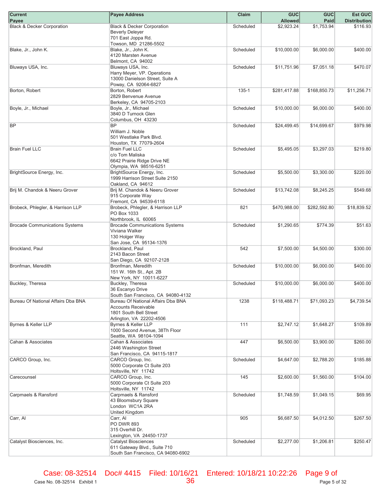| Current                               | <b>Payee Address</b>                  | Claim     | <b>GUC</b>   | GUC          | <b>Est GUC</b>      |
|---------------------------------------|---------------------------------------|-----------|--------------|--------------|---------------------|
| Payee                                 |                                       |           | Allowed      | Paid         | <b>Distribution</b> |
| <b>Black &amp; Decker Corporation</b> | <b>Black &amp; Decker Corporation</b> | Scheduled | \$2,923.24   | \$1,753.94   | \$116.93            |
|                                       | <b>Beverly Deleyer</b>                |           |              |              |                     |
|                                       | 701 East Joppa Rd.                    |           |              |              |                     |
|                                       | Towson, MD 21286-5502                 |           |              |              |                     |
| Blake, Jr., John K.                   | Blake, Jr., John K.                   | Scheduled | \$10,000.00  | \$6,000.00   | \$400.00            |
|                                       | 4120 Marsten Avenue                   |           |              |              |                     |
|                                       | Belmont, CA 94002                     |           |              |              |                     |
| Bluways USA, Inc.                     | Bluways USA, Inc.                     | Scheduled | \$11,751.96  | \$7,051.18   | \$470.07            |
|                                       | Harry Meyer, VP. Operations           |           |              |              |                     |
|                                       | 13000 Danielson Street, Suite A       |           |              |              |                     |
|                                       | Poway, CA 92064-6827                  |           |              |              |                     |
| Borton, Robert                        | Borton, Robert                        | $135 - 1$ | \$281,417.88 | \$168,850.73 | \$11,256.71         |
|                                       | 2829 Benvenue Avenue                  |           |              |              |                     |
|                                       | Berkeley, CA 94705-2103               |           |              |              |                     |
| Boyle, Jr., Michael                   | Boyle, Jr., Michael                   | Scheduled | \$10,000.00  | \$6,000.00   | \$400.00            |
|                                       | 3840 D Turnock Glen                   |           |              |              |                     |
|                                       | Columbus, OH 43230                    |           |              |              |                     |
| <b>BP</b>                             | <b>BP</b>                             | Scheduled | \$24,499.45  | \$14,699.67  | \$979.98            |
|                                       | William J. Noble                      |           |              |              |                     |
|                                       | 501 Westlake Park Blvd.               |           |              |              |                     |
|                                       | Houston, TX 77079-2604                |           |              |              |                     |
| <b>Brain Fuel LLC</b>                 | <b>Brain Fuel LLC</b>                 | Scheduled | \$5,495.05   | \$3,297.03   | \$219.80            |
|                                       | c/o Tom Maliska                       |           |              |              |                     |
|                                       | 6642 Prairie Ridge Drive NE           |           |              |              |                     |
|                                       | Olympia, WA 98516-6251                |           |              |              |                     |
| BrightSource Energy, Inc.             | BrightSource Energy, Inc.             | Scheduled | \$5,500.00   | \$3,300.00   | \$220.00            |
|                                       | 1999 Harrison Street Suite 2150       |           |              |              |                     |
|                                       | Oakland, CA 94612                     |           |              |              |                     |
| Brij M. Chandok & Neeru Grover        | Brij M. Chandok & Neeru Grover        | Scheduled | \$13,742.08  | \$8,245.25   | \$549.68            |
|                                       | 915 Corporate Way                     |           |              |              |                     |
|                                       | Fremont, CA 94539-6118                |           |              |              |                     |
| Brobeck, Phlegler, & Harrison LLP     | Brobeck, Phlegler, & Harrison LLP     | 821       | \$470,988.00 | \$282,592.80 | \$18,839.52         |
|                                       | PO Box 1033                           |           |              |              |                     |
|                                       | Northbrook, IL 60065                  |           |              |              |                     |
| <b>Brocade Communications Systems</b> | <b>Brocade Communications Systems</b> | Scheduled | \$1,290.65   | \$774.39     | \$51.63             |
|                                       | Viviana Walker                        |           |              |              |                     |
|                                       | 130 Holger Way                        |           |              |              |                     |
|                                       | San Jose, CA 95134-1376               |           |              |              |                     |
| Brockland, Paul                       | Brockland, Paul                       | 542       | \$7,500.00   | \$4,500.00   | \$300.00            |
|                                       | 2143 Bacon Street                     |           |              |              |                     |
|                                       | San Diego, CA 92107-2128              |           |              |              |                     |
| Bronfman, Meredith                    | Bronfman, Meredith                    | Scheduled | \$10,000.00  | \$6,000.00   | \$400.00            |
|                                       | 151 W. 16th St., Apt. 2B              |           |              |              |                     |
|                                       | New York, NY 10011-6227               |           |              |              |                     |
| Buckley, Theresa                      | Buckley, Theresa                      | Scheduled | \$10,000.00  | \$6,000.00   | \$400.00            |
|                                       | 36 Escanvo Drive                      |           |              |              |                     |
|                                       | South San Francisco, CA 94080-4132    |           |              |              |                     |
| Bureau Of National Affairs Dba BNA    | Bureau Of National Affairs Dba BNA    | 1238      | \$118,488.71 | \$71,093.23  | \$4,739.54          |
|                                       | <b>Accounts Receivable</b>            |           |              |              |                     |
|                                       | 1801 South Bell Street                |           |              |              |                     |
|                                       | Arlington, VA 22202-4506              |           |              |              |                     |
| Byrnes & Keller LLP                   | <b>Byrnes &amp; Keller LLP</b>        | 111       | \$2,747.12   | \$1,648.27   | \$109.89            |
|                                       | 1000 Second Avenue, 38Th Floor        |           |              |              |                     |
|                                       | Seattle, WA 98104-1094                |           |              |              |                     |
| Cahan & Associates                    | Cahan & Associates                    | 447       | \$6,500.00   | \$3,900.00   | \$260.00            |
|                                       | 2446 Washington Street                |           |              |              |                     |
|                                       | San Francisco, CA 94115-1817          |           |              |              |                     |
| CARCO Group, Inc.                     | CARCO Group, Inc.                     | Scheduled | \$4,647.00   | \$2,788.20   | \$185.88            |
|                                       | 5000 Corporate Ct Suite 203           |           |              |              |                     |
|                                       | Holtsville, NY 11742                  |           |              |              |                     |
| Carecounsel                           | CARCO Group, Inc.                     | 145       | \$2,600.00   | \$1,560.00   | \$104.00            |
|                                       | 5000 Corporate Ct Suite 203           |           |              |              |                     |
|                                       | Holtsville, NY 11742                  |           |              |              |                     |
| Carpmaels & Ransford                  | Carpmaels & Ransford                  | Scheduled | \$1,748.59   | \$1,049.15   | \$69.95             |
|                                       | 43 Bloomsbury Square                  |           |              |              |                     |
|                                       | London WC1A 2RA                       |           |              |              |                     |
|                                       | United Kingdom                        |           |              |              |                     |
| Carr, Al                              | Carr, Al                              | 905       | \$6,687.50   | \$4,012.50   | \$267.50            |
|                                       | <b>PO DWR 893</b>                     |           |              |              |                     |
|                                       | 315 Overhill Dr.                      |           |              |              |                     |
|                                       | Lexington, VA 24450-1737              |           |              |              |                     |
| Catalyst Biosciences, Inc.            | <b>Catalyst Biosciences</b>           | Scheduled | \$2,277.00   | \$1,206.81   | \$250.47            |
|                                       | 611 Gateway Blvd., Suite 710          |           |              |              |                     |
|                                       | South San Francisco, CA 94080-6902    |           |              |              |                     |

 $36$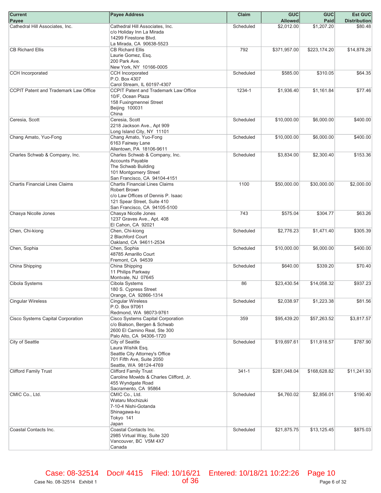| Current                                      | <b>Payee Address</b>                                         | Claim     | <b>GUC</b>     | <b>GUC</b>                                                                                                                                                                                                                                                                          | Est GUC             |
|----------------------------------------------|--------------------------------------------------------------|-----------|----------------|-------------------------------------------------------------------------------------------------------------------------------------------------------------------------------------------------------------------------------------------------------------------------------------|---------------------|
| Pavee                                        |                                                              |           | <b>Allowed</b> | Paid                                                                                                                                                                                                                                                                                | <b>Distribution</b> |
| Cathedral Hill Associates, Inc.              | Cathedral Hill Associates, Inc.                              | Scheduled |                |                                                                                                                                                                                                                                                                                     | \$80.48             |
|                                              | c/o Holiday Inn La Mirada                                    |           |                |                                                                                                                                                                                                                                                                                     |                     |
|                                              | 14299 Firestone Blvd.<br>La Mirada, CA 90638-5523            |           |                | \$1,207.20<br>\$223,174.20<br>\$585.00<br>\$310.05<br>\$1,161.84<br>\$6,000.00<br>\$6,000.00<br>\$2,300.40<br>\$30,000.00<br>\$575.04<br>\$304.77<br>\$1,471.40<br>\$6,000.00<br>\$640.00<br>\$339.20<br>\$14,058.32                                                                |                     |
| <b>CB Richard Ellis</b>                      | <b>CB Richard Ellis</b>                                      | 792       |                |                                                                                                                                                                                                                                                                                     | \$14,878.28         |
|                                              | Laurie Gomez, Esq.                                           |           |                |                                                                                                                                                                                                                                                                                     |                     |
|                                              | 200 Park Ave.                                                |           |                |                                                                                                                                                                                                                                                                                     |                     |
|                                              | New York, NY 10166-0005                                      |           |                |                                                                                                                                                                                                                                                                                     |                     |
| <b>CCH</b> Incorporated                      | <b>CCH</b> Incorporated                                      | Scheduled |                |                                                                                                                                                                                                                                                                                     | \$64.35             |
|                                              | P.O. Box 4307                                                |           |                |                                                                                                                                                                                                                                                                                     |                     |
|                                              | Carol Stream, IL 60197-4307                                  |           |                |                                                                                                                                                                                                                                                                                     |                     |
| <b>CCPIT Patent and Trademark Law Office</b> | <b>CCPIT Patent and Trademark Law Office</b>                 | 1234-1    |                |                                                                                                                                                                                                                                                                                     | \$77.46             |
|                                              | 10/F. Ocean Plaza                                            |           |                |                                                                                                                                                                                                                                                                                     |                     |
|                                              | 158 Fuxingmennei Street                                      |           |                |                                                                                                                                                                                                                                                                                     |                     |
|                                              | Beijing 100031<br>China                                      |           |                |                                                                                                                                                                                                                                                                                     |                     |
| Ceresia, Scott                               | Ceresia, Scott                                               | Scheduled |                |                                                                                                                                                                                                                                                                                     | \$400.00            |
|                                              | 2218 Jackson Ave., Apt 909                                   |           |                |                                                                                                                                                                                                                                                                                     |                     |
|                                              | Long Island City, NY 11101                                   |           |                |                                                                                                                                                                                                                                                                                     |                     |
| Chang Amato, Yuo-Fong                        | Chang Amato, Yuo-Fong                                        | Scheduled |                |                                                                                                                                                                                                                                                                                     | \$400.00            |
|                                              | 6163 Fairway Lane                                            |           |                | \$2,012.00<br>\$371,957.00<br>\$1,936.40<br>\$10,000.00<br>\$10,000.00<br>\$3,834.00<br>\$50,000.00<br>\$2,776.23<br>\$10,000.00<br>\$23,430.54<br>\$2,038.97<br>\$1,223.38<br>\$57,263.52<br>\$95,439.20<br>\$19,697.61<br>\$11,818.57<br>\$168,628.82<br>\$4,760.02<br>\$2,856.01 |                     |
|                                              | Allentown, PA 18106-9611                                     |           |                |                                                                                                                                                                                                                                                                                     |                     |
| Charles Schwab & Company, Inc.               | Charles Schwab & Company, Inc.                               | Scheduled |                |                                                                                                                                                                                                                                                                                     | \$153.36            |
|                                              | <b>Accounts Payable</b>                                      |           |                |                                                                                                                                                                                                                                                                                     |                     |
|                                              | The Schwab Building                                          |           |                |                                                                                                                                                                                                                                                                                     |                     |
|                                              | 101 Montgomery Street                                        |           |                |                                                                                                                                                                                                                                                                                     |                     |
|                                              | San Francisco, CA 94104-4151                                 |           |                |                                                                                                                                                                                                                                                                                     |                     |
| <b>Chartis Financial Lines Claims</b>        | <b>Chartis Financial Lines Claims</b><br>Robert Brown        | 1100      |                |                                                                                                                                                                                                                                                                                     | \$2,000.00          |
|                                              | c/o Law Offices of Dennis P. Isaac                           |           |                |                                                                                                                                                                                                                                                                                     |                     |
|                                              | 121 Spear Street, Suite 410                                  |           |                |                                                                                                                                                                                                                                                                                     |                     |
|                                              | San Francisco, CA 94105-5100                                 |           |                |                                                                                                                                                                                                                                                                                     |                     |
| Chasya Nicolle Jones                         | Chasya Nicolle Jones                                         | 743       |                |                                                                                                                                                                                                                                                                                     | \$63.26             |
|                                              | 1237 Graves Ave., Apt. 408                                   |           |                |                                                                                                                                                                                                                                                                                     |                     |
|                                              | El Cahon, CA 92021                                           |           |                |                                                                                                                                                                                                                                                                                     |                     |
| Chen, Chi-kiong                              | Chen, Chi-kiong                                              | Scheduled |                |                                                                                                                                                                                                                                                                                     | \$305.39            |
|                                              | 2 Blachford Court                                            |           |                |                                                                                                                                                                                                                                                                                     |                     |
|                                              | Oakland, CA 94611-2534                                       |           |                |                                                                                                                                                                                                                                                                                     |                     |
| Chen, Sophia                                 | Chen, Sophia                                                 | Scheduled |                |                                                                                                                                                                                                                                                                                     | \$400.00            |
|                                              | 48785 Amarillo Court                                         |           |                |                                                                                                                                                                                                                                                                                     |                     |
| China Shipping                               | Fremont, CA 94539<br>China Shipping                          | Scheduled |                |                                                                                                                                                                                                                                                                                     | \$70.40             |
|                                              | 11 Philips Parkway                                           |           |                |                                                                                                                                                                                                                                                                                     |                     |
|                                              | Montvale, NJ 07645                                           |           |                |                                                                                                                                                                                                                                                                                     |                     |
| Cibola Systems                               | Cibola Systems                                               | 86        |                |                                                                                                                                                                                                                                                                                     | \$937.23            |
|                                              | 180 S. Cypress Street                                        |           |                |                                                                                                                                                                                                                                                                                     |                     |
|                                              | Orange, CA 92866-1314                                        |           |                |                                                                                                                                                                                                                                                                                     |                     |
| <b>Cinqular Wireless</b>                     | <b>Cinqular Wireless</b>                                     | Scheduled |                |                                                                                                                                                                                                                                                                                     | \$81.56             |
|                                              | P.O. Box 97061                                               |           |                | \$13,125.45                                                                                                                                                                                                                                                                         |                     |
|                                              | Redmond, WA 98073-9761                                       |           |                |                                                                                                                                                                                                                                                                                     |                     |
| Cisco Systems Capital Corporation            | Cisco Systems Capital Corporation                            | 359       |                |                                                                                                                                                                                                                                                                                     | \$3,817.57          |
|                                              | c/o Bialson, Bergen & Schwab<br>2600 El Camino Real, Ste 300 |           |                |                                                                                                                                                                                                                                                                                     |                     |
|                                              | Palo Alto, CA 94306-1720                                     |           |                |                                                                                                                                                                                                                                                                                     |                     |
| City of Seattle                              | City of Seattle                                              | Scheduled |                |                                                                                                                                                                                                                                                                                     | \$787.90            |
|                                              | Laura Wishik Esq.                                            |           |                |                                                                                                                                                                                                                                                                                     |                     |
|                                              | Seattle City Attorney's Office                               |           |                |                                                                                                                                                                                                                                                                                     |                     |
|                                              | 701 Fifth Ave, Suite 2050                                    |           |                |                                                                                                                                                                                                                                                                                     |                     |
|                                              | Seattle, WA 98124-4769                                       |           |                |                                                                                                                                                                                                                                                                                     |                     |
| <b>Clifford Family Trust</b>                 | <b>Clifford Family Trust</b>                                 | $341 - 1$ | \$281,048.04   |                                                                                                                                                                                                                                                                                     | \$11,241.93         |
|                                              | Caroline Mowlds & Charles Clifford, Jr.                      |           |                |                                                                                                                                                                                                                                                                                     |                     |
|                                              | 455 Wyndgate Road                                            |           |                |                                                                                                                                                                                                                                                                                     |                     |
| CMIC Co., Ltd.                               | Sacramento, CA 95864<br>CMIC Co., Ltd.                       | Scheduled |                |                                                                                                                                                                                                                                                                                     | \$190.40            |
|                                              | Wataru Mochizuki                                             |           |                |                                                                                                                                                                                                                                                                                     |                     |
|                                              | 7-10-4 Nishi-Gotanda                                         |           |                |                                                                                                                                                                                                                                                                                     |                     |
|                                              | Shinagawa-ku                                                 |           |                |                                                                                                                                                                                                                                                                                     |                     |
|                                              | Tokyo 141                                                    |           |                |                                                                                                                                                                                                                                                                                     |                     |
|                                              | Japan                                                        |           |                |                                                                                                                                                                                                                                                                                     |                     |
| Coastal Contacts Inc.                        | Coastal Contacts Inc.                                        | Scheduled | \$21,875.75    |                                                                                                                                                                                                                                                                                     | \$875.03            |
|                                              | 2985 Virtual Way, Suite 320                                  |           |                |                                                                                                                                                                                                                                                                                     |                     |
|                                              | Vancouver, BC V5M 4X7                                        |           |                |                                                                                                                                                                                                                                                                                     |                     |
|                                              | Canada                                                       |           |                |                                                                                                                                                                                                                                                                                     |                     |

Page 6 of 32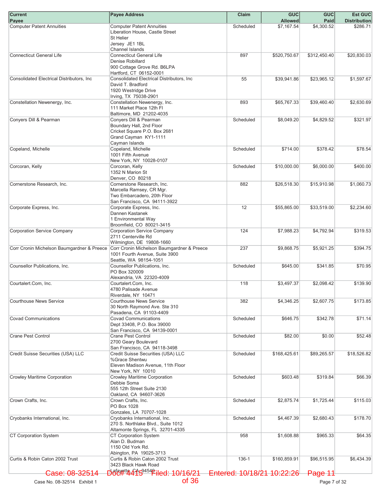| <b>Current</b>                                                                                                                                                                                                                                                                                                                                                                                                                                                                                                                                                                                                                                                                                                                                                                                                                                                                                                                                                                                                                                                                                                                                                                                                                                                                                                                                                                                                                                                                                                                                                                                                                                                                          | <b>Payee Address</b>                                                | Claim     | <b>GUC</b>   | <b>GUC</b>   | <b>Est GUC</b>      |
|-----------------------------------------------------------------------------------------------------------------------------------------------------------------------------------------------------------------------------------------------------------------------------------------------------------------------------------------------------------------------------------------------------------------------------------------------------------------------------------------------------------------------------------------------------------------------------------------------------------------------------------------------------------------------------------------------------------------------------------------------------------------------------------------------------------------------------------------------------------------------------------------------------------------------------------------------------------------------------------------------------------------------------------------------------------------------------------------------------------------------------------------------------------------------------------------------------------------------------------------------------------------------------------------------------------------------------------------------------------------------------------------------------------------------------------------------------------------------------------------------------------------------------------------------------------------------------------------------------------------------------------------------------------------------------------------|---------------------------------------------------------------------|-----------|--------------|--------------|---------------------|
| Payee                                                                                                                                                                                                                                                                                                                                                                                                                                                                                                                                                                                                                                                                                                                                                                                                                                                                                                                                                                                                                                                                                                                                                                                                                                                                                                                                                                                                                                                                                                                                                                                                                                                                                   |                                                                     |           | Allowed      | Paid         | <b>Distribution</b> |
| <b>Computer Patent Annuities</b>                                                                                                                                                                                                                                                                                                                                                                                                                                                                                                                                                                                                                                                                                                                                                                                                                                                                                                                                                                                                                                                                                                                                                                                                                                                                                                                                                                                                                                                                                                                                                                                                                                                        | <b>Computer Patent Annuities</b><br>Liberation House, Castle Street | Scheduled | \$7,167.54   | \$4,300.52   | \$286.71            |
|                                                                                                                                                                                                                                                                                                                                                                                                                                                                                                                                                                                                                                                                                                                                                                                                                                                                                                                                                                                                                                                                                                                                                                                                                                                                                                                                                                                                                                                                                                                                                                                                                                                                                         | <b>St Helier</b>                                                    |           |              |              |                     |
|                                                                                                                                                                                                                                                                                                                                                                                                                                                                                                                                                                                                                                                                                                                                                                                                                                                                                                                                                                                                                                                                                                                                                                                                                                                                                                                                                                                                                                                                                                                                                                                                                                                                                         | Jersey JE1 1BL                                                      |           |              |              |                     |
|                                                                                                                                                                                                                                                                                                                                                                                                                                                                                                                                                                                                                                                                                                                                                                                                                                                                                                                                                                                                                                                                                                                                                                                                                                                                                                                                                                                                                                                                                                                                                                                                                                                                                         | Channel Islands                                                     |           |              |              |                     |
| <b>Connecticut General Life</b>                                                                                                                                                                                                                                                                                                                                                                                                                                                                                                                                                                                                                                                                                                                                                                                                                                                                                                                                                                                                                                                                                                                                                                                                                                                                                                                                                                                                                                                                                                                                                                                                                                                         | <b>Connecticut General Life</b><br>Denise Robillard                 | 897       | \$520,750.67 | \$312,450.40 | \$20,830.03         |
|                                                                                                                                                                                                                                                                                                                                                                                                                                                                                                                                                                                                                                                                                                                                                                                                                                                                                                                                                                                                                                                                                                                                                                                                                                                                                                                                                                                                                                                                                                                                                                                                                                                                                         | 900 Cottage Grove Rd. B6LPA                                         |           |              |              |                     |
|                                                                                                                                                                                                                                                                                                                                                                                                                                                                                                                                                                                                                                                                                                                                                                                                                                                                                                                                                                                                                                                                                                                                                                                                                                                                                                                                                                                                                                                                                                                                                                                                                                                                                         | Hartford, CT 06152-0001                                             |           |              |              |                     |
| Consolidated Electrical Distributors, Inc.                                                                                                                                                                                                                                                                                                                                                                                                                                                                                                                                                                                                                                                                                                                                                                                                                                                                                                                                                                                                                                                                                                                                                                                                                                                                                                                                                                                                                                                                                                                                                                                                                                              | Consolidated Electrical Distributors, Inc                           | 55        | \$39,941.86  | \$23,965.12  | \$1,597.67          |
|                                                                                                                                                                                                                                                                                                                                                                                                                                                                                                                                                                                                                                                                                                                                                                                                                                                                                                                                                                                                                                                                                                                                                                                                                                                                                                                                                                                                                                                                                                                                                                                                                                                                                         | David T. Bradford                                                   |           |              |              |                     |
|                                                                                                                                                                                                                                                                                                                                                                                                                                                                                                                                                                                                                                                                                                                                                                                                                                                                                                                                                                                                                                                                                                                                                                                                                                                                                                                                                                                                                                                                                                                                                                                                                                                                                         | 1920 Westridge Drive<br>Irving, TX 75038-2901                       |           |              |              |                     |
| Constellation Newenergy, Inc.                                                                                                                                                                                                                                                                                                                                                                                                                                                                                                                                                                                                                                                                                                                                                                                                                                                                                                                                                                                                                                                                                                                                                                                                                                                                                                                                                                                                                                                                                                                                                                                                                                                           | Constellation Newenergy, Inc.                                       | 893       | \$65,767.33  | \$39,460.40  | \$2,630.69          |
|                                                                                                                                                                                                                                                                                                                                                                                                                                                                                                                                                                                                                                                                                                                                                                                                                                                                                                                                                                                                                                                                                                                                                                                                                                                                                                                                                                                                                                                                                                                                                                                                                                                                                         | 111 Market Place 12th Fl                                            |           |              |              |                     |
|                                                                                                                                                                                                                                                                                                                                                                                                                                                                                                                                                                                                                                                                                                                                                                                                                                                                                                                                                                                                                                                                                                                                                                                                                                                                                                                                                                                                                                                                                                                                                                                                                                                                                         | Baltimore, MD 21202-4035                                            |           |              |              |                     |
|                                                                                                                                                                                                                                                                                                                                                                                                                                                                                                                                                                                                                                                                                                                                                                                                                                                                                                                                                                                                                                                                                                                                                                                                                                                                                                                                                                                                                                                                                                                                                                                                                                                                                         | Conyers Dill & Pearman<br>Boundary Hall, 2nd Floor                  | Scheduled | \$8,049.20   | \$4,829.52   | \$321.97            |
|                                                                                                                                                                                                                                                                                                                                                                                                                                                                                                                                                                                                                                                                                                                                                                                                                                                                                                                                                                                                                                                                                                                                                                                                                                                                                                                                                                                                                                                                                                                                                                                                                                                                                         | Cricket Square P.O. Box 2681                                        |           |              |              |                     |
|                                                                                                                                                                                                                                                                                                                                                                                                                                                                                                                                                                                                                                                                                                                                                                                                                                                                                                                                                                                                                                                                                                                                                                                                                                                                                                                                                                                                                                                                                                                                                                                                                                                                                         | Grand Cayman KY1-1111                                               |           |              |              |                     |
|                                                                                                                                                                                                                                                                                                                                                                                                                                                                                                                                                                                                                                                                                                                                                                                                                                                                                                                                                                                                                                                                                                                                                                                                                                                                                                                                                                                                                                                                                                                                                                                                                                                                                         | Cayman Islands                                                      |           |              |              |                     |
| Conyers Dill & Pearman<br>Copeland, Michelle                                                                                                                                                                                                                                                                                                                                                                                                                                                                                                                                                                                                                                                                                                                                                                                                                                                                                                                                                                                                                                                                                                                                                                                                                                                                                                                                                                                                                                                                                                                                                                                                                                            | Copeland, Michelle                                                  | Scheduled | \$714.00     | \$378.42     | \$78.54             |
|                                                                                                                                                                                                                                                                                                                                                                                                                                                                                                                                                                                                                                                                                                                                                                                                                                                                                                                                                                                                                                                                                                                                                                                                                                                                                                                                                                                                                                                                                                                                                                                                                                                                                         | 1001 Fifth Avenue                                                   |           |              |              |                     |
|                                                                                                                                                                                                                                                                                                                                                                                                                                                                                                                                                                                                                                                                                                                                                                                                                                                                                                                                                                                                                                                                                                                                                                                                                                                                                                                                                                                                                                                                                                                                                                                                                                                                                         |                                                                     |           | \$10,000.00  | \$6,000.00   | \$400.00            |
|                                                                                                                                                                                                                                                                                                                                                                                                                                                                                                                                                                                                                                                                                                                                                                                                                                                                                                                                                                                                                                                                                                                                                                                                                                                                                                                                                                                                                                                                                                                                                                                                                                                                                         | 1352 N Marion St                                                    |           |              |              |                     |
|                                                                                                                                                                                                                                                                                                                                                                                                                                                                                                                                                                                                                                                                                                                                                                                                                                                                                                                                                                                                                                                                                                                                                                                                                                                                                                                                                                                                                                                                                                                                                                                                                                                                                         | Denver, CO 80218                                                    |           |              |              |                     |
|                                                                                                                                                                                                                                                                                                                                                                                                                                                                                                                                                                                                                                                                                                                                                                                                                                                                                                                                                                                                                                                                                                                                                                                                                                                                                                                                                                                                                                                                                                                                                                                                                                                                                         |                                                                     |           | \$26,518.30  | \$15,910.98  | \$1,060.73          |
|                                                                                                                                                                                                                                                                                                                                                                                                                                                                                                                                                                                                                                                                                                                                                                                                                                                                                                                                                                                                                                                                                                                                                                                                                                                                                                                                                                                                                                                                                                                                                                                                                                                                                         |                                                                     |           |              |              |                     |
|                                                                                                                                                                                                                                                                                                                                                                                                                                                                                                                                                                                                                                                                                                                                                                                                                                                                                                                                                                                                                                                                                                                                                                                                                                                                                                                                                                                                                                                                                                                                                                                                                                                                                         |                                                                     |           |              |              |                     |
| Corporate Express, Inc.                                                                                                                                                                                                                                                                                                                                                                                                                                                                                                                                                                                                                                                                                                                                                                                                                                                                                                                                                                                                                                                                                                                                                                                                                                                                                                                                                                                                                                                                                                                                                                                                                                                                 | Corporate Express, Inc.                                             | 12        | \$55,865.00  | \$33,519.00  | \$2,234.60          |
|                                                                                                                                                                                                                                                                                                                                                                                                                                                                                                                                                                                                                                                                                                                                                                                                                                                                                                                                                                                                                                                                                                                                                                                                                                                                                                                                                                                                                                                                                                                                                                                                                                                                                         | Dannen Kastanek                                                     |           |              |              |                     |
|                                                                                                                                                                                                                                                                                                                                                                                                                                                                                                                                                                                                                                                                                                                                                                                                                                                                                                                                                                                                                                                                                                                                                                                                                                                                                                                                                                                                                                                                                                                                                                                                                                                                                         |                                                                     |           |              |              |                     |
|                                                                                                                                                                                                                                                                                                                                                                                                                                                                                                                                                                                                                                                                                                                                                                                                                                                                                                                                                                                                                                                                                                                                                                                                                                                                                                                                                                                                                                                                                                                                                                                                                                                                                         |                                                                     |           |              | \$4,792.94   | \$319.53            |
|                                                                                                                                                                                                                                                                                                                                                                                                                                                                                                                                                                                                                                                                                                                                                                                                                                                                                                                                                                                                                                                                                                                                                                                                                                                                                                                                                                                                                                                                                                                                                                                                                                                                                         | 2711 Centerville Rd                                                 |           |              |              |                     |
|                                                                                                                                                                                                                                                                                                                                                                                                                                                                                                                                                                                                                                                                                                                                                                                                                                                                                                                                                                                                                                                                                                                                                                                                                                                                                                                                                                                                                                                                                                                                                                                                                                                                                         | Wilmington, DE 19808-1660                                           |           |              |              |                     |
|                                                                                                                                                                                                                                                                                                                                                                                                                                                                                                                                                                                                                                                                                                                                                                                                                                                                                                                                                                                                                                                                                                                                                                                                                                                                                                                                                                                                                                                                                                                                                                                                                                                                                         |                                                                     | 237       | \$9,868.75   | \$5,921.25   | \$394.75            |
|                                                                                                                                                                                                                                                                                                                                                                                                                                                                                                                                                                                                                                                                                                                                                                                                                                                                                                                                                                                                                                                                                                                                                                                                                                                                                                                                                                                                                                                                                                                                                                                                                                                                                         |                                                                     |           |              |              |                     |
|                                                                                                                                                                                                                                                                                                                                                                                                                                                                                                                                                                                                                                                                                                                                                                                                                                                                                                                                                                                                                                                                                                                                                                                                                                                                                                                                                                                                                                                                                                                                                                                                                                                                                         |                                                                     |           | \$645.00     | \$341.85     | \$70.95             |
|                                                                                                                                                                                                                                                                                                                                                                                                                                                                                                                                                                                                                                                                                                                                                                                                                                                                                                                                                                                                                                                                                                                                                                                                                                                                                                                                                                                                                                                                                                                                                                                                                                                                                         | PO Box 320009                                                       |           |              |              |                     |
|                                                                                                                                                                                                                                                                                                                                                                                                                                                                                                                                                                                                                                                                                                                                                                                                                                                                                                                                                                                                                                                                                                                                                                                                                                                                                                                                                                                                                                                                                                                                                                                                                                                                                         | Alexandria, VA 22320-4009                                           |           |              |              |                     |
|                                                                                                                                                                                                                                                                                                                                                                                                                                                                                                                                                                                                                                                                                                                                                                                                                                                                                                                                                                                                                                                                                                                                                                                                                                                                                                                                                                                                                                                                                                                                                                                                                                                                                         |                                                                     |           |              | \$2,098.42   | \$139.90            |
|                                                                                                                                                                                                                                                                                                                                                                                                                                                                                                                                                                                                                                                                                                                                                                                                                                                                                                                                                                                                                                                                                                                                                                                                                                                                                                                                                                                                                                                                                                                                                                                                                                                                                         |                                                                     |           |              |              |                     |
| <b>Courthouse News Service</b>                                                                                                                                                                                                                                                                                                                                                                                                                                                                                                                                                                                                                                                                                                                                                                                                                                                                                                                                                                                                                                                                                                                                                                                                                                                                                                                                                                                                                                                                                                                                                                                                                                                          | <b>Courthouse News Service</b>                                      | 382       | \$4.346.25   | \$2,607.75   | \$173.85            |
|                                                                                                                                                                                                                                                                                                                                                                                                                                                                                                                                                                                                                                                                                                                                                                                                                                                                                                                                                                                                                                                                                                                                                                                                                                                                                                                                                                                                                                                                                                                                                                                                                                                                                         | 30 North Raymond Ave. Ste 310                                       |           |              |              |                     |
|                                                                                                                                                                                                                                                                                                                                                                                                                                                                                                                                                                                                                                                                                                                                                                                                                                                                                                                                                                                                                                                                                                                                                                                                                                                                                                                                                                                                                                                                                                                                                                                                                                                                                         | Pasadena, CA 91103-4409                                             |           |              |              |                     |
|                                                                                                                                                                                                                                                                                                                                                                                                                                                                                                                                                                                                                                                                                                                                                                                                                                                                                                                                                                                                                                                                                                                                                                                                                                                                                                                                                                                                                                                                                                                                                                                                                                                                                         |                                                                     |           |              | \$342.78     | \$71.14             |
|                                                                                                                                                                                                                                                                                                                                                                                                                                                                                                                                                                                                                                                                                                                                                                                                                                                                                                                                                                                                                                                                                                                                                                                                                                                                                                                                                                                                                                                                                                                                                                                                                                                                                         |                                                                     |           |              |              |                     |
| <b>Crane Pest Control</b>                                                                                                                                                                                                                                                                                                                                                                                                                                                                                                                                                                                                                                                                                                                                                                                                                                                                                                                                                                                                                                                                                                                                                                                                                                                                                                                                                                                                                                                                                                                                                                                                                                                               | <b>Crane Pest Control</b>                                           | Scheduled | \$82.00      | \$0.00       | \$52.48             |
|                                                                                                                                                                                                                                                                                                                                                                                                                                                                                                                                                                                                                                                                                                                                                                                                                                                                                                                                                                                                                                                                                                                                                                                                                                                                                                                                                                                                                                                                                                                                                                                                                                                                                         | 2700 Geary Boulevard                                                |           |              |              |                     |
|                                                                                                                                                                                                                                                                                                                                                                                                                                                                                                                                                                                                                                                                                                                                                                                                                                                                                                                                                                                                                                                                                                                                                                                                                                                                                                                                                                                                                                                                                                                                                                                                                                                                                         |                                                                     |           |              |              |                     |
|                                                                                                                                                                                                                                                                                                                                                                                                                                                                                                                                                                                                                                                                                                                                                                                                                                                                                                                                                                                                                                                                                                                                                                                                                                                                                                                                                                                                                                                                                                                                                                                                                                                                                         |                                                                     |           |              | \$89,265.57  | \$18,526.82         |
|                                                                                                                                                                                                                                                                                                                                                                                                                                                                                                                                                                                                                                                                                                                                                                                                                                                                                                                                                                                                                                                                                                                                                                                                                                                                                                                                                                                                                                                                                                                                                                                                                                                                                         |                                                                     |           |              |              |                     |
|                                                                                                                                                                                                                                                                                                                                                                                                                                                                                                                                                                                                                                                                                                                                                                                                                                                                                                                                                                                                                                                                                                                                                                                                                                                                                                                                                                                                                                                                                                                                                                                                                                                                                         | New York, NY 10010                                                  |           |              |              |                     |
| Crowley Maritime Corporation                                                                                                                                                                                                                                                                                                                                                                                                                                                                                                                                                                                                                                                                                                                                                                                                                                                                                                                                                                                                                                                                                                                                                                                                                                                                                                                                                                                                                                                                                                                                                                                                                                                            | Crowley Maritime Corporation                                        | Scheduled | \$603.48     | \$319.84     | \$66.39             |
|                                                                                                                                                                                                                                                                                                                                                                                                                                                                                                                                                                                                                                                                                                                                                                                                                                                                                                                                                                                                                                                                                                                                                                                                                                                                                                                                                                                                                                                                                                                                                                                                                                                                                         |                                                                     |           |              |              |                     |
|                                                                                                                                                                                                                                                                                                                                                                                                                                                                                                                                                                                                                                                                                                                                                                                                                                                                                                                                                                                                                                                                                                                                                                                                                                                                                                                                                                                                                                                                                                                                                                                                                                                                                         |                                                                     |           |              |              |                     |
|                                                                                                                                                                                                                                                                                                                                                                                                                                                                                                                                                                                                                                                                                                                                                                                                                                                                                                                                                                                                                                                                                                                                                                                                                                                                                                                                                                                                                                                                                                                                                                                                                                                                                         |                                                                     |           | \$2,875.74   | \$1,725.44   | \$115.03            |
|                                                                                                                                                                                                                                                                                                                                                                                                                                                                                                                                                                                                                                                                                                                                                                                                                                                                                                                                                                                                                                                                                                                                                                                                                                                                                                                                                                                                                                                                                                                                                                                                                                                                                         | PO Box 1028                                                         |           |              |              |                     |
|                                                                                                                                                                                                                                                                                                                                                                                                                                                                                                                                                                                                                                                                                                                                                                                                                                                                                                                                                                                                                                                                                                                                                                                                                                                                                                                                                                                                                                                                                                                                                                                                                                                                                         | Gonzales, LA 70707-1028                                             |           |              |              |                     |
|                                                                                                                                                                                                                                                                                                                                                                                                                                                                                                                                                                                                                                                                                                                                                                                                                                                                                                                                                                                                                                                                                                                                                                                                                                                                                                                                                                                                                                                                                                                                                                                                                                                                                         |                                                                     |           | \$4,467.39   | \$2,680.43   | \$178.70            |
|                                                                                                                                                                                                                                                                                                                                                                                                                                                                                                                                                                                                                                                                                                                                                                                                                                                                                                                                                                                                                                                                                                                                                                                                                                                                                                                                                                                                                                                                                                                                                                                                                                                                                         |                                                                     |           |              |              |                     |
|                                                                                                                                                                                                                                                                                                                                                                                                                                                                                                                                                                                                                                                                                                                                                                                                                                                                                                                                                                                                                                                                                                                                                                                                                                                                                                                                                                                                                                                                                                                                                                                                                                                                                         |                                                                     | 958       | \$1,608.88   | \$965.33     | \$64.35             |
|                                                                                                                                                                                                                                                                                                                                                                                                                                                                                                                                                                                                                                                                                                                                                                                                                                                                                                                                                                                                                                                                                                                                                                                                                                                                                                                                                                                                                                                                                                                                                                                                                                                                                         | Alan D. Budman                                                      |           |              |              |                     |
|                                                                                                                                                                                                                                                                                                                                                                                                                                                                                                                                                                                                                                                                                                                                                                                                                                                                                                                                                                                                                                                                                                                                                                                                                                                                                                                                                                                                                                                                                                                                                                                                                                                                                         | 1150 Old York Rd.                                                   |           |              |              |                     |
|                                                                                                                                                                                                                                                                                                                                                                                                                                                                                                                                                                                                                                                                                                                                                                                                                                                                                                                                                                                                                                                                                                                                                                                                                                                                                                                                                                                                                                                                                                                                                                                                                                                                                         | Abington, PA 19025-3713                                             |           |              |              |                     |
|                                                                                                                                                                                                                                                                                                                                                                                                                                                                                                                                                                                                                                                                                                                                                                                                                                                                                                                                                                                                                                                                                                                                                                                                                                                                                                                                                                                                                                                                                                                                                                                                                                                                                         |                                                                     |           |              | \$96,515.95  | \$6,434.39          |
| New York, NY 10028-0107<br>Corcoran, Kelly<br>Scheduled<br>Corcoran, Kelly<br>Cornerstone Research, Inc.<br>Cornerstone Research, Inc.<br>882<br>Marcella Ramsey, CR Mgr.<br>Two Embarcadero, 20th Floor<br>San Francisco, CA 94111-3922<br>1 Environmental Way<br>Broomfield, CO 80021-3415<br><b>Corporation Service Company</b><br>124<br><b>Corporation Service Company</b><br>\$7,988.23<br>Corr Cronin Michelson Baumgardner & Preece<br>Corr Cronin Michelson Baumgardner & Preece<br>1001 Fourth Avenue, Suite 3900<br>Seattle, WA 98154-1051<br>Counsellor Publications, Inc.<br>Counsellor Publications, Inc.<br>Scheduled<br>Courtalert.Com, Inc.<br>Courtalert.Com, Inc.<br>118<br>\$3,497.37<br>4780 Palisade Avenue<br>Riverdale, NY 10471<br><b>Covad Communications</b><br>Scheduled<br>\$646.75<br><b>Covad Communications</b><br>Dept 33408, P.O. Box 39000<br>San Francisco, CA 94139-0001<br>San Francisco, CA 94118-3498<br>Credit Suisse Securities (USA) LLC<br>Credit Suisse Securities (USA) LLC<br>Scheduled<br>\$168,425.61<br>%Grace Shentwu<br>Eleven Madison Avenue, 11th Floor<br>Debbie Soma<br>555 12th Street Suite 2130<br>Oakland, CA 94607-3626<br>Crown Crafts, Inc.<br>Scheduled<br>Crown Crafts, Inc.<br>Scheduled<br>Cryobanks International, Inc.<br>Cryobanks International, Inc.<br>270 S. Northlake Blvd., Suite 1012<br>Altamonte Springs, FL 32701-4335<br><b>CT Corporation System</b><br><b>CT Corporation System</b><br>Curtis & Robin Caton 2002 Trust<br>Curtis & Robin Caton 2002 Trust<br>$136 - 1$<br>\$160,859.91<br>3423 Black Hawk Road<br>der 415 <sup>9454</sup> Hed: 10/16/21 Entered: 10/18/21 10:22:26<br>Case: 08-32514 |                                                                     |           |              |              |                     |
|                                                                                                                                                                                                                                                                                                                                                                                                                                                                                                                                                                                                                                                                                                                                                                                                                                                                                                                                                                                                                                                                                                                                                                                                                                                                                                                                                                                                                                                                                                                                                                                                                                                                                         |                                                                     |           |              | Page 11      |                     |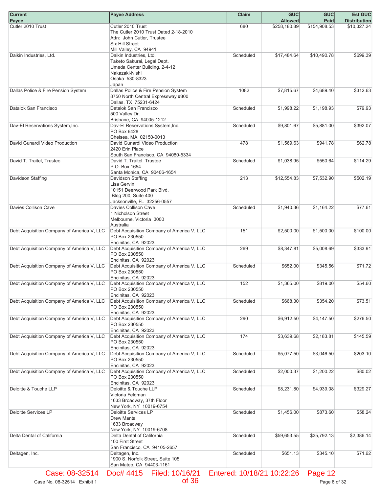| <b>Current</b>                             | <b>Payee Address</b>                                            | Claim                      | <b>GUC</b>  | <b>GUC</b>                                                                                                                                                                                                                                                                                                     | Est GUC                            |
|--------------------------------------------|-----------------------------------------------------------------|----------------------------|-------------|----------------------------------------------------------------------------------------------------------------------------------------------------------------------------------------------------------------------------------------------------------------------------------------------------------------|------------------------------------|
| Payee<br>Cutler 2010 Trust                 | Cutler 2010 Trust                                               | 680                        |             |                                                                                                                                                                                                                                                                                                                | <b>Distribution</b><br>\$10,327.24 |
|                                            | The Cutler 2010 Trust Dated 2-18-2010                           |                            |             |                                                                                                                                                                                                                                                                                                                |                                    |
|                                            | Attn: John Cutler, Trustee                                      |                            |             |                                                                                                                                                                                                                                                                                                                |                                    |
|                                            | Six Hill Street                                                 |                            |             | Paid<br>\$154,908.53<br>\$10,490.78<br>\$4,689.40<br>\$1,198.93<br>\$5,881.00<br>\$941.78<br>\$550.64<br>\$7,532.90<br>\$1,164.22<br>\$1,500.00<br>\$5,008.69<br>\$345.56<br>\$819.00<br>\$354.20<br>\$4,147.50<br>\$2,183.81<br>\$3,046.50<br>\$1,200.22<br>\$4,939.08<br>\$873.60<br>\$35,792.13<br>\$345.10 |                                    |
| Daikin Industries, Ltd.                    | Mill Valley, CA 94941<br>Daikin Industries, Ltd.                | Scheduled                  |             |                                                                                                                                                                                                                                                                                                                | \$699.39                           |
|                                            | Taketo Sakurai, Legal Dept.                                     |                            |             |                                                                                                                                                                                                                                                                                                                |                                    |
|                                            | Umeda Center Building, 2-4-12                                   |                            |             |                                                                                                                                                                                                                                                                                                                |                                    |
|                                            | Nakazaki-Nishi                                                  |                            |             |                                                                                                                                                                                                                                                                                                                |                                    |
|                                            | Osaka 530-8323                                                  |                            |             |                                                                                                                                                                                                                                                                                                                |                                    |
| Dallas Police & Fire Pension System        | Japan<br>Dallas Police & Fire Pension System                    | 1082                       |             |                                                                                                                                                                                                                                                                                                                | \$312.63                           |
|                                            | 8750 North Central Expressway #800                              |                            |             |                                                                                                                                                                                                                                                                                                                |                                    |
|                                            | Dallas, TX 75231-6424                                           |                            |             |                                                                                                                                                                                                                                                                                                                |                                    |
| Datalok San Francisco                      | Datalok San Francisco                                           | Scheduled                  | \$1,998.22  |                                                                                                                                                                                                                                                                                                                | \$79.93                            |
|                                            | 500 Valley Dr.                                                  |                            |             |                                                                                                                                                                                                                                                                                                                |                                    |
| Dav-El Reservations System, Inc.           | Brisbane, CA 94005-1212<br>Dav-El Reservations System, Inc.     | Scheduled                  |             |                                                                                                                                                                                                                                                                                                                | \$392.07                           |
|                                            | PO Box 6428                                                     |                            |             |                                                                                                                                                                                                                                                                                                                |                                    |
|                                            | Chelsea, MA 02150-0013                                          |                            |             |                                                                                                                                                                                                                                                                                                                |                                    |
| David Gunardi Video Production             | David Gunardi Video Production                                  | 478                        | \$1,569.63  |                                                                                                                                                                                                                                                                                                                | \$62.78                            |
|                                            | 2420 Erin Place                                                 |                            |             |                                                                                                                                                                                                                                                                                                                |                                    |
| David T. Traitel, Trustee                  | South San Francisco, CA 94080-5334<br>David T. Traitel, Trustee | Scheduled                  |             |                                                                                                                                                                                                                                                                                                                | \$114.29                           |
|                                            | P.O. Box 1654                                                   |                            |             | <b>Allowed</b><br>\$258,180.89<br>\$17,484.64<br>\$7,815.67<br>\$9,801.67<br>\$1,038.95<br>\$2,500.00<br>\$652.00<br>\$668.30<br>\$3,639.68<br>\$5,077.50<br>\$2,000.37<br>\$8,231.80<br>\$1,456.00<br>\$651.13<br>Page 12                                                                                     |                                    |
|                                            | Santa Monica, CA 90406-1654                                     |                            |             |                                                                                                                                                                                                                                                                                                                |                                    |
| Davidson Staffing                          | Davidson Staffing                                               | 213                        | \$12,554.83 |                                                                                                                                                                                                                                                                                                                | \$502.19                           |
|                                            | Lisa Gervin                                                     |                            |             |                                                                                                                                                                                                                                                                                                                |                                    |
|                                            | 10151 Deerwood Park Blvd.                                       |                            |             |                                                                                                                                                                                                                                                                                                                |                                    |
|                                            | <b>Bldg 200, Suite 400</b><br>Jacksonville, FL 32256-0557       |                            |             |                                                                                                                                                                                                                                                                                                                |                                    |
| Davies Collison Cave                       | Davies Collison Cave                                            | Scheduled                  | \$1,940.36  |                                                                                                                                                                                                                                                                                                                | \$77.61                            |
|                                            | 1 Nicholson Street                                              |                            |             |                                                                                                                                                                                                                                                                                                                |                                    |
|                                            | Melbourne, Victoria 3000                                        |                            |             |                                                                                                                                                                                                                                                                                                                |                                    |
|                                            | Australia                                                       |                            |             |                                                                                                                                                                                                                                                                                                                |                                    |
| Debt Acquisition Company of America V, LLC | Debt Acquisition Company of America V, LLC<br>PO Box 230550     | 151                        |             |                                                                                                                                                                                                                                                                                                                | \$100.00                           |
|                                            | Encinitas, CA 92023                                             |                            |             |                                                                                                                                                                                                                                                                                                                |                                    |
| Debt Acquisition Company of America V, LLC | Debt Acquisition Company of America V, LLC                      | 269                        | \$8,347.81  |                                                                                                                                                                                                                                                                                                                | \$333.91                           |
|                                            | PO Box 230550                                                   |                            |             |                                                                                                                                                                                                                                                                                                                |                                    |
|                                            | Encinitas, CA 92023                                             |                            |             |                                                                                                                                                                                                                                                                                                                |                                    |
| Debt Acquisition Company of America V, LLC | Debt Acquisition Company of America V, LLC<br>PO Box 230550     | Scheduled                  |             |                                                                                                                                                                                                                                                                                                                | \$71.72                            |
|                                            | Encinitas, CA 92023                                             |                            |             |                                                                                                                                                                                                                                                                                                                |                                    |
| Debt Acquisition Company of America V, LLC | Debt Acquisition Company of America V, LLC                      | 152                        | \$1,365.00  |                                                                                                                                                                                                                                                                                                                | \$54.60                            |
|                                            | PO Box 230550                                                   |                            |             |                                                                                                                                                                                                                                                                                                                |                                    |
|                                            | Encinitas, CA 92023                                             |                            |             |                                                                                                                                                                                                                                                                                                                |                                    |
| Debt Acquisition Company of America V, LLC | Debt Acquisition Company of America V, LLC<br>PO Box 230550     | Scheduled                  |             |                                                                                                                                                                                                                                                                                                                | \$73.51                            |
|                                            | Encinitas, CA 92023                                             |                            |             |                                                                                                                                                                                                                                                                                                                |                                    |
| Debt Acquisition Company of America V, LLC | Debt Acquisition Company of America V, LLC                      | 290                        | \$6,912.50  |                                                                                                                                                                                                                                                                                                                | \$276.50                           |
|                                            | PO Box 230550                                                   |                            |             |                                                                                                                                                                                                                                                                                                                |                                    |
|                                            | Encinitas, CA 92023                                             |                            |             |                                                                                                                                                                                                                                                                                                                |                                    |
| Debt Acquisition Company of America V, LLC | Debt Acquisition Company of America V, LLC                      | 174                        |             | Page 8 of 32                                                                                                                                                                                                                                                                                                   | \$145.59                           |
|                                            | PO Box 230550<br>Encinitas, CA 92023                            |                            |             |                                                                                                                                                                                                                                                                                                                |                                    |
| Debt Acquisition Company of America V, LLC | Debt Acquisition Company of America V, LLC                      | Scheduled                  |             |                                                                                                                                                                                                                                                                                                                | \$203.10                           |
|                                            | PO Box 230550                                                   |                            |             |                                                                                                                                                                                                                                                                                                                |                                    |
|                                            | Encinitas, CA 92023                                             |                            |             |                                                                                                                                                                                                                                                                                                                |                                    |
| Debt Acquisition Company of America V, LLC | Debt Acquisition Company of America V, LLC                      | Scheduled                  |             |                                                                                                                                                                                                                                                                                                                | \$80.02                            |
|                                            | PO Box 230550<br>Encinitas, CA 92023                            |                            |             |                                                                                                                                                                                                                                                                                                                |                                    |
| Deloitte & Touche LLP                      | Deloitte & Touche LLP                                           | Scheduled                  |             |                                                                                                                                                                                                                                                                                                                | \$329.27                           |
|                                            | Victoria Feldman                                                |                            |             |                                                                                                                                                                                                                                                                                                                |                                    |
|                                            | 1633 Broadway, 37th Floor                                       |                            |             |                                                                                                                                                                                                                                                                                                                |                                    |
|                                            | New York, NY 10019-6754                                         |                            |             |                                                                                                                                                                                                                                                                                                                |                                    |
| Deloitte Services LP                       | <b>Deloitte Services LP</b>                                     | Scheduled                  |             |                                                                                                                                                                                                                                                                                                                | \$58.24                            |
|                                            | Drew Manta<br>1633 Broadway                                     |                            |             |                                                                                                                                                                                                                                                                                                                |                                    |
|                                            | New York, NY 10019-6708                                         |                            |             |                                                                                                                                                                                                                                                                                                                |                                    |
| Delta Dental of California                 | Delta Dental of California                                      | Scheduled                  | \$59,653.55 |                                                                                                                                                                                                                                                                                                                | \$2,386.14                         |
|                                            | 100 First Street                                                |                            |             |                                                                                                                                                                                                                                                                                                                |                                    |
|                                            | San Francisco, CA 94105-2657                                    |                            |             |                                                                                                                                                                                                                                                                                                                |                                    |
| Deltagen, Inc.                             | Deltagen, Inc.<br>1900 S. Norfolk Street, Suite 105             | Scheduled                  |             |                                                                                                                                                                                                                                                                                                                | \$71.62                            |
|                                            | San Mateo, CA 94403-1161                                        |                            |             |                                                                                                                                                                                                                                                                                                                |                                    |
|                                            |                                                                 |                            |             |                                                                                                                                                                                                                                                                                                                |                                    |
| Case: 08-32514                             | Filed: 10/16/21<br>Doc# 4415                                    | Entered: 10/18/21 10:22:26 |             |                                                                                                                                                                                                                                                                                                                |                                    |
| Case No. 08-32514 Exhibit 1                | of 36                                                           |                            |             |                                                                                                                                                                                                                                                                                                                |                                    |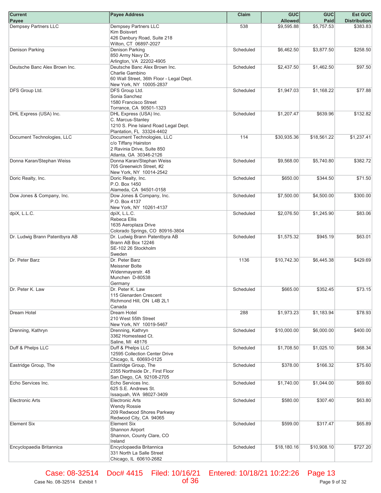| Current                        | <b>Payee Address</b>                       | Claim                                                                                                                                                                                                                                                                                                                                                                                                                                                                                                 | <b>GUC</b>  | <b>GUC</b>                                                                                                                                                                  | <b>Est GUC</b>      |
|--------------------------------|--------------------------------------------|-------------------------------------------------------------------------------------------------------------------------------------------------------------------------------------------------------------------------------------------------------------------------------------------------------------------------------------------------------------------------------------------------------------------------------------------------------------------------------------------------------|-------------|-----------------------------------------------------------------------------------------------------------------------------------------------------------------------------|---------------------|
| Payee                          |                                            |                                                                                                                                                                                                                                                                                                                                                                                                                                                                                                       | Allowed     | Paid                                                                                                                                                                        | <b>Distribution</b> |
| <b>Dempsey Partners LLC</b>    | <b>Dempsey Partners LLC</b>                | 538                                                                                                                                                                                                                                                                                                                                                                                                                                                                                                   | \$9,595.88  | \$5,757.53                                                                                                                                                                  | \$383.83            |
|                                | Kim Boisvert                               |                                                                                                                                                                                                                                                                                                                                                                                                                                                                                                       |             |                                                                                                                                                                             |                     |
|                                | 426 Danbury Road, Suite 218                |                                                                                                                                                                                                                                                                                                                                                                                                                                                                                                       |             |                                                                                                                                                                             |                     |
|                                | Wilton, CT 06897-2027                      |                                                                                                                                                                                                                                                                                                                                                                                                                                                                                                       |             |                                                                                                                                                                             |                     |
| Denison Parking                | Denison Parking                            |                                                                                                                                                                                                                                                                                                                                                                                                                                                                                                       |             | \$3,877.50<br>\$1,462.50<br>\$1,168.22<br>\$639.96<br>\$18,561.22<br>\$5,740.80<br>\$344.50<br>\$4,500.00<br>\$1,245.90<br>\$945.19<br>\$6,445.38<br>\$352.45<br>\$1,183.94 | \$258.50            |
|                                | 850 Army Navy Dr.                          |                                                                                                                                                                                                                                                                                                                                                                                                                                                                                                       |             |                                                                                                                                                                             |                     |
|                                | Arlington, VA 22202-4905                   |                                                                                                                                                                                                                                                                                                                                                                                                                                                                                                       |             |                                                                                                                                                                             |                     |
| Deutsche Banc Alex Brown Inc.  | Deutsche Banc Alex Brown Inc.              |                                                                                                                                                                                                                                                                                                                                                                                                                                                                                                       |             |                                                                                                                                                                             | \$97.50             |
|                                | Charlie Gambino                            |                                                                                                                                                                                                                                                                                                                                                                                                                                                                                                       |             |                                                                                                                                                                             |                     |
|                                | 60 Wall Street, 36th Floor - Legal Dept.   |                                                                                                                                                                                                                                                                                                                                                                                                                                                                                                       |             |                                                                                                                                                                             |                     |
| <b>DFS Group Ltd.</b>          | New York, NY 10005-2837                    |                                                                                                                                                                                                                                                                                                                                                                                                                                                                                                       |             |                                                                                                                                                                             |                     |
|                                | DFS Group Ltd.                             |                                                                                                                                                                                                                                                                                                                                                                                                                                                                                                       |             |                                                                                                                                                                             | \$77.88             |
|                                | Sonia Sanchez<br>1580 Francisco Street     |                                                                                                                                                                                                                                                                                                                                                                                                                                                                                                       |             |                                                                                                                                                                             |                     |
|                                | Torrance, CA 90501-1323                    |                                                                                                                                                                                                                                                                                                                                                                                                                                                                                                       |             |                                                                                                                                                                             |                     |
| DHL Express (USA) Inc.         | DHL Express (USA) Inc.                     |                                                                                                                                                                                                                                                                                                                                                                                                                                                                                                       |             |                                                                                                                                                                             | \$132.82            |
|                                | C. Marcus-Stanley                          |                                                                                                                                                                                                                                                                                                                                                                                                                                                                                                       |             |                                                                                                                                                                             |                     |
|                                | 1210 S. Pine Island Road Legal Dept.       |                                                                                                                                                                                                                                                                                                                                                                                                                                                                                                       |             |                                                                                                                                                                             |                     |
|                                | Plantation, FL 33324-4402                  |                                                                                                                                                                                                                                                                                                                                                                                                                                                                                                       |             |                                                                                                                                                                             |                     |
| Document Technologies, LLC     | Document Technologies, LLC                 |                                                                                                                                                                                                                                                                                                                                                                                                                                                                                                       |             |                                                                                                                                                                             | \$1,237.41          |
|                                | c/o Tiffany Hairston                       |                                                                                                                                                                                                                                                                                                                                                                                                                                                                                                       |             |                                                                                                                                                                             |                     |
|                                | 2 Ravinia Drive, Suite 850                 |                                                                                                                                                                                                                                                                                                                                                                                                                                                                                                       |             |                                                                                                                                                                             |                     |
|                                | Atlanta, GA 30346-2126                     |                                                                                                                                                                                                                                                                                                                                                                                                                                                                                                       |             |                                                                                                                                                                             |                     |
| Donna Karan/Stephan Weiss      | Donna Karan/Stephan Weiss                  | Scheduled<br>\$6,462.50<br>Scheduled<br>\$2,437.50<br>Scheduled<br>\$1,947.03<br>Scheduled<br>\$1,207.47<br>114<br>\$30,935.36<br>Scheduled<br>\$9,568.00<br>Scheduled<br>\$650.00<br>Scheduled<br>\$7,500.00<br>Scheduled<br>\$2,076.50<br>Scheduled<br>\$1,575.32<br>1136<br>\$10,742.30<br>\$665.00<br>Scheduled<br>288<br>\$1,973.23<br>Scheduled<br>\$10,000.00<br>Scheduled<br>\$1,708.50<br>Scheduled<br>\$378.00<br>Scheduled<br>\$1,740.00<br>Scheduled<br>\$580.00<br>Scheduled<br>\$599.00 |             | \$382.72                                                                                                                                                                    |                     |
|                                | 705 Greenwich Street. #2                   |                                                                                                                                                                                                                                                                                                                                                                                                                                                                                                       |             | \$6,000.00<br>\$1,025.10<br>\$166.32<br>\$1,044.00<br>\$307.40<br>\$317.47<br>\$10,908.10                                                                                   |                     |
|                                | New York, NY 10014-2542                    |                                                                                                                                                                                                                                                                                                                                                                                                                                                                                                       |             |                                                                                                                                                                             |                     |
| Doric Realty, Inc.             | Doric Realty, Inc.                         |                                                                                                                                                                                                                                                                                                                                                                                                                                                                                                       |             |                                                                                                                                                                             | \$71.50             |
|                                | P.O. Box 1450                              |                                                                                                                                                                                                                                                                                                                                                                                                                                                                                                       |             |                                                                                                                                                                             |                     |
|                                | Alameda, CA 94501-0158                     |                                                                                                                                                                                                                                                                                                                                                                                                                                                                                                       |             |                                                                                                                                                                             |                     |
| Dow Jones & Company, Inc.      | Dow Jones & Company, Inc.                  |                                                                                                                                                                                                                                                                                                                                                                                                                                                                                                       |             |                                                                                                                                                                             | \$300.00            |
|                                | P.O. Box 4137                              |                                                                                                                                                                                                                                                                                                                                                                                                                                                                                                       |             |                                                                                                                                                                             |                     |
|                                | New York, NY 10261-4137                    |                                                                                                                                                                                                                                                                                                                                                                                                                                                                                                       |             |                                                                                                                                                                             |                     |
| dpiX, L.L.C.                   | dpiX, L.L.C.                               |                                                                                                                                                                                                                                                                                                                                                                                                                                                                                                       |             |                                                                                                                                                                             | \$83.06             |
|                                | <b>Rebeca Ellis</b>                        |                                                                                                                                                                                                                                                                                                                                                                                                                                                                                                       |             |                                                                                                                                                                             |                     |
|                                | 1635 Aeroplaza Drive                       |                                                                                                                                                                                                                                                                                                                                                                                                                                                                                                       |             |                                                                                                                                                                             |                     |
|                                | Colorado Springs, CO 80916-3804            |                                                                                                                                                                                                                                                                                                                                                                                                                                                                                                       |             |                                                                                                                                                                             |                     |
| Dr. Ludwig Brann Patentbyra AB | Dr. Ludwig Brann Patentbyra AB             |                                                                                                                                                                                                                                                                                                                                                                                                                                                                                                       |             |                                                                                                                                                                             | \$63.01             |
|                                | Brann AB Box 12246                         |                                                                                                                                                                                                                                                                                                                                                                                                                                                                                                       |             |                                                                                                                                                                             |                     |
|                                | SE-102 26 Stockholm                        |                                                                                                                                                                                                                                                                                                                                                                                                                                                                                                       |             |                                                                                                                                                                             |                     |
|                                | Sweden                                     |                                                                                                                                                                                                                                                                                                                                                                                                                                                                                                       |             |                                                                                                                                                                             |                     |
| Dr. Peter Barz                 | Dr. Peter Barz                             |                                                                                                                                                                                                                                                                                                                                                                                                                                                                                                       |             |                                                                                                                                                                             | \$429.69            |
|                                | Meissner Bolte                             |                                                                                                                                                                                                                                                                                                                                                                                                                                                                                                       |             |                                                                                                                                                                             |                     |
|                                | Widenmayerstr. 48                          |                                                                                                                                                                                                                                                                                                                                                                                                                                                                                                       |             |                                                                                                                                                                             |                     |
|                                | Munchen D-80538                            |                                                                                                                                                                                                                                                                                                                                                                                                                                                                                                       |             |                                                                                                                                                                             |                     |
|                                | Germany                                    |                                                                                                                                                                                                                                                                                                                                                                                                                                                                                                       |             |                                                                                                                                                                             |                     |
| Dr. Peter K. Law               | Dr. Peter K. Law<br>115 Glenarden Crescent |                                                                                                                                                                                                                                                                                                                                                                                                                                                                                                       |             |                                                                                                                                                                             | \$73.15             |
|                                | Richmond Hill, ON L4B 2L1                  |                                                                                                                                                                                                                                                                                                                                                                                                                                                                                                       |             |                                                                                                                                                                             |                     |
|                                | Canada                                     |                                                                                                                                                                                                                                                                                                                                                                                                                                                                                                       |             |                                                                                                                                                                             |                     |
| <b>Dream Hotel</b>             | Dream Hotel                                |                                                                                                                                                                                                                                                                                                                                                                                                                                                                                                       |             | \$78.93                                                                                                                                                                     |                     |
|                                | 210 West 55th Street                       |                                                                                                                                                                                                                                                                                                                                                                                                                                                                                                       |             |                                                                                                                                                                             |                     |
|                                | New York, NY 10019-5467                    |                                                                                                                                                                                                                                                                                                                                                                                                                                                                                                       |             |                                                                                                                                                                             |                     |
| Drenning, Kathryn              | Drenning, Kathryn                          |                                                                                                                                                                                                                                                                                                                                                                                                                                                                                                       |             |                                                                                                                                                                             | \$400.00            |
|                                | 3362 Homestead Ct.                         |                                                                                                                                                                                                                                                                                                                                                                                                                                                                                                       |             |                                                                                                                                                                             |                     |
|                                | Saline, MI 48176                           |                                                                                                                                                                                                                                                                                                                                                                                                                                                                                                       |             |                                                                                                                                                                             |                     |
| Duff & Phelps LLC              | Duff & Phelps LLC                          |                                                                                                                                                                                                                                                                                                                                                                                                                                                                                                       |             |                                                                                                                                                                             | \$68.34             |
|                                | 12595 Collection Center Drive              |                                                                                                                                                                                                                                                                                                                                                                                                                                                                                                       |             |                                                                                                                                                                             |                     |
|                                | Chicago, IL 60693-0125                     |                                                                                                                                                                                                                                                                                                                                                                                                                                                                                                       |             |                                                                                                                                                                             |                     |
| Eastridge Group, The           | Eastridge Group, The                       |                                                                                                                                                                                                                                                                                                                                                                                                                                                                                                       |             |                                                                                                                                                                             | \$75.60             |
|                                | 2355 Northside Dr., First Floor            |                                                                                                                                                                                                                                                                                                                                                                                                                                                                                                       |             |                                                                                                                                                                             |                     |
|                                | San Diego, CA 92108-2705                   |                                                                                                                                                                                                                                                                                                                                                                                                                                                                                                       |             |                                                                                                                                                                             |                     |
| Echo Services Inc.             | Echo Services Inc.                         |                                                                                                                                                                                                                                                                                                                                                                                                                                                                                                       |             |                                                                                                                                                                             | \$69.60             |
|                                | 625 S.E. Andrews St.                       |                                                                                                                                                                                                                                                                                                                                                                                                                                                                                                       |             |                                                                                                                                                                             |                     |
|                                | Issaquah, WA 98027-3409                    |                                                                                                                                                                                                                                                                                                                                                                                                                                                                                                       |             |                                                                                                                                                                             |                     |
| <b>Electronic Arts</b>         | <b>Electronic Arts</b>                     |                                                                                                                                                                                                                                                                                                                                                                                                                                                                                                       |             |                                                                                                                                                                             | \$63.80             |
|                                | <b>Wendy Rossie</b>                        |                                                                                                                                                                                                                                                                                                                                                                                                                                                                                                       |             |                                                                                                                                                                             |                     |
|                                | 209 Redwood Shores Parkway                 |                                                                                                                                                                                                                                                                                                                                                                                                                                                                                                       |             |                                                                                                                                                                             |                     |
|                                | Redwood City, CA 94065                     |                                                                                                                                                                                                                                                                                                                                                                                                                                                                                                       |             |                                                                                                                                                                             |                     |
| <b>Element Six</b>             | <b>Element Six</b>                         |                                                                                                                                                                                                                                                                                                                                                                                                                                                                                                       |             |                                                                                                                                                                             | \$65.89             |
|                                | Shannon Airport                            |                                                                                                                                                                                                                                                                                                                                                                                                                                                                                                       |             |                                                                                                                                                                             |                     |
|                                | Shannon, County Clare, CO                  |                                                                                                                                                                                                                                                                                                                                                                                                                                                                                                       |             |                                                                                                                                                                             |                     |
|                                | Ireland                                    |                                                                                                                                                                                                                                                                                                                                                                                                                                                                                                       |             |                                                                                                                                                                             |                     |
| Encyclopaedia Britannica       | Encyclopaedia Britannica                   | Scheduled                                                                                                                                                                                                                                                                                                                                                                                                                                                                                             | \$18,180.16 |                                                                                                                                                                             | \$727.20            |
|                                | 331 North La Salle Street                  |                                                                                                                                                                                                                                                                                                                                                                                                                                                                                                       |             |                                                                                                                                                                             |                     |
|                                | Chicago, IL 60610-2682                     |                                                                                                                                                                                                                                                                                                                                                                                                                                                                                                       |             |                                                                                                                                                                             |                     |

Case: 08-32514 Doc# 4415 Filed: 10/16/21 Entered: 10/18/21 10:22:26 Page 13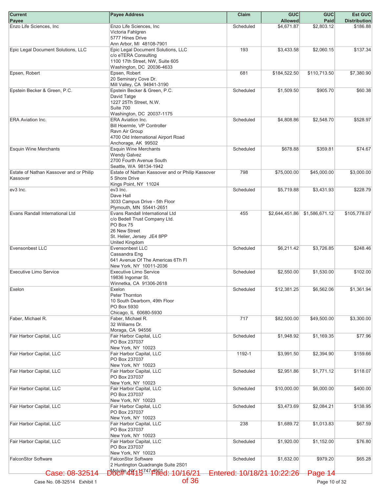| <b>Current</b>                                      | <b>Payee Address</b>                                              | Claim     | <b>GUC</b>     | <b>GUC</b>     | Est GUC             |
|-----------------------------------------------------|-------------------------------------------------------------------|-----------|----------------|----------------|---------------------|
| Payee                                               |                                                                   |           | Allowed        | Paid           | <b>Distribution</b> |
| Enzo Life Sciences, Inc                             | Enzo Life Sciences, Inc.<br>Victoria Fahlgren                     | Scheduled | \$4,671.87     | \$2,803.12     | \$186.88            |
|                                                     | 5777 Hines Drive                                                  |           |                |                |                     |
|                                                     | Ann Arbor, MI 48108-7901                                          |           |                |                |                     |
| Epic Legal Document Solutions, LLC                  | Epic Legal Document Solutions, LLC                                | 193       | \$3,433.58     | \$2,060.15     | \$137.34            |
|                                                     | c/o eTERA Consulting                                              |           |                |                |                     |
|                                                     | 1100 17th Street, NW, Suite 605                                   |           |                |                |                     |
|                                                     | Washington, DC 20036-4633                                         |           |                |                |                     |
| Epsen, Robert                                       | Epsen, Robert                                                     | 681       | \$184,522.50   | \$110,713.50   | \$7,380.90          |
|                                                     | 20 Seminary Cove Dr.<br>Mill Valley, CA 94941-3190                |           |                |                |                     |
| Epstein Becker & Green, P.C.                        | Epstein Becker & Green, P.C.                                      | Scheduled | \$1,509.50     | \$905.70       | \$60.38             |
|                                                     | David Tatge                                                       |           |                |                |                     |
|                                                     | 1227 25Th Street, N.W.                                            |           |                |                |                     |
|                                                     | Suite 700                                                         |           |                |                |                     |
|                                                     | Washington, DC 20037-1175                                         |           |                |                |                     |
| <b>ERA Aviation Inc.</b>                            | ERA Aviation Inc.                                                 | Scheduled | \$4,808.86     | \$2,548.70     | \$528.97            |
|                                                     | Bill Hoermle, VP Controller<br>Ravn Air Group                     |           |                |                |                     |
|                                                     | 4700 Old International Airport Road                               |           |                |                |                     |
|                                                     | Anchorage, AK 99502                                               |           |                |                |                     |
| <b>Esquin Wine Merchants</b>                        | <b>Esquin Wine Merchants</b>                                      | Scheduled | \$678.88       | \$359.81       | \$74.67             |
|                                                     | <b>Wendy Galvez</b>                                               |           |                |                |                     |
|                                                     | 2700 Fourth Avenue South                                          |           |                |                |                     |
|                                                     | Seattle, WA 98134-1942                                            |           |                |                |                     |
| Estate of Nathan Kassover and or Philip<br>Kassover | Estate of Nathan Kassover and or Philip Kassover<br>5 Shore Drive | 798       | \$75,000.00    | \$45,000.00    | \$3,000.00          |
|                                                     | Kings Point, NY 11024                                             |           |                |                |                     |
| ev3 Inc.                                            | ev3 Inc.                                                          | Scheduled | \$5,719.88     | \$3,431.93     | \$228.79            |
|                                                     | Dave Hall                                                         |           |                |                |                     |
|                                                     | 3033 Campus Drive - 5th Floor                                     |           |                |                |                     |
|                                                     | Plymouth, MN 55441-2651                                           |           |                |                |                     |
| Evans Randall International Ltd                     | Evans Randall International Ltd                                   | 455       | \$2,644,451.86 | \$1,586,671.12 | \$105,778.07        |
|                                                     | c/o Bedell Trust Company Ltd.<br>PO Box 75                        |           |                |                |                     |
|                                                     | 26 New Street                                                     |           |                |                |                     |
|                                                     | St. Helier, Jersey JE4 8PP                                        |           |                |                |                     |
|                                                     | United Kingdom                                                    |           |                |                |                     |
| <b>Evensonbest LLC</b>                              | Evensonbest LLC                                                   | Scheduled | \$6,211.42     | \$3,726.85     | \$248.46            |
|                                                     | Cassandra Eng                                                     |           |                |                |                     |
|                                                     | 641 Avenue Of The Americas 6Th FI                                 |           |                |                |                     |
| <b>Executive Limo Service</b>                       | New York, NY 10011-2036<br><b>Executive Limo Service</b>          | Scheduled |                | \$1,530.00     | \$102.00            |
|                                                     | 19836 Ingomar St.                                                 |           | \$2,550.00     |                |                     |
|                                                     | Winnetka, CA 91306-2618                                           |           |                |                |                     |
| Exelon                                              | Exelon                                                            | Scheduled | \$12,381.25    | \$6,562.06     | \$1,361.94          |
|                                                     | Peter Thornton                                                    |           |                |                |                     |
|                                                     | 10 South Dearborn, 49th Floor                                     |           |                |                |                     |
|                                                     | PO Box 5930                                                       |           |                |                |                     |
| Faber, Michael R.                                   | Chicago, IL 60680-5930<br>Faber, Michael R.                       | 717       | \$82,500.00    | \$49,500.00    | \$3,300.00          |
|                                                     | 32 Williams Dr.                                                   |           |                |                |                     |
|                                                     | Moraga, CA 94556                                                  |           |                |                |                     |
| Fair Harbor Capital, LLC                            | Fair Harbor Capital, LLC                                          | Scheduled | \$1,948.92     | \$1,169.35     | \$77.96             |
|                                                     | PO Box 237037                                                     |           |                |                |                     |
|                                                     | New York, NY 10023                                                |           |                |                |                     |
| Fair Harbor Capital, LLC                            | Fair Harbor Capital, LLC                                          | 1192-1    | \$3,991.50     | \$2,394.90     | \$159.66            |
|                                                     | PO Box 237037<br>New York, NY 10023                               |           |                |                |                     |
| Fair Harbor Capital, LLC                            | Fair Harbor Capital, LLC                                          | Scheduled | \$2,951.86     | \$1,771.12     | \$118.07            |
|                                                     | PO Box 237037                                                     |           |                |                |                     |
|                                                     | New York, NY 10023                                                |           |                |                |                     |
| Fair Harbor Capital, LLC                            | Fair Harbor Capital, LLC                                          | Scheduled | \$10,000.00    | \$6,000.00     | \$400.00            |
|                                                     | PO Box 237037                                                     |           |                |                |                     |
|                                                     | New York, NY 10023                                                |           |                |                |                     |
| Fair Harbor Capital, LLC                            | Fair Harbor Capital, LLC<br>PO Box 237037                         | Scheduled | \$3,473.69     | \$2,084.21     | \$138.95            |
|                                                     | New York, NY 10023                                                |           |                |                |                     |
| Fair Harbor Capital, LLC                            | Fair Harbor Capital, LLC                                          | 238       | \$1,689.72     | \$1,013.83     | \$67.59             |
|                                                     | PO Box 237037                                                     |           |                |                |                     |
|                                                     | New York, NY 10023                                                |           |                |                |                     |
| Fair Harbor Capital, LLC                            | Fair Harbor Capital, LLC                                          | Scheduled | \$1,920.00     | \$1,152.00     | \$76.80             |
|                                                     | PO Box 237037                                                     |           |                |                |                     |
| <b>FalconStor Software</b>                          | New York, NY 10023<br><b>FalconStor Software</b>                  | Scheduled | \$1,632.00     | \$979.20       | \$65.28             |
|                                                     | 2 Huntington Quadrangle Suite 2S01                                |           |                |                |                     |
|                                                     | <u>Welville, AV 1 H 747 A501 d:</u>                               |           |                |                |                     |
| Case: 08-32514                                      | 10/16/21 Entered: 10/18/21 10:22:26                               |           |                | Page 14        |                     |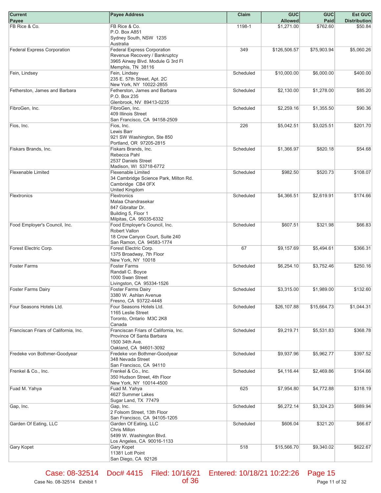| Current                               | <b>Payee Address</b>                                               | Claim     | <b>GUC</b>   | <b>GUC</b>  | <b>Est GUC</b>      |
|---------------------------------------|--------------------------------------------------------------------|-----------|--------------|-------------|---------------------|
| Payee                                 |                                                                    |           | Allowed      | Paid        | <b>Distribution</b> |
| FB Rice & Co.                         | FB Rice & Co.<br>P.O. Box A851                                     | 1198-1    | \$1,271.00   | \$762.60    | \$50.84             |
|                                       | Sydney South, NSW 1235                                             |           |              |             |                     |
|                                       | Australia                                                          |           |              |             |                     |
| <b>Federal Express Corporation</b>    | <b>Federal Express Corporation</b>                                 | 349       | \$126,506.57 | \$75,903.94 | \$5,060.26          |
|                                       | Revenue Recovery / Bankruptcy                                      |           |              |             |                     |
|                                       | 3965 Airway Blvd. Module G 3rd Fl                                  |           |              |             |                     |
|                                       | Memphis, TN 38116                                                  |           |              |             |                     |
| Fein, Lindsey                         | Fein, Lindsey                                                      | Scheduled | \$10,000.00  | \$6,000.00  | \$400.00            |
|                                       | 235 E. 57th Street, Apt. 2C<br>New York, NY 10022-2855             |           |              |             |                     |
| Fetherston, James and Barbara         | Fetherston, James and Barbara                                      | Scheduled | \$2,130.00   | \$1,278.00  | \$85.20             |
|                                       | P.O. Box 235                                                       |           |              |             |                     |
|                                       | Glenbrook, NV 89413-0235                                           |           |              |             |                     |
| FibroGen, Inc.                        | FibroGen, Inc.                                                     | Scheduled | \$2,259.16   | \$1,355.50  | \$90.36             |
|                                       | 409 Illinois Street                                                |           |              |             |                     |
|                                       | San Francisco, CA 94158-2509                                       | 226       |              | \$3,025.51  | \$201.70            |
| Fios, Inc.                            | Fios, Inc.<br>Lewis Barr                                           |           | \$5,042.51   |             |                     |
|                                       | 921 SW Washington, Ste 850                                         |           |              |             |                     |
|                                       | Portland, OR 97205-2815                                            |           |              |             |                     |
| Fiskars Brands, Inc.                  | Fiskars Brands, Inc.                                               | Scheduled | \$1,366.97   | \$820.18    | \$54.68             |
|                                       | Rebecca Pahl                                                       |           |              |             |                     |
|                                       | 2537 Daniels Street                                                |           |              |             |                     |
|                                       | Madison, WI 53718-6772                                             |           |              |             |                     |
| <b>Flexenable Limited</b>             | <b>Flexenable Limited</b><br>34 Cambridge Science Park, Milton Rd. | Scheduled | \$982.50     | \$520.73    | \$108.07            |
|                                       | Cambridge CB4 0FX                                                  |           |              |             |                     |
|                                       | <b>United Kingdom</b>                                              |           |              |             |                     |
| Flextronics                           | Flextronics                                                        | Scheduled | \$4,366.51   | \$2,619.91  | \$174.66            |
|                                       | Malaa Chandrasekar                                                 |           |              |             |                     |
|                                       | 847 Gibraltar Dr.                                                  |           |              |             |                     |
|                                       | Building 5, Floor 1                                                |           |              |             |                     |
|                                       | Milpitas, CA 95035-6332                                            |           |              |             |                     |
| Food Employer's Council, Inc.         | Food Employer's Council, Inc.                                      | Scheduled | \$607.51     | \$321.98    | \$66.83             |
|                                       | Robert Vallon                                                      |           |              |             |                     |
|                                       | 18 Crow Canyon Court, Suite 240<br>San Ramon, CA 94583-1774        |           |              |             |                     |
| Forest Electric Corp.                 | Forest Electric Corp.                                              | 67        | \$9,157.69   | \$5,494.61  | \$366.31            |
|                                       | 1375 Broadway, 7th Floor                                           |           |              |             |                     |
|                                       | New York, NY 10018                                                 |           |              |             |                     |
| <b>Foster Farms</b>                   | <b>Foster Farms</b>                                                | Scheduled | \$6,254.10   | \$3,752.46  | \$250.16            |
|                                       | Randall C. Boyce                                                   |           |              |             |                     |
|                                       | 1000 Swan Street                                                   |           |              |             |                     |
|                                       | Livingston, CA 95334-1526                                          |           |              |             | \$132.60            |
| <b>Foster Farms Dairy</b>             | <b>Foster Farms Dairy</b><br>3380 W. Ashlan Avenue                 | Scheduled | \$3,315.00   | \$1,989.00  |                     |
|                                       | Fresno, CA 93722-4448                                              |           |              |             |                     |
| Four Seasons Hotels Ltd.              | Four Seasons Hotels Ltd.                                           | Scheduled | \$26,107.88  | \$15,664.73 | \$1,044.31          |
|                                       | 1165 Leslie Street                                                 |           |              |             |                     |
|                                       | Toronto, Ontario M3C 2K8                                           |           |              |             |                     |
|                                       | Canada                                                             |           |              |             |                     |
| Franciscan Friars of California, Inc. | Franciscan Friars of California, Inc.                              | Scheduled | \$9,219.71   | \$5,531.83  | \$368.78            |
|                                       | Province Of Santa Barbara                                          |           |              |             |                     |
|                                       | 1500 34th Ave.<br>Oakland, CA 94601-3092                           |           |              |             |                     |
| Fredeke von Bothmer-Goodyear          | Fredeke von Bothmer-Goodyear                                       | Scheduled | \$9,937.96   | \$5,962.77  | \$397.52            |
|                                       | 348 Nevada Street                                                  |           |              |             |                     |
|                                       | San Francisco, CA 94110                                            |           |              |             |                     |
| Frenkel & Co., Inc.                   | Frenkel & Co., Inc.                                                | Scheduled | \$4,116.44   | \$2,469.86  | \$164.66            |
|                                       | 350 Hudson Street, 4th Floor                                       |           |              |             |                     |
|                                       | New York, NY 10014-4500                                            |           |              |             |                     |
| Fuad M. Yahya                         | Fuad M. Yahya                                                      | 625       | \$7,954.80   | \$4,772.88  | \$318.19            |
|                                       | 4627 Summer Lakes                                                  |           |              |             |                     |
|                                       | Sugar Land, TX 77479                                               | Scheduled |              |             |                     |
| Gap, Inc.                             | Gap, Inc.<br>2 Folsom Street, 13th Floor                           |           | \$6,272.14   | \$3,324.23  | \$689.94            |
|                                       | San Francisco, CA 94105-1205                                       |           |              |             |                     |
| Garden Of Eating, LLC                 | Garden Of Eating, LLC                                              | Scheduled | \$606.04     | \$321.20    | \$66.67             |
|                                       | Chris Millon                                                       |           |              |             |                     |
|                                       | 5499 W. Washington Blvd.                                           |           |              |             |                     |
|                                       | Los Angeles, CA 90016-1133                                         |           |              |             |                     |
| Gary Kopet                            | Gary Kopet                                                         | 518       | \$15,566.70  | \$9,340.02  | \$622.67            |
|                                       | 11381 Lott Point                                                   |           |              |             |                     |
|                                       | San Diego, CA 92126                                                |           |              |             |                     |

Case: 08-32514 Doc# 4415 Filed: 10/16/21 Entered: 10/18/21 10:22:26 Page 15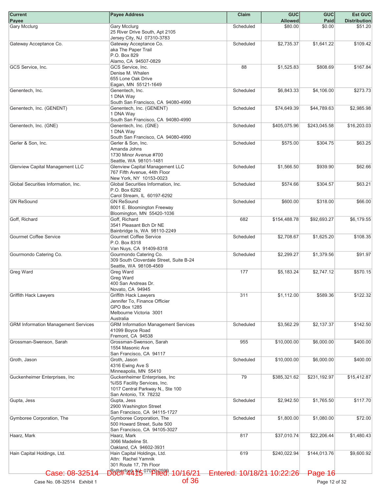| <b>Current</b>                             | <b>Payee Address</b>                                              | Claim     | GUC          | <b>GUC</b>   | <b>Est GUC</b>      |
|--------------------------------------------|-------------------------------------------------------------------|-----------|--------------|--------------|---------------------|
| Payee                                      |                                                                   |           | Allowed      | Paid         | <b>Distribution</b> |
| <b>Gary Mcclurg</b>                        | <b>Gary Mcclurg</b>                                               | Scheduled | \$80.00      | \$0.00       | \$51.20             |
|                                            | 25 River Drive South, Apt 2105                                    |           |              |              |                     |
| Gateway Acceptance Co.                     | Jersey City, NJ 07310-3783<br>Gateway Acceptance Co.              |           |              | \$1,641.22   | \$109.42            |
|                                            | aka The Paper Trail                                               | Scheduled | \$2,735.37   |              |                     |
|                                            | P.O. Box 829                                                      |           |              |              |                     |
|                                            | Alamo, CA 94507-0829                                              |           |              |              |                     |
| GCS Service, Inc.                          | GCS Service, Inc.                                                 | 88        | \$1,525.83   | \$808.69     | \$167.84            |
|                                            | Denise M. Whalen                                                  |           |              |              |                     |
|                                            | 655 Lone Oak Drive                                                |           |              |              |                     |
|                                            | Eagan, MN 55121-1649                                              |           |              |              |                     |
| Genentech, Inc.                            | Genentech, Inc.                                                   | Scheduled | \$6,843.33   | \$4,106.00   | \$273.73            |
|                                            | 1 DNA Way                                                         |           |              |              |                     |
|                                            | South San Francisco, CA 94080-4990                                |           |              |              |                     |
| Genentech, Inc. (GENENT)                   | Genentech, Inc. (GENENT)                                          | Scheduled | \$74,649.39  | \$44,789.63  | \$2,985.98          |
|                                            | 1 DNA Way                                                         |           |              |              |                     |
|                                            | South San Francisco, CA 94080-4990                                |           |              |              |                     |
| Genentech, Inc. (GNE)                      | Genentech, Inc. (GNE)                                             | Scheduled | \$405,075.96 | \$243,045.58 | \$16,203.03         |
|                                            | 1 DNA Way                                                         |           |              |              |                     |
|                                            | South San Francisco, CA 94080-4990                                |           |              |              |                     |
| Gerler & Son, Inc.                         | Gerler & Son, Inc.                                                | Scheduled | \$575.00     | \$304.75     | \$63.25             |
|                                            | Amanda Johns<br>1730 Minor Avenue #700                            |           |              |              |                     |
|                                            | Seattle, WA 98101-1481                                            |           |              |              |                     |
| <b>Glenview Capital Management LLC</b>     | <b>Glenview Capital Management LLC</b>                            | Scheduled | \$1,566.50   | \$939.90     | \$62.66             |
|                                            | 767 Fifth Avenue, 44th Floor                                      |           |              |              |                     |
|                                            | New York, NY 10153-0023                                           |           |              |              |                     |
| Global Securities Information, Inc.        | Global Securities Information, Inc.                               | Scheduled | \$574.66     | \$304.57     | \$63.21             |
|                                            | P.O. Box 6292                                                     |           |              |              |                     |
|                                            | Carol Stream, IL 60197-6292                                       |           |              |              |                     |
| <b>GN ReSound</b>                          | <b>GN ReSound</b>                                                 | Scheduled | \$600.00     | \$318.00     | \$66.00             |
|                                            | 8001 E. Bloomington Freeway                                       |           |              |              |                     |
|                                            | Bloomington, MN 55420-1036                                        |           |              |              |                     |
| Goff, Richard                              | Goff, Richard                                                     | 682       | \$154,488.78 | \$92,693.27  | \$6,179.55          |
|                                            | 3541 Pleasant Bch Dr NE                                           |           |              |              |                     |
|                                            | Bainbridge Is, WA 98110-2249                                      |           |              |              |                     |
| <b>Gourmet Coffee Service</b>              | <b>Gourmet Coffee Service</b>                                     | Scheduled | \$2,708.67   | \$1,625.20   | \$108.35            |
|                                            | P.O. Box 8318                                                     |           |              |              |                     |
|                                            | Van Nuys, CA 91409-8318                                           |           |              |              |                     |
| Gourmondo Catering Co.                     | Gourmondo Catering Co.                                            | Scheduled | \$2,299.27   | \$1,379.56   | \$91.97             |
|                                            | 309 South Cloverdale Street, Suite B-24<br>Seattle, WA 98108-4569 |           |              |              |                     |
| <b>Greg Ward</b>                           | Greg Ward                                                         | 177       | \$5,183.24   | \$2,747.12   | \$570.15            |
|                                            | Greg Ward                                                         |           |              |              |                     |
|                                            | 400 San Andreas Dr.                                               |           |              |              |                     |
|                                            | Novato, CA 94945                                                  |           |              |              |                     |
| <b>Griffith Hack Lawyers</b>               | Griffith Hack Lawyers                                             | 311       | \$1,112.00   | \$589.36     | \$122.32            |
|                                            | Jennifer To, Finance Officier                                     |           |              |              |                     |
|                                            | <b>GPO Box 1285</b>                                               |           |              |              |                     |
|                                            | Melbourne Victoria 3001                                           |           |              |              |                     |
|                                            | Australia                                                         |           |              |              |                     |
| <b>GRM Information Management Services</b> | <b>GRM Information Management Services</b>                        | Scheduled | \$3,562.29   | \$2,137.37   | \$142.50            |
|                                            | 41099 Boyce Road                                                  |           |              |              |                     |
|                                            | Fremont, CA 94538                                                 |           |              |              |                     |
| Grossman-Swenson, Sarah                    | Grossman-Swenson, Sarah                                           | 955       | \$10,000.00  | \$6,000.00   | \$400.00            |
|                                            | 1554 Masonic Ave                                                  |           |              |              |                     |
|                                            | San Francisco, CA 94117                                           |           |              |              |                     |
| Groth, Jason                               | Groth, Jason                                                      | Scheduled | \$10,000.00  | \$6,000.00   | \$400.00            |
|                                            | 4316 Ewing Ave S<br>Minneapolis, MN 55410                         |           |              |              |                     |
| Guckenheimer Enterprises, Inc.             | Guckenheimer Enterprises, Inc.                                    | 79        | \$385,321.62 | \$231,192.97 | \$15,412.87         |
|                                            | %ISS Facility Services, Inc.                                      |           |              |              |                     |
|                                            | 1017 Central Parkway N., Ste 100                                  |           |              |              |                     |
|                                            | San Antonio, TX 78232                                             |           |              |              |                     |
| Gupta, Jess                                | Gupta, Jess                                                       | Scheduled | \$2,942.50   | \$1,765.50   | \$117.70            |
|                                            | 2900 Washington Street                                            |           |              |              |                     |
|                                            | San Francisco, CA 94115-1727                                      |           |              |              |                     |
| Gymboree Corporation, The                  | Gymboree Corporation, The                                         | Scheduled | \$1,800.00   | \$1,080.00   | \$72.00             |
|                                            | 500 Howard Street, Suite 500                                      |           |              |              |                     |
|                                            | San Francisco, CA 94105-3027                                      |           |              |              |                     |
| Haarz, Mark                                | Haarz, Mark                                                       | 817       | \$37,010.74  | \$22,206.44  | \$1,480.43          |
|                                            | 3066 Madeline St.                                                 |           |              |              |                     |
|                                            | Oakland, CA 94602-3931                                            |           |              |              |                     |
| Hain Capital Holdings, Ltd.                | Hain Capital Holdings, Ltd.                                       | 619       | \$240,022.94 | \$144,013.76 | \$9,600.92          |
|                                            | Attn: Rachel Yamnik                                               |           |              |              |                     |
|                                            | 301 Route 17, 7th Floor                                           |           |              |              |                     |
| Case: 08-32514                             | <u> 500#f91415 070점i688 10/16/21 Entered: 10/18/21 10:22:26</u>   |           |              | Page 16      |                     |
|                                            |                                                                   |           |              |              |                     |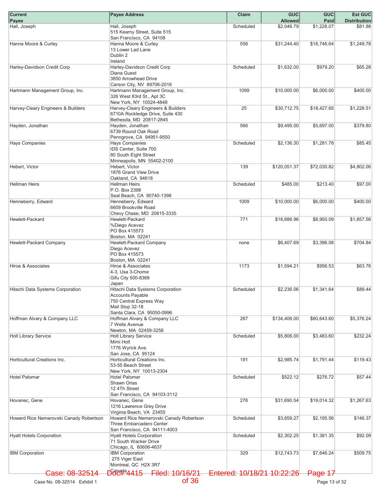| Current                                 | <b>Payee Address</b>                                                                                | Claim     | <b>GUC</b>   | <b>GUC</b>  | <b>Est GUC</b>      |
|-----------------------------------------|-----------------------------------------------------------------------------------------------------|-----------|--------------|-------------|---------------------|
| Payee                                   |                                                                                                     |           | Allowed      | Paid        | <b>Distribution</b> |
| Hall, Joseph                            | Hall, Joseph<br>515 Kearny Street, Suite 515<br>San Francisco, CA 94108                             | Scheduled | \$2,046.79   | \$1,228.07  | \$81.88             |
| Hanna Moore & Curley                    | Hanna Moore & Curley                                                                                | 556       | \$31,244.40  | \$18.746.64 | \$1,249.78          |
|                                         | 13 Lower Lad Lane<br>Dublin 2<br>Ireland                                                            |           |              |             |                     |
| Harley-Davidson Credit Corp             | Harley-Davidson Credit Corp                                                                         | Scheduled | \$1,632.00   | \$979.20    | \$65.28             |
|                                         | Diana Guest<br>3850 Arrowhead Drive<br>Carson City, NV 89706-2016                                   |           |              |             |                     |
| Hartmann Management Group, Inc.         | Hartmann Management Group, Inc.<br>326 West 83rd St., Apt 3C<br>New York, NY 10024-4848             | 1099      | \$10,000.00  | \$6,000.00  | \$400.00            |
| Harvey-Cleary Engineers & Builders      | Harvey-Cleary Engineers & Builders<br>6710A Rockledge Drive, Suite 430<br>Bethesda, MD 20817-2845   | 25        | \$30,712.75  | \$18,427.65 | \$1,228.51          |
| Hayden, Jonathan                        | Hayden, Jonathan                                                                                    | 566       | \$9,495.00   | \$5,697.00  | \$379.80            |
|                                         | 6739 Round Oak Road<br>Penngrove, CA 94951-9550                                                     |           |              |             |                     |
| <b>Hays Companies</b>                   | <b>Hays Companies</b><br>IDS Center, Suite 700<br>80 South Eight Street                             | Scheduled | \$2,136.30   | \$1,281.78  | \$85.45             |
| Hebert, Victor                          | Minneapolis, MN 55402-2100<br>Hebert, Victor                                                        | 139       | \$120,051.37 | \$72,030.82 | \$4,802.06          |
|                                         | 1876 Grand View Drive<br>Oakland, CA 94618                                                          |           |              |             |                     |
| <b>Hellman Heirs</b>                    | <b>Hellman Heirs</b><br>P.O. Box 2398<br>Seal Beach, CA 90740-1398                                  | Scheduled | \$485.00     | \$213.40    | \$97.00             |
| Henneberry, Edward                      | Henneberry, Edward                                                                                  | 1009      | \$10,000.00  | \$6,000.00  | \$400.00            |
|                                         | 6609 Brookville Road<br>Chevy Chase, MD 20815-3335                                                  |           |              |             |                     |
| <b>Hewlett-Packard</b>                  | Hewlett-Packard                                                                                     | 771       | \$16,886.96  | \$8,950.09  | \$1,857.56          |
|                                         | %Diego Acevez<br>PO Box 415573<br>Boston, MA 02241                                                  |           |              |             |                     |
| <b>Hewlett-Packard Company</b>          | Hewlett-Packard Company                                                                             | none      | \$6,407.69   | \$3,396.08  | \$704.84            |
|                                         | Diego Acevez<br>PO Box 415573                                                                       |           |              |             |                     |
| Hiroe & Associates                      | Boston, MA 02241<br>Hiroe & Associates                                                              | 1173      | \$1,594.21   | \$956.53    | \$63.76             |
|                                         | 4-3, Usa 3-Chome<br>Gifu City 500-8368                                                              |           |              |             |                     |
| Hitachi Data Systems Corporation        | Japan<br>Hitachi Data Systems Corporation                                                           | Scheduled | \$2,236.06   | \$1,341.64  | \$89.44             |
|                                         | <b>Accounts Payable</b><br>750 Central Express Way<br>Mail Stop 32-18<br>Santa Clara, CA 95050-0996 |           |              |             |                     |
| Hoffman Alvary & Company LLC            | Hoffman Alvary & Company LLC                                                                        | 267       | \$134,406.00 | \$80,643.60 | \$5,376.24          |
|                                         | 7 Wells Avenue<br>Newton, MA 02459-3258                                                             |           |              |             |                     |
| <b>Holt Library Service</b>             | <b>Holt Library Service</b>                                                                         | Scheduled | \$5,806.00   | \$3,483.60  | \$232.24            |
|                                         | Mimi Holt<br>1776 Wyrick Ave.<br>San Jose, CA 95124                                                 |           |              |             |                     |
| Horticultural Creations Inc.            | <b>Horticultural Creations Inc.</b><br>53-55 Beach Street<br>New York, NY 10013-2304                | 191       | \$2,985.74   | \$1,791.44  | \$119.43            |
| <b>Hotel Palomar</b>                    | <b>Hotel Palomar</b>                                                                                | Scheduled | \$522.12     | \$276.72    | \$57.44             |
|                                         | Shawn Orias<br>12 4Th Street<br>San Francisco, CA 94103-3112                                        |           |              |             |                     |
| Hovanec, Gene                           | Hovanec, Gene<br>1216 Lawrence Grey Drive<br>Virginia Beach, VA 23455                               | 276       | \$31,690.54  | \$19,014.32 | \$1,267.63          |
| Howard Rice Nemerovski Canady Robertson | Howard Rice Nemerovski Canady Robertson<br>Three Embarcadero Center                                 | Scheduled | \$3,659.27   | \$2,195.56  | \$146.37            |
| <b>Hyatt Hotels Corporation</b>         | San Francisco, CA 94111-4003<br><b>Hyatt Hotels Corporation</b>                                     | Scheduled | \$2,302.25   | \$1,381.35  | \$92.09             |
|                                         | 71 South Wacker Drive<br>Chicago, IL 60606-4637                                                     |           |              |             |                     |
| <b>IBM Corporation</b>                  | <b>IBM Corporation</b><br>275 Viger East<br>Montreal, QC H2X 3R7                                    | 329       | \$12,743.73  | \$7,646.24  | \$509.75            |
| Case: 08-32514                          | <b>Sapada 44</b><br>Filed: 10/16/21   Entered: 10/18/21   10:22:26   Page 17                        |           |              |             |                     |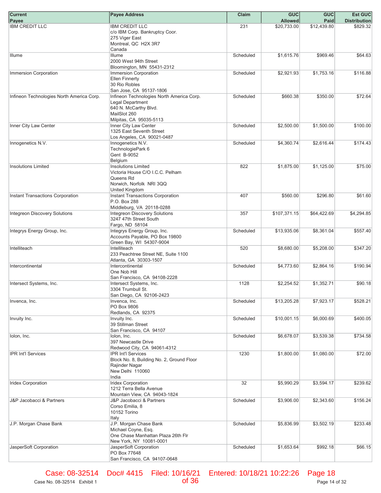| Current                                   | <b>Payee Address</b>                                                   | Claim     | <b>GUC</b>     | <b>GUC</b>  | Est GUC             |
|-------------------------------------------|------------------------------------------------------------------------|-----------|----------------|-------------|---------------------|
| Payee                                     |                                                                        |           | <b>Allowed</b> | Paid        | <b>Distribution</b> |
| <b>IBM CREDIT LLC</b>                     | <b>IBM CREDIT LLC</b>                                                  | 231       | \$20,733.00    | \$12,439.80 | \$829.32            |
|                                           | c/o IBM Corp. Bankruptcy Coor.                                         |           |                |             |                     |
|                                           | 275 Viger East                                                         |           |                |             |                     |
|                                           | Montreal, QC H2X 3R7                                                   |           |                |             |                     |
|                                           | Canada                                                                 |           |                |             |                     |
| Illume                                    | Illume                                                                 | Scheduled | \$1.615.76     | \$969.46    | \$64.63             |
|                                           | 2000 West 94th Street<br>Bloomington, MN 55431-2312                    |           |                |             |                     |
| Immersion Corporation                     | <b>Immersion Corporation</b>                                           | Scheduled | \$2,921.93     | \$1,753.16  | \$116.88            |
|                                           | <b>Ellen Finnerty</b>                                                  |           |                |             |                     |
|                                           | 30 Rio Robles                                                          |           |                |             |                     |
|                                           | San Jose, CA 95137-1806                                                |           |                |             |                     |
| Infineon Technologies North America Corp. | Infineon Technologies North America Corp.                              | Scheduled | \$660.38       | \$350.00    | \$72.64             |
|                                           | Legal Department                                                       |           |                |             |                     |
|                                           | 640 N. McCarthy Blvd.                                                  |           |                |             |                     |
|                                           | MailSlot 260                                                           |           |                |             |                     |
|                                           | Milpitas, CA 95035-5113                                                |           |                |             |                     |
| Inner City Law Center                     | Inner City Law Center                                                  | Scheduled | \$2,500.00     | \$1,500.00  | \$100.00            |
|                                           | 1325 East Seventh Street                                               |           |                |             |                     |
|                                           | Los Angeles, CA 90021-0487                                             |           |                |             |                     |
| Innogenetics N.V.                         | Innogenetics N.V.                                                      | Scheduled | \$4,360.74     | \$2,616.44  | \$174.43            |
|                                           | TechnologiePark 6                                                      |           |                |             |                     |
|                                           | Gent B-9052                                                            |           |                |             |                     |
|                                           | Belgium                                                                |           |                |             |                     |
| <b>Insolutions Limited</b>                | <b>Insolutions Limited</b>                                             | 822       | \$1,875.00     | \$1.125.00  | \$75.00             |
|                                           | Victoria House C/O I.C.C. Pelham                                       |           |                |             |                     |
|                                           | Queens Rd                                                              |           |                |             |                     |
|                                           | Norwich, Norfolk NRI 3QQ                                               |           |                |             |                     |
|                                           | United Kingdom                                                         |           |                |             |                     |
| Instant Transactions Corporation          | Instant Transactions Corporation                                       | 407       | \$560.00       | \$296.80    | \$61.60             |
|                                           | P.O. Box 288                                                           |           |                |             |                     |
|                                           | Middleburg, VA 20118-0288                                              |           |                |             |                     |
| <b>Integreon Discovery Solutions</b>      | <b>Integreon Discovery Solutions</b><br>3247 47th Street South         | 357       | \$107,371.15   | \$64,422.69 | \$4,294.85          |
|                                           |                                                                        |           |                |             |                     |
| Integrys Energy Group, Inc.               | Fargo, ND 58104<br>Integrys Energy Group, Inc.                         | Scheduled | \$13,935.06    | \$8,361.04  | \$557.40            |
|                                           | Accounts Payable, PO Box 19800                                         |           |                |             |                     |
|                                           | Green Bay, WI 54307-9004                                               |           |                |             |                     |
| Intelliteach                              | Intelliteach                                                           | 520       | \$8,680.00     | \$5,208.00  | \$347.20            |
|                                           | 233 Peachtree Street NE, Suite 1100                                    |           |                |             |                     |
|                                           | Atlanta, GA 30303-1507                                                 |           |                |             |                     |
| Intercontinental                          | Intercontinental                                                       | Scheduled | \$4,773.60     | \$2,864.16  | \$190.94            |
|                                           | One Nob Hill                                                           |           |                |             |                     |
|                                           | San Francisco, CA 94108-2228                                           |           |                |             |                     |
| Intersect Systems, Inc.                   | Intersect Systems, Inc.                                                | 1128      | \$2,254.52     | \$1,352.71  | \$90.18             |
|                                           | 3304 Trumbull St.                                                      |           |                |             |                     |
|                                           | San Diego, CA 92106-2423                                               |           |                |             |                     |
| Invenca, Inc.                             | Invenca, Inc.                                                          | Scheduled | \$13,205.28    | \$7,923.17  | \$528.21            |
|                                           | PO Box 9806                                                            |           |                |             |                     |
|                                           | Redlands, CA 92375                                                     |           |                |             |                     |
| Invuity Inc.                              | Invuity Inc.                                                           | Scheduled | \$10,001.15    | \$6,000.69  | \$400.05            |
|                                           | 39 Stillman Street                                                     |           |                |             |                     |
|                                           | San Francisco, CA 94107                                                |           |                |             |                     |
| Iolon, Inc.                               | lolon, Inc.                                                            | Scheduled | \$6,678.07     | \$3,539.38  | \$734.58            |
|                                           | 397 Newcastle Drive                                                    |           |                |             |                     |
|                                           | Redwood City, CA 94061-4312                                            |           |                |             |                     |
| <b>IPR Int'l Services</b>                 | <b>IPR Int'l Services</b><br>Block No. 8, Building No. 2, Ground Floor | 1230      | \$1,800.00     | \$1,080.00  | \$72.00             |
|                                           | Rajinder Nagar                                                         |           |                |             |                     |
|                                           | New Delhi 110060                                                       |           |                |             |                     |
|                                           | India                                                                  |           |                |             |                     |
| <b>Iridex Corporation</b>                 | Iridex Corporation                                                     | 32        | \$5,990.29     | \$3,594.17  | \$239.62            |
|                                           | 1212 Terra Bella Avenue                                                |           |                |             |                     |
|                                           | Mountain View, CA 94043-1824                                           |           |                |             |                     |
| J&P Jacobacci & Partners                  | J&P Jacobacci & Partners                                               | Scheduled | \$3,906.00     | \$2,343.60  | \$156.24            |
|                                           | Corso Emilia, 8                                                        |           |                |             |                     |
|                                           | 10152 Torino                                                           |           |                |             |                     |
|                                           | Italy                                                                  |           |                |             |                     |
| J.P. Morgan Chase Bank                    | J.P. Morgan Chase Bank                                                 | Scheduled | \$5,836.99     | \$3,502.19  | \$233.48            |
|                                           | Michael Coyne, Esq.                                                    |           |                |             |                     |
|                                           | One Chase Manhattan Plaza 26th Flr                                     |           |                |             |                     |
|                                           | New York, NY 10081-0001                                                |           |                |             |                     |
| JasperSoft Corporation                    | JasperSoft Corporation                                                 | Scheduled | \$1,653.64     | \$992.18    | \$66.15             |
|                                           | PO Box 77648                                                           |           |                |             |                     |
|                                           | San Francisco, CA 94107-0648                                           |           |                |             |                     |

Case: 08-32514 Doc# 4415 Filed: 10/16/21 Entered: 10/18/21 10:22:26 of 36

Page 18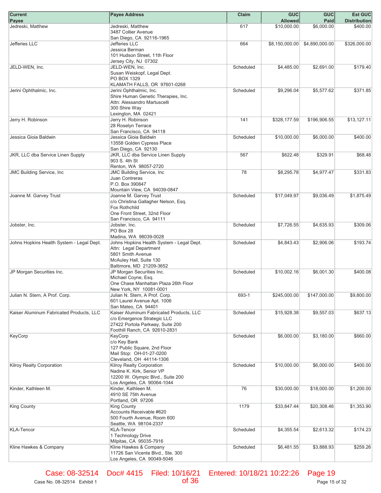| Current                                   | <b>Payee Address</b>                      | Claim     | <b>GUC</b>     | <b>GUC</b>     | <b>Est GUC</b>      |
|-------------------------------------------|-------------------------------------------|-----------|----------------|----------------|---------------------|
| Payee                                     |                                           |           | Allowed        | Paid           | <b>Distribution</b> |
| Jedreski, Matthew                         | Jedreski, Matthew                         | 617       | \$10,000.00    | \$6,000.00     | \$400.00            |
|                                           | 3487 Collier Avenue                       |           |                |                |                     |
|                                           | San Diego, CA 92116-1965                  |           |                |                |                     |
|                                           |                                           |           |                |                |                     |
| Jefferies LLC                             | Jefferies LLC                             | 664       | \$8,150,000.00 | \$4,890,000.00 | \$326,000.00        |
|                                           | Jessica Berman                            |           |                |                |                     |
|                                           | 101 Hudson Street, 11th Floor             |           |                |                |                     |
|                                           | Jersey City, NJ 07302                     |           |                |                |                     |
| JELD-WEN, Inc.                            | JELD-WEN, Inc.                            | Scheduled | \$4,485.00     | \$2,691.00     | \$179.40            |
|                                           | Susan Weiskopf, Legal Dept.               |           |                |                |                     |
|                                           | PO BOX 1329                               |           |                |                |                     |
|                                           |                                           |           |                |                |                     |
|                                           | KLAMATH FALLS, OR 97601-0268              |           |                |                |                     |
| Jerini Ophthalmic, Inc.                   | Jerini Ophthalmic, Inc.                   | Scheduled | \$9,296.04     | \$5,577.62     | \$371.85            |
|                                           | Shire Human Genetic Therapies, Inc.       |           |                |                |                     |
|                                           | Attn: Alessandro Martuscelli              |           |                |                |                     |
|                                           | 300 Shire Way                             |           |                |                |                     |
|                                           | Lexington, MA 02421                       |           |                |                |                     |
| Jerry H. Robinson                         | Jerry H. Robinson                         | 141       | \$328,177.59   | \$196,906.55   | \$13,127.11         |
|                                           | 28 Roselyn Terrace                        |           |                |                |                     |
|                                           |                                           |           |                |                |                     |
|                                           | San Francisco, CA 94118                   |           |                |                |                     |
| Jessica Gioia Baldwin                     | Jessica Gioia Baldwin                     | Scheduled | \$10,000.00    | \$6,000.00     | \$400.00            |
|                                           | 13558 Golden Cypress Place                |           |                |                |                     |
|                                           | San Diego, CA 92130                       |           |                |                |                     |
| JKR, LLC dba Service Linen Supply         | JKR, LLC dba Service Linen Supply         | 567       | \$622.48       | \$329.91       | \$68.48             |
|                                           | 903 S. 4th St                             |           |                |                |                     |
|                                           |                                           |           |                |                |                     |
|                                           | Renton, WA 98057-2720                     |           |                |                |                     |
| JMC Building Service, Inc                 | <b>JMC Building Service, Inc.</b>         | 78        | \$8,295.78     | \$4,977.47     | \$331.83            |
|                                           | Juan Contreras                            |           |                |                |                     |
|                                           | P.O. Box 390847                           |           |                |                |                     |
|                                           | Mountain View, CA 94039-0847              |           |                |                |                     |
| Joanne M. Garvey Trust                    | Joanne M. Garvey Trust                    | Scheduled | \$17,049.97    | \$9,036.49     | \$1,875.49          |
|                                           |                                           |           |                |                |                     |
|                                           | c/o Christina Gallagher Nelson, Esq.      |           |                |                |                     |
|                                           | Fox Rothchild                             |           |                |                |                     |
|                                           | One Front Street, 32nd Floor              |           |                |                |                     |
|                                           | San Francisco, CA 94111                   |           |                |                |                     |
| Jobster, Inc.                             | Jobster, Inc.                             | Scheduled | \$7,726.55     | \$4,635.93     | \$309.06            |
|                                           | PO Box 28                                 |           |                |                |                     |
|                                           | Madina, WA 98039-0028                     |           |                |                |                     |
|                                           |                                           |           |                |                |                     |
| Johns Hopkins Health System - Legal Dept. | Johns Hopkins Health System - Legal Dept. | Scheduled | \$4,843.43     | \$2,906.06     | \$193.74            |
|                                           | Attn: Legal Department                    |           |                |                |                     |
|                                           | 5801 Smith Avenue                         |           |                |                |                     |
|                                           | McAuley Hall, Suite 130                   |           |                |                |                     |
|                                           | Baltimore, MD 21209-3652                  |           |                |                |                     |
| JP Morgan Securities Inc.                 | JP Morgan Securities Inc.                 | Scheduled | \$10,002.16    | \$6,001.30     | \$400.08            |
|                                           | Michael Coyne, Esq.                       |           |                |                |                     |
|                                           |                                           |           |                |                |                     |
|                                           | One Chase Manhattan Plaza 26th Floor      |           |                |                |                     |
|                                           | New York, NY 10081-0001                   |           |                |                |                     |
| Julian N. Stern, A Prof. Corp.            | Julian N. Stern, A Prof. Corp.            | 693-1     | \$245,000.00   | \$147,000.00   | \$9,800.00          |
|                                           | 601 Laurel Avenue Apt. 1006               |           |                |                |                     |
|                                           | San Mateo, CA 94401                       |           |                |                |                     |
| Kaiser Aluminum Fabricated Products, LLC  | Kaiser Aluminum Fabricated Products, LLC  | Scheduled | \$15,928.38    | \$9,557.03     | \$637.13            |
|                                           |                                           |           |                |                |                     |
|                                           | c/o Emergence Strategic LLC               |           |                |                |                     |
|                                           | 27422 Portola Parkway, Suite 200          |           |                |                |                     |
|                                           | Foothill Ranch, CA 92610-2831             |           |                |                |                     |
| KeyCorp                                   | KeyCorp                                   | Scheduled | \$6,000.00     | \$3,180.00     | \$660.00            |
|                                           | c/o Key Bank                              |           |                |                |                     |
|                                           | 127 Public Square, 2nd Floor              |           |                |                |                     |
|                                           | Mail Stop: OH-01-27-0200                  |           |                |                |                     |
|                                           |                                           |           |                |                |                     |
|                                           | Cleveland, OH 44114-1306                  |           |                |                |                     |
| <b>Kilroy Realty Corporation</b>          | Kilroy Realty Corporation                 | Scheduled | \$10,000.00    | \$6,000.00     | \$400.00            |
|                                           | Nadine K. Kirk, Senior VP                 |           |                |                |                     |
|                                           | 12200 W. Olympic Blvd., Suite 200         |           |                |                |                     |
|                                           | Los Angeles, CA 90064-1044                |           |                |                |                     |
| Kinder, Kathleen M.                       | Kinder, Kathleen M.                       | 76        | \$30,000.00    | \$18,000.00    | \$1,200.00          |
|                                           | 4910 SE 75th Avenue                       |           |                |                |                     |
|                                           |                                           |           |                |                |                     |
|                                           | Portland, OR 97206                        |           |                |                |                     |
| <b>King County</b>                        | <b>King County</b>                        | 1179      | \$33,847.44    | \$20,308.46    | \$1,353.90          |
|                                           | Accounts Receivable #620                  |           |                |                |                     |
|                                           | 500 Fourth Avenue, Room 600               |           |                |                |                     |
|                                           | Seattle, WA 98104-2337                    |           |                |                |                     |
| <b>KLA-Tencor</b>                         | <b>KLA-Tencor</b>                         | Scheduled | \$4,355.54     | \$2,613.32     | \$174.23            |
|                                           | 1 Technology Drive                        |           |                |                |                     |
|                                           |                                           |           |                |                |                     |
|                                           | Milpitas, CA 95035-7916                   |           |                |                |                     |
| Kline Hawkes & Company                    | Kline Hawkes & Company                    | Scheduled | \$6,481.55     | \$3,888.93     | \$259.26            |
|                                           | 11726 San Vicente Blvd., Ste. 300         |           |                |                |                     |
|                                           | Los Angeles, CA 90049-5046                |           |                |                |                     |

Case: 08-32514 Doc# 4415 Filed: 10/16/21 Entered: 10/18/21 10:22:26<br>
of 36 Page 19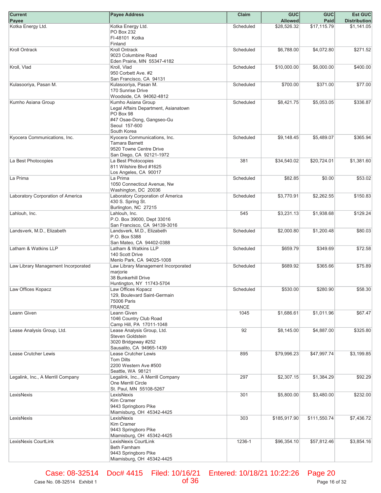| Current                             | <b>Payee Address</b>                              | Claim     | <b>GUC</b>     | <b>GUC</b>   | <b>Est GUC</b>      |
|-------------------------------------|---------------------------------------------------|-----------|----------------|--------------|---------------------|
| Payee                               |                                                   |           | <b>Allowed</b> | Paid         | <b>Distribution</b> |
| Kotka Energy Ltd.                   | Kotka Energy Ltd.                                 | Scheduled | \$28,526.32    | \$17,115.79  | \$1,141.05          |
|                                     | <b>PO Box 232</b><br>FI-48101 Kotka               |           |                |              |                     |
|                                     | Finland                                           |           |                |              |                     |
| <b>Kroll Ontrack</b>                | Kroll Ontrack                                     | Scheduled | \$6,788.00     | \$4,072.80   | \$271.52            |
|                                     | 9023 Columbine Road                               |           |                |              |                     |
|                                     | Eden Prairie, MN 55347-4182                       |           |                |              |                     |
| Kroll, Vlad                         | Kroll, Vlad                                       | Scheduled | \$10,000.00    | \$6,000.00   | \$400.00            |
|                                     | 950 Corbett Ave. #2                               |           |                |              |                     |
|                                     | San Francisco, CA 94131                           |           |                |              |                     |
| Kulasooriya, Pasan M.               | Kulasooriya, Pasan M.                             | Scheduled | \$700.00       | \$371.00     | \$77.00             |
|                                     | 170 Sunrise Drive<br>Woodside, CA 94062-4812      |           |                |              |                     |
| Kumho Asiana Group                  | Kumho Asiana Group                                | Scheduled | \$8,421.75     | \$5,053.05   | \$336.87            |
|                                     | Legal Affairs Department, Asianatown              |           |                |              |                     |
|                                     | PO Box 98                                         |           |                |              |                     |
|                                     | #47 Osae-Dong, Gangseo-Gu                         |           |                |              |                     |
|                                     | Seoul 157-600                                     |           |                |              |                     |
|                                     | South Korea                                       |           |                |              |                     |
| Kyocera Communications, Inc.        | Kyocera Communications, Inc.                      | Scheduled | \$9,148.45     | \$5,489.07   | \$365.94            |
|                                     | <b>Tamara Barnett</b><br>9520 Towne Centre Drive  |           |                |              |                     |
|                                     | San Diego, CA 92121-1972                          |           |                |              |                     |
| La Best Photocopies                 | La Best Photocopies                               | 381       | \$34,540.02    | \$20,724.01  | \$1,381.60          |
|                                     | 811 Wilshire Blvd #1625                           |           |                |              |                     |
|                                     | Los Angeles, CA 90017                             |           |                |              |                     |
| La Prima                            | La Prima                                          | Scheduled | \$82.85        | \$0.00       | \$53.02             |
|                                     | 1050 Connecticut Avenue, Nw                       |           |                |              |                     |
|                                     | Washington, DC 20036                              |           |                |              |                     |
| Laboratory Corporation of America   | Laboratory Corporation of America                 | Scheduled | \$3,770.91     | \$2,262.55   | \$150.83            |
|                                     | 430 S. Spring St.                                 |           |                |              |                     |
|                                     | Burlington, NC 27215<br>Lahlouh, Inc.             | 545       | \$3,231.13     | \$1,938.68   | \$129.24            |
| Lahlouh, Inc.                       | P.O. Box 39000, Dept 33016                        |           |                |              |                     |
|                                     | San Francisco, CA 94139-3016                      |           |                |              |                     |
| Landsverk, M.D., Elizabeth          | Landsverk, M.D., Elizabeth                        | Scheduled | \$2,000.80     | \$1,200.48   | \$80.03             |
|                                     | P.O. Box 5388                                     |           |                |              |                     |
|                                     | San Mateo, CA 94402-0388                          |           |                |              |                     |
| Latham & Watkins LLP                | Latham & Watkins LLP                              | Scheduled | \$659.79       | \$349.69     | \$72.58             |
|                                     | 140 Scott Drive<br>Menlo Park, CA 94025-1008      |           |                |              |                     |
| Law Library Management Incorporated | Law Library Management Incorporated               | Scheduled | \$689.92       | \$365.66     | \$75.89             |
|                                     | marjorie                                          |           |                |              |                     |
|                                     | 38 Bunkerhill Drive                               |           |                |              |                     |
|                                     | Huntington, NY 11743-5704                         |           |                |              |                     |
| Law Offices Kopacz                  | Law Offices Kopacz                                | Scheduled | \$530.00       | \$280.90     | \$58.30             |
|                                     | 129, Boulevard Saint-Germain                      |           |                |              |                     |
|                                     | 75006 Paris                                       |           |                |              |                     |
| Leann Given                         | <b>FRANCE</b><br>Leann Given                      | 1045      | \$1,686.61     | \$1,011.96   | \$67.47             |
|                                     | 1046 Country Club Road                            |           |                |              |                     |
|                                     | Camp Hill, PA 17011-1048                          |           |                |              |                     |
| Lease Analysis Group, Ltd.          | Lease Analysis Group, Ltd.                        | 92        | \$8,145.00     | \$4,887.00   | \$325.80            |
|                                     | Steven Goldstein                                  |           |                |              |                     |
|                                     | 3020 Bridgeway #252                               |           |                |              |                     |
|                                     | Sausalito, CA 94965-1439                          |           |                |              |                     |
| Lease Crutcher Lewis                | Lease Crutcher Lewis                              | 895       | \$79,996.23    | \$47,997.74  | \$3,199.85          |
|                                     | <b>Tom Dilts</b><br>2200 Western Ave #500         |           |                |              |                     |
|                                     | Seattle, WA 98121                                 |           |                |              |                     |
| Legalink, Inc., A Merrill Company   | Legalink, Inc., A Merrill Company                 | 297       | \$2,307.15     | \$1,384.29   | \$92.29             |
|                                     | One Merrill Circle                                |           |                |              |                     |
|                                     | St. Paul, MN 55108-5267                           |           |                |              |                     |
| LexisNexis                          | LexisNexis                                        | 301       | \$5,800.00     | \$3,480.00   | \$232.00            |
|                                     | Kim Cramer                                        |           |                |              |                     |
|                                     | 9443 Springboro Pike<br>Miamisburg, OH 45342-4425 |           |                |              |                     |
| LexisNexis                          | LexisNexis                                        | 303       | \$185,917.90   | \$111,550.74 | \$7,436.72          |
|                                     | Kim Cramer                                        |           |                |              |                     |
|                                     | 9443 Springboro Pike                              |           |                |              |                     |
|                                     | Miamisburg, OH 45342-4425                         |           |                |              |                     |
| LexisNexis CourtLink                | LexisNexis CourtLink                              | 1236-1    | \$96,354.10    | \$57,812.46  | \$3,854.16          |
|                                     | <b>Beth Farnham</b>                               |           |                |              |                     |
|                                     | 9443 Springboro Pike                              |           |                |              |                     |
|                                     | Miamisburg, OH 45342-4425                         |           |                |              |                     |

Case: 08-32514 Doc# 4415 Filed: 10/16/21 Entered: 10/18/21 10:22:26 Page 20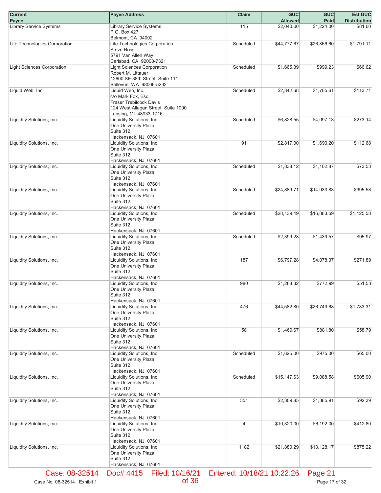| <b>Current</b>                    | <b>Payee Address</b>                              | Claim                      | <b>GUC</b>   | <b>GUC</b>  | Est GUC             |
|-----------------------------------|---------------------------------------------------|----------------------------|--------------|-------------|---------------------|
| Payee                             |                                                   |                            | Allowed      | Paid        | <b>Distribution</b> |
| <b>Library Service Systems</b>    | <b>Library Service Systems</b><br>P.O. Box 427    | 115                        | \$2,040.00   | \$1,224.00  | \$81.60             |
|                                   | Belmont, CA 94002                                 |                            |              |             |                     |
| Life Technologies Corporation     | Life Technologies Corporation                     | Scheduled                  | \$44,777.67  | \$26,866.60 | \$1,791.11          |
|                                   | <b>Steve Ross</b>                                 |                            |              |             |                     |
|                                   | 5791 Van Allen Way                                |                            |              |             |                     |
|                                   | Carlsbad, CA 92008-7321                           |                            |              |             |                     |
| <b>Light Sciences Corporation</b> | <b>Light Sciences Corporation</b>                 | Scheduled                  | \$1,665.39   | \$999.23    | \$66.62             |
|                                   | Robert M. Littauer                                |                            |              |             |                     |
|                                   | 12600 SE 38th Street, Suite 111                   |                            |              |             |                     |
| Liquid Web, Inc.                  | Bellevue, WA 98006-5232<br>Liquid Web, Inc.       | Scheduled                  | \$2,842.68   | \$1,705.61  | \$113.71            |
|                                   | c/o Mark Fox, Esq.                                |                            |              |             |                     |
|                                   | Fraser Trebilcock Davis                           |                            |              |             |                     |
|                                   | 124 West Allagan Street, Suite 1000               |                            |              |             |                     |
|                                   | Lansing, MI 48933-1716                            |                            |              |             |                     |
| Liquidity Solutions, Inc.         | Liquidity Solutions, Inc.                         | Scheduled                  | \$6,828.55   | \$4,097.13  | \$273.14            |
|                                   | One University Plaza                              |                            |              |             |                     |
|                                   | Suite 312                                         |                            |              |             |                     |
| Liquidity Solutions, Inc.         | Hackensack, NJ 07601<br>Liquidity Solutions, Inc. | 91                         | \$2,817.00   | \$1,690.20  | \$112.68            |
|                                   | One University Plaza                              |                            |              |             |                     |
|                                   | Suite 312                                         |                            |              |             |                     |
|                                   | Hackensack, NJ 07601                              |                            |              |             |                     |
| Liquidity Solutions, Inc.         | Liquidity Solutions, Inc.                         | Scheduled                  | \$1,838.12   | \$1,102.87  | \$73.53             |
|                                   | One University Plaza                              |                            |              |             |                     |
|                                   | Suite 312                                         |                            |              |             |                     |
|                                   | Hackensack, NJ 07601                              |                            |              |             |                     |
| Liquidity Solutions, Inc.         | Liquidity Solutions, Inc.                         | Scheduled                  | \$24,889.71  | \$14,933.83 | \$995.58            |
|                                   | One University Plaza<br>Suite 312                 |                            |              |             |                     |
|                                   | Hackensack, NJ 07601                              |                            |              |             |                     |
| Liquidity Solutions, Inc.         | Liquidity Solutions, Inc.                         | Scheduled                  | \$28,139.49  | \$16,883.69 | \$1,125.58          |
|                                   | One University Plaza                              |                            |              |             |                     |
|                                   | Suite 312                                         |                            |              |             |                     |
|                                   | Hackensack, NJ 07601                              |                            |              |             |                     |
| Liquidity Solutions, Inc.         | Liquidity Solutions, Inc.                         | Scheduled                  | \$2,399.28   | \$1,439.57  | \$95.97             |
|                                   | One University Plaza                              |                            |              |             |                     |
|                                   | Suite 312<br>Hackensack, NJ 07601                 |                            |              |             |                     |
| Liquidity Solutions, Inc.         | Liquidity Solutions, Inc.                         | 187                        | \$6,797.28   | \$4,078.37  | \$271.89            |
|                                   | One University Plaza                              |                            |              |             |                     |
|                                   | Suite 312                                         |                            |              |             |                     |
|                                   | Hackensack, NJ 07601                              |                            |              |             |                     |
| Liquidity Solutions, Inc.         | Liquidity Solutions, Inc.                         | 980                        | \$1,288.32   | \$772.99    | \$51.53             |
|                                   | One University Plaza                              |                            |              |             |                     |
|                                   | Suite 312                                         |                            |              |             |                     |
| Liquidity Solutions, Inc.         | Hackensack, NJ 07601<br>Liquidity Solutions, Inc. | 476                        |              |             | \$1,783.31          |
|                                   | One University Plaza                              |                            | \$44,582.80  | \$26,749.68 |                     |
|                                   | Suite 312                                         |                            |              |             |                     |
|                                   | Hackensack, NJ 07601                              |                            |              |             |                     |
| Liquidity Solutions, Inc.         | Liquidity Solutions, Inc.                         | 58                         | \$1,469.67   | \$881.80    | \$58.79             |
|                                   | One University Plaza                              |                            |              |             |                     |
|                                   | Suite 312                                         |                            |              |             |                     |
|                                   | Hackensack, NJ 07601                              |                            |              |             |                     |
| Liquidity Solutions, Inc.         | Liquidity Solutions, Inc.                         | Scheduled                  | \$1,625.00   | \$975.00    | \$65.00             |
|                                   | One University Plaza<br>Suite 312                 |                            |              |             |                     |
|                                   | Hackensack, NJ 07601                              |                            |              |             |                     |
| Liquidity Solutions, Inc.         | Liquidity Solutions, Inc.                         | Scheduled                  | \$15, 147.63 | \$9,088.58  | \$605.90            |
|                                   | One University Plaza                              |                            |              |             |                     |
|                                   | Suite 312                                         |                            |              |             |                     |
|                                   | Hackensack, NJ 07601                              |                            |              |             |                     |
| Liquidity Solutions, Inc.         | Liquidity Solutions, Inc.                         | 351                        | \$2,309.85   | \$1,385.91  | \$92.39             |
|                                   | One University Plaza                              |                            |              |             |                     |
|                                   | Suite 312<br>Hackensack, NJ 07601                 |                            |              |             |                     |
| Liquidity Solutions, Inc.         | Liquidity Solutions, Inc.                         | 4                          | \$10,320.00  | \$6,192.00  | \$412.80            |
|                                   | One University Plaza                              |                            |              |             |                     |
|                                   | Suite 312                                         |                            |              |             |                     |
|                                   | Hackensack, NJ 07601                              |                            |              |             |                     |
| Liquidity Solutions, Inc.         | Liquidity Solutions, Inc.                         | 1182                       | \$21,880.29  | \$13,128.17 | \$875.22            |
|                                   | One University Plaza                              |                            |              |             |                     |
|                                   | Suite 312                                         |                            |              |             |                     |
|                                   | Hackensack, NJ 07601                              |                            |              |             |                     |
| Case: 08-32514                    | Filed: 10/16/21<br>Doc# 4415                      | Entered: 10/18/21 10:22:26 |              | Page 21     |                     |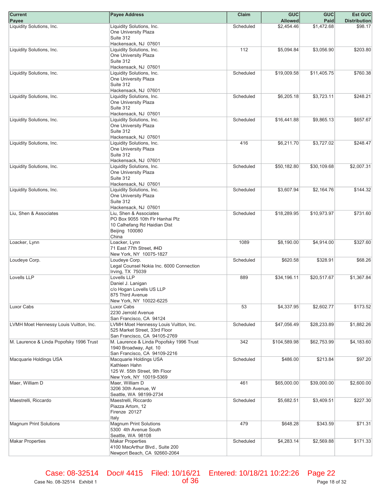| Current                                 | <b>Payee Address</b>                                              | Claim     | <b>GUC</b>   | <b>GUC</b>  | <b>Est GUC</b>      |
|-----------------------------------------|-------------------------------------------------------------------|-----------|--------------|-------------|---------------------|
| Payee                                   |                                                                   |           | Allowed      | Paid        | <b>Distribution</b> |
| Liquidity Solutions, Inc.               | Liquidity Solutions, Inc.                                         | Scheduled | \$2,454.46   | \$1,472.68  | \$98.17             |
|                                         | One University Plaza<br>Suite 312                                 |           |              |             |                     |
|                                         | Hackensack, NJ 07601                                              |           |              |             |                     |
| Liquidity Solutions, Inc.               | Liquidity Solutions, Inc.                                         | 112       | \$5,094.84   | \$3,056.90  | \$203.80            |
|                                         | One University Plaza                                              |           |              |             |                     |
|                                         | Suite 312                                                         |           |              |             |                     |
|                                         | Hackensack, NJ 07601                                              |           |              |             |                     |
| Liquidity Solutions, Inc.               | Liquidity Solutions, Inc.                                         | Scheduled | \$19,009.58  | \$11,405.75 | \$760.38            |
|                                         | One University Plaza                                              |           |              |             |                     |
|                                         | Suite 312<br>Hackensack, NJ 07601                                 |           |              |             |                     |
| Liquidity Solutions, Inc.               | Liquidity Solutions, Inc.                                         | Scheduled | \$6,205.18   | \$3,723.11  | \$248.21            |
|                                         | One University Plaza                                              |           |              |             |                     |
|                                         | Suite 312                                                         |           |              |             |                     |
|                                         | Hackensack, NJ 07601                                              |           |              |             |                     |
| Liquidity Solutions, Inc.               | Liquidity Solutions, Inc.                                         | Scheduled | \$16,441.88  | \$9,865.13  | \$657.67            |
|                                         | One University Plaza                                              |           |              |             |                     |
|                                         | Suite 312                                                         |           |              |             |                     |
| Liquidity Solutions, Inc.               | Hackensack, NJ 07601                                              |           |              |             |                     |
|                                         | Liquidity Solutions, Inc.<br>One University Plaza                 | 416       | \$6,211.70   | \$3,727.02  | \$248.47            |
|                                         | Suite 312                                                         |           |              |             |                     |
|                                         | Hackensack, NJ 07601                                              |           |              |             |                     |
| Liquidity Solutions, Inc.               | Liquidity Solutions, Inc.                                         | Scheduled | \$50,182.80  | \$30,109.68 | \$2,007.31          |
|                                         | One University Plaza                                              |           |              |             |                     |
|                                         | Suite 312                                                         |           |              |             |                     |
|                                         | Hackensack, NJ 07601                                              |           |              |             |                     |
| Liquidity Solutions, Inc.               | Liquidity Solutions, Inc.                                         | Scheduled | \$3.607.94   | \$2,164.76  | \$144.32            |
|                                         | One University Plaza                                              |           |              |             |                     |
|                                         | Suite 312                                                         |           |              |             |                     |
|                                         | Hackensack, NJ 07601                                              | Scheduled |              |             |                     |
| Liu, Shen & Associates                  | Liu, Shen & Associates<br>PO Box 9055 10th Flr Hanhai Plz         |           | \$18,289.95  | \$10,973.97 | \$731.60            |
|                                         | 10 Calhefang Rd Haidian Dist                                      |           |              |             |                     |
|                                         | <b>Beijing 100080</b>                                             |           |              |             |                     |
|                                         | China                                                             |           |              |             |                     |
| Loacker, Lynn                           | Loacker, Lynn                                                     | 1089      | \$8,190.00   | \$4,914.00  | \$327.60            |
|                                         | 71 East 77th Street, #4D                                          |           |              |             |                     |
|                                         | New York, NY 10075-1827                                           |           |              |             |                     |
| Loudeye Corp.                           | Loudeye Corp.                                                     | Scheduled | \$620.58     | \$328.91    | \$68.26             |
|                                         | Legal Counsel Nokia Inc. 6000 Connection                          |           |              |             |                     |
|                                         | Irving, TX 75039                                                  |           |              |             |                     |
| Lovells LLP                             | Lovells LLP<br>Daniel J. Lanigan                                  | 889       | \$34,196.11  | \$20,517.67 | \$1,367.84          |
|                                         | c/o Hogan Lovells US LLP                                          |           |              |             |                     |
|                                         | 875 Third Avenue                                                  |           |              |             |                     |
|                                         | New York, NY 10022-6225                                           |           |              |             |                     |
| Luxor Cabs                              | Luxor Cabs                                                        | 53        | \$4,337.95   | \$2,602.77  | \$173.52            |
|                                         | 2230 Jerrold Avenue                                               |           |              |             |                     |
|                                         | San Francisco, CA 94124                                           |           |              |             |                     |
| LVMH Moet Hennessy Louis Vuitton, Inc.  | LVMH Moet Hennessy Louis Vuitton, Inc.                            | Scheduled | \$47,056.49  | \$28,233.89 | \$1,882.26          |
|                                         | 525 Market Street, 33rd Floor                                     |           |              |             |                     |
|                                         | San Francisco, CA 94105-2769                                      |           |              |             |                     |
| M. Laurence & Linda Popofsky 1996 Trust | M. Laurence & Linda Popofsky 1996 Trust<br>1940 Broadway, Apt. 10 | 342       | \$104,589.98 | \$62,753.99 | \$4,183.60          |
|                                         | San Francisco, CA 94109-2216                                      |           |              |             |                     |
| Macquarie Holdings USA                  | Macquarie Holdings USA                                            | Scheduled | \$486.00     | \$213.84    | \$97.20             |
|                                         | Kathleen Hahn                                                     |           |              |             |                     |
|                                         | 125 W. 55th Street, 9th Floor                                     |           |              |             |                     |
|                                         | New York, NY 10019-5369                                           |           |              |             |                     |
| Maer, William D                         | Maer, William D                                                   | 461       | \$65,000.00  | \$39,000.00 | \$2,600.00          |
|                                         | 3206 30th Avenue, W                                               |           |              |             |                     |
|                                         | Seattle, WA 98199-2734                                            |           |              |             |                     |
| Maestrelli, Riccardo                    | Maestrelli, Riccardo                                              | Scheduled | \$5,682.51   | \$3,409.51  | \$227.30            |
|                                         | Piazza Artom, 12                                                  |           |              |             |                     |
|                                         | Firenze 20127                                                     |           |              |             |                     |
|                                         | Italy<br><b>Magnum Print Solutions</b>                            | 479       |              | \$343.59    | \$71.31             |
| <b>Magnum Print Solutions</b>           | 5300 4th Avenue South                                             |           | \$648.28     |             |                     |
|                                         | Seattle, WA 98108                                                 |           |              |             |                     |
| <b>Makar Properties</b>                 | <b>Makar Properties</b>                                           | Scheduled | \$4,283.14   | \$2,569.88  | \$171.33            |
|                                         | 4100 MacArthur Blvd., Suite 200                                   |           |              |             |                     |
|                                         | Newport Beach, CA 92660-2064                                      |           |              |             |                     |
|                                         |                                                                   |           |              |             |                     |

Case: 08-32514 Doc# 4415 Filed: 10/16/21 Entered: 10/18/21 10:22:26 Page 22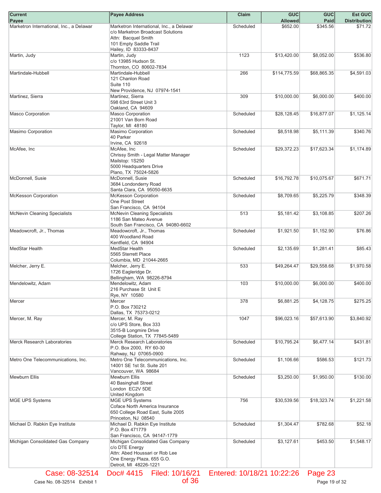| <b>Current</b>                                    | <b>Payee Address</b>                                                                              | Claim                      | <b>GUC</b>                 | <b>GUC</b>               | Est GUC                        |
|---------------------------------------------------|---------------------------------------------------------------------------------------------------|----------------------------|----------------------------|--------------------------|--------------------------------|
| Payee<br>Marketron International, Inc., a Delawar | Marketron International, Inc., a Delawar                                                          | Scheduled                  | <b>Allowed</b><br>\$652.00 | Paid<br>\$345.56         | <b>Distribution</b><br>\$71.72 |
|                                                   | c/o Marketron Broadcast Solutions                                                                 |                            |                            |                          |                                |
|                                                   | Attn: Bacquel Smith<br>101 Empty Saddle Trail                                                     |                            |                            |                          |                                |
| Martin, Judy                                      | Hailey, ID 83333-8437<br>Martin, Judy                                                             | 1123                       | \$13,420.00                | \$8,052.00               | \$536.80                       |
|                                                   | c/o 13985 Hudson St.<br>Thornton, CO 80602-7834                                                   |                            |                            |                          |                                |
| Martindale-Hubbell                                | Martindale-Hubbell<br>121 Chanlon Road<br>Suite 110                                               | 266                        | \$114,775.59               | \$68,865.35              | \$4,591.03                     |
|                                                   | New Providence, NJ 07974-1541                                                                     |                            |                            |                          |                                |
| Martinez, Sierra                                  | Martinez, Sierra                                                                                  | 309                        | \$10,000.00                | \$6,000.00               | \$400.00                       |
|                                                   | 598 63rd Street Unit 3<br>Oakland, CA 94609                                                       |                            |                            |                          |                                |
| Masco Corporation                                 | <b>Masco Corporation</b><br>21001 Van Born Road                                                   | Scheduled                  | \$28,128.45                | \$16,877.07              | \$1,125.14                     |
|                                                   | Taylor, MI 48180                                                                                  |                            |                            |                          |                                |
| Masimo Corporation                                | <b>Masimo Corporation</b><br>40 Parker                                                            | Scheduled                  | \$8,518.98                 | \$5,111.39               | \$340.76                       |
|                                                   | Irvine, CA 92618                                                                                  |                            |                            |                          |                                |
| McAfee, Inc                                       | McAfee, Inc<br>Chrissy Smith - Legal Matter Manager<br>Mailstop: 1S250<br>5000 Headquarters Drive | Scheduled                  | \$29,372.23                | \$17,623.34              | \$1,174.89                     |
|                                                   | Plano, TX 75024-5826                                                                              |                            |                            |                          |                                |
| McDonnell, Susie                                  | McDonnell, Susie<br>3684 Londonderry Road<br>Santa Clara, CA 95050-6635                           | Scheduled                  | \$16,792.78                | \$10,075.67              | \$671.71                       |
| <b>McKesson Corporation</b>                       | <b>McKesson Corporation</b>                                                                       | Scheduled                  | \$8,709.65                 | \$5,225.79               | \$348.39                       |
|                                                   | One Post Street<br>San Francisco, CA 94104                                                        |                            |                            |                          |                                |
| <b>McNevin Cleaning Specialists</b>               | <b>McNevin Cleaning Specialists</b>                                                               | 513                        | \$5,181.42                 | \$3,108.85               | \$207.26                       |
|                                                   | 1186 San Mateo Avenue<br>South San Francisco, CA 94080-6602                                       |                            |                            |                          |                                |
| Meadowcroft, Jr., Thomas                          | Meadowcroft, Jr., Thomas<br>400 Woodland Road                                                     | Scheduled                  | \$1,921.50                 | \$1,152.90               | \$76.86                        |
|                                                   | Kentfield, CA 94904                                                                               |                            |                            |                          |                                |
| <b>MedStar Health</b>                             | MedStar Health<br>5565 Sterrett Place<br>Columbia, MD 21044-2665                                  | Scheduled                  | \$2,135.69                 | \$1,281.41               | \$85.43                        |
| Melcher, Jerry E.                                 | Melcher, Jerry E.                                                                                 | 533                        | \$49,264.47                | \$29,558.68              | \$1,970.58                     |
|                                                   | 1726 Eagleridge Dr.<br>Bellingham, WA 98226-8794                                                  |                            |                            |                          |                                |
| Mendelowitz, Adam                                 | Mendelowitz, Adam                                                                                 | 103                        | \$10,000.00                | \$6,000.00               | \$400.00                       |
|                                                   | 216 Purchase St Unit E<br>Rye, NY 10580                                                           |                            |                            |                          |                                |
| Mercer                                            | Mercer                                                                                            | 378                        | \$6,881.25                 | \$4,128.75               | \$275.25                       |
|                                                   | P.O. Box 730212<br>Dallas, TX 75373-0212                                                          |                            |                            |                          |                                |
| Mercer, M. Ray                                    | Mercer, M. Ray                                                                                    | 1047                       | \$96,023.16                | \$57,613.90              | \$3,840.92                     |
|                                                   | c/o UPS Store, Box 333<br>3515-B Longmire Drive                                                   |                            |                            |                          |                                |
|                                                   | College Station, TX 77845-5489                                                                    |                            |                            |                          |                                |
| <b>Merck Research Laboratories</b>                | Merck Research Laboratories<br>P.O. Box 2000, RY 60-30                                            | Scheduled                  | \$10.795.24                | \$6,477.14               | \$431.81                       |
|                                                   | Rahway, NJ 07065-0900                                                                             |                            |                            |                          |                                |
| Metro One Telecommunications, Inc.                | Metro One Telecommunications, Inc.<br>14001 SE 1st St. Suite 201<br>Vancouver, WA 98684           | Scheduled                  | \$1,106.66                 | \$586.53                 | \$121.73                       |
| <b>Mewburn Ellis</b>                              | <b>Mewburn Ellis</b>                                                                              | Scheduled                  | \$3,250.00                 | \$1,950.00               | \$130.00                       |
|                                                   | 40 Basinghall Street<br>London EC2V 5DE                                                           |                            |                            |                          |                                |
| <b>MGE UPS Systems</b>                            | United Kingdom<br><b>MGE UPS Systems</b>                                                          | 756                        | \$30,539.56                | \$18,323.74              | \$1,221.58                     |
|                                                   | Coface North America Insurance<br>650 College Road East, Suite 2005                               |                            |                            |                          |                                |
|                                                   | Princeton, NJ 08540                                                                               |                            |                            |                          |                                |
| Michael D. Rabkin Eye Institute                   | Michael D. Rabkin Eye Institute<br>P.O. Box 471779<br>San Francisco, CA 94147-1779                | Scheduled                  | \$1,304.47                 | \$782.68                 | \$52.18                        |
| Michigan Consolidated Gas Company                 | Michigan Consolidated Gas Company                                                                 | Scheduled                  | \$3,127.61                 | \$453.50                 | \$1,548.17                     |
|                                                   | c/o DTE Energy<br>Attn: Abed Houssari or Rob Lee<br>One Energy Plaza, 655 G.O.                    |                            |                            |                          |                                |
|                                                   | Detroit, MI 48226-1221                                                                            |                            |                            |                          |                                |
| Case: 08-32514<br>Case No. 08-32514 Exhibit 1     | Filed: 10/16/21<br>Doc# 4415<br>of 36                                                             | Entered: 10/18/21 10:22:26 |                            | Page 23<br>Page 19 of 32 |                                |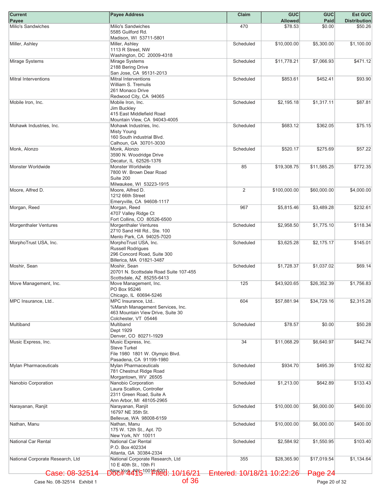| <b>Current</b>                   | <b>Payee Address</b>                                                 | Claim          | <b>GUC</b>     | <b>GUC</b>  | <b>Est GUC</b>      |
|----------------------------------|----------------------------------------------------------------------|----------------|----------------|-------------|---------------------|
| Payee                            |                                                                      |                | <b>Allowed</b> | Paid        | <b>Distribution</b> |
| Milio's Sandwiches               | <b>Milio's Sandwiches</b>                                            | 470            | \$78.53        | \$0.00      | \$50.26             |
|                                  | 5585 Guilford Rd.                                                    |                |                |             |                     |
|                                  | Madison, WI 53711-5801                                               |                |                |             |                     |
| Miller, Ashley                   | Miller, Ashley                                                       | Scheduled      | \$10,000.00    | \$5,300.00  | \$1,100.00          |
|                                  | 1113 R Street, NW                                                    |                |                |             |                     |
|                                  | Washington, DC 20009-4318                                            |                |                |             |                     |
| Mirage Systems                   | Mirage Systems                                                       | Scheduled      | \$11,778.21    | \$7,066.93  | \$471.12            |
|                                  | 2188 Bering Drive                                                    |                |                |             |                     |
|                                  | San Jose, CA 95131-2013<br><b>Mitral Interventions</b>               |                |                |             |                     |
| <b>Mitral Interventions</b>      | William S. Tremulis                                                  | Scheduled      | \$853.61       | \$452.41    | \$93.90             |
|                                  | 261 Monaco Drive                                                     |                |                |             |                     |
|                                  | Redwood City, CA 94065                                               |                |                |             |                     |
| Mobile Iron. Inc.                | Mobile Iron, Inc.                                                    | Scheduled      | \$2,195.18     | \$1,317.11  | \$87.81             |
|                                  | <b>Jim Buckley</b>                                                   |                |                |             |                     |
|                                  | 415 East Middlefield Road                                            |                |                |             |                     |
|                                  | Mountain View, CA 94043-4005                                         |                |                |             |                     |
| Mohawk Industries, Inc.          | Mohawk Industries, Inc.                                              | Scheduled      | \$683.12       | \$362.05    | \$75.15             |
|                                  | <b>Misty Young</b>                                                   |                |                |             |                     |
|                                  | 160 South industrial Blvd.                                           |                |                |             |                     |
|                                  | Calhoun, GA 30701-3030                                               |                |                |             |                     |
| Monk, Alonzo                     | Monk. Alonzo                                                         | Scheduled      | \$520.17       | \$275.69    | \$57.22             |
|                                  | 3590 N. Woodridge Drive                                              |                |                |             |                     |
|                                  | Decatur, IL 62526-1376                                               |                |                |             |                     |
| Monster Worldwide                | Monster Worldwide                                                    | 85             | \$19,308.75    | \$11,585.25 | \$772.35            |
|                                  | 7800 W. Brown Dear Road                                              |                |                |             |                     |
|                                  | Suite 200                                                            |                |                |             |                     |
|                                  | Milwaukee, WI 53223-1915                                             |                |                |             |                     |
| Moore, Alfred D.                 | Moore, Alfred D.                                                     | $\overline{2}$ | \$100,000.00   | \$60,000.00 | \$4,000.00          |
|                                  | 1212 66th Street                                                     |                |                |             |                     |
|                                  | Emeryville, CA 94608-1117                                            |                |                |             |                     |
| Morgan, Reed                     | Morgan, Reed                                                         | 967            | \$5,815.46     | \$3,489.28  | \$232.61            |
|                                  | 4707 Valley Ridge Ct                                                 |                |                |             |                     |
|                                  | Fort Collins, CO 80526-6500                                          |                |                |             |                     |
| <b>Morgenthaler Ventures</b>     | Morgenthaler Ventures                                                | Scheduled      | \$2,958.50     | \$1,775.10  | \$118.34            |
|                                  | 2710 Sand Hill Rd., Ste. 100                                         |                |                |             |                     |
|                                  | Menlo Park, CA 94025-7020                                            |                |                |             |                     |
| MorphoTrust USA, Inc.            | MorphoTrust USA, Inc.                                                | Scheduled      | \$3,625.28     | \$2,175.17  | \$145.01            |
|                                  | <b>Russell Rodrigues</b>                                             |                |                |             |                     |
|                                  | 296 Concord Road, Suite 300                                          |                |                |             |                     |
|                                  | Billerica, MA 01821-3487                                             |                |                |             |                     |
| Moshir, Sean                     | Moshir, Sean                                                         | Scheduled      | \$1,728.37     | \$1,037.02  | \$69.14             |
|                                  | 20701 N. Scottsdale Road Suite 107-455                               |                |                |             |                     |
|                                  | Scottsdale, AZ 85255-6413                                            |                |                |             |                     |
| Move Management, Inc.            | Move Management, Inc.                                                | 125            | \$43,920.65    | \$26,352.39 | \$1,756.83          |
|                                  | PO Box 95246                                                         |                |                |             |                     |
|                                  | Chicago, IL 60694-5246                                               |                |                |             |                     |
| MPC Insurance, Ltd               | MPC Insurance, Ltd                                                   | 604            | \$57,881.94    | \$34,729.16 | \$2,315.28          |
|                                  | %Marsh Management Services, Inc.                                     |                |                |             |                     |
|                                  | 463 Mountain View Drive, Suite 30                                    |                |                |             |                     |
|                                  | Colchester, VT 05446                                                 |                |                |             |                     |
| Multiband                        | Multiband                                                            | Scheduled      | \$78.57        | \$0.00      | \$50.28             |
|                                  | Dept 1929                                                            |                |                |             |                     |
|                                  | Denver, CO 80271-1929                                                |                |                |             |                     |
| Music Express, Inc.              | Music Express, Inc.                                                  | 34             | \$11,068.29    | \$6,640.97  | \$442.74            |
|                                  | <b>Steve Turkel</b>                                                  |                |                |             |                     |
|                                  | File 1980 1801 W. Olympic Blvd.                                      |                |                |             |                     |
|                                  | Pasadena, CA 91199-1980                                              |                |                |             |                     |
| <b>Mylan Pharmaceuticals</b>     | <b>Mylan Pharmaceuticals</b>                                         | Scheduled      | \$934.70       | \$495.39    | \$102.82            |
|                                  | 781 Chestnut Ridge Road                                              |                |                |             |                     |
|                                  | Morgantown, WV 26505                                                 |                |                |             |                     |
| Nanobio Corporation              | Nanobio Corporation                                                  | Scheduled      | \$1,213.00     | \$642.89    | \$133.43            |
|                                  | Laura Scallion, Controller                                           |                |                |             |                     |
|                                  | 2311 Green Road, Suite A                                             |                |                |             |                     |
|                                  | Ann Arbor, MI 48105-2965                                             |                |                |             |                     |
| Narayanan, Ranjit                | Narayanan, Ranjit                                                    | Scheduled      | \$10,000.00    | \$6,000.00  | \$400.00            |
|                                  | 16797 NE 35th St.                                                    |                |                |             |                     |
|                                  | Bellevue, WA 98008-6159                                              |                |                |             |                     |
| Nathan, Manu                     | Nathan, Manu                                                         | Scheduled      | \$10,000.00    | \$6,000.00  | \$400.00            |
|                                  | 175 W. 12th St., Apt. 7D                                             |                |                |             |                     |
|                                  | New York, NY 10011                                                   |                |                |             |                     |
| National Car Rental              | National Car Rental                                                  | Scheduled      | \$2,584.92     | \$1,550.95  | \$103.40            |
|                                  | P.O. Box 402334                                                      |                |                |             |                     |
|                                  | Atlanta, GA 30384-2334                                               |                |                |             |                     |
| National Corporate Research, Ltd | National Corporate Research, Ltd                                     | 355            | \$28,365.90    | \$17,019.54 | \$1,134.64          |
|                                  | 10 E 40th St., 10th FI                                               |                |                |             |                     |
| Case: 08-32514                   | D6C#º44Y5 <sup>1001</sup> Fife0: 10/16/21 Entered: 10/18/21 10:22:26 |                |                | Page 24     |                     |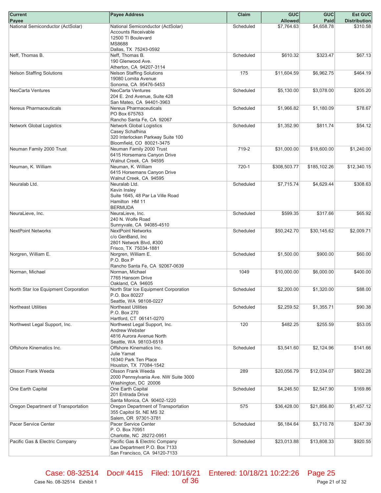| Current                              | <b>Payee Address</b>                 | <b>Claim</b> | <b>GUC</b>   | <b>GUC</b>   | <b>Est GUC</b>      |
|--------------------------------------|--------------------------------------|--------------|--------------|--------------|---------------------|
| Payee                                |                                      |              | Allowed      | Paid         | <b>Distribution</b> |
| National Semiconductor (ActSolar)    | National Semiconductor (ActSolar)    | Scheduled    | \$7,764.63   | \$4,658.78   | \$310.58            |
|                                      | <b>Accounts Receivable</b>           |              |              |              |                     |
|                                      | 12500 TI Boulevard                   |              |              |              |                     |
|                                      | <b>MS8688</b>                        |              |              |              |                     |
|                                      | Dallas, TX 75243-0592                |              |              |              |                     |
| Neff, Thomas B.                      | Neff, Thomas B.                      | Scheduled    | \$610.32     | \$323.47     | \$67.13             |
|                                      | 190 Glenwood Ave.                    |              |              |              |                     |
|                                      | Atherton, CA 94207-3114              |              |              |              |                     |
| <b>Nelson Staffing Solutions</b>     | <b>Nelson Staffing Solutions</b>     | 175          | \$11,604.59  | \$6,962.75   | \$464.19            |
|                                      | 19080 Lomita Avenue                  |              |              |              |                     |
|                                      | Sonoma, CA 95476-5453                |              |              |              |                     |
| NeoCarta Ventures                    | <b>NeoCarta Ventures</b>             | Scheduled    | \$5,130.00   | \$3,078.00   | \$205.20            |
|                                      | 204 E. 2nd Avenue, Suite 428         |              |              |              |                     |
|                                      | San Mateo, CA 94401-3963             |              |              |              |                     |
| <b>Nereus Pharmaceuticals</b>        | Nereus Pharmaceuticals               | Scheduled    | \$1,966.82   | \$1,180.09   | \$78.67             |
|                                      | PO Box 675763                        |              |              |              |                     |
|                                      | Rancho Santa Fe, CA 92067            |              |              |              |                     |
| Network Global Logistics             | <b>Network Global Logistics</b>      | Scheduled    | \$1,352.90   | \$811.74     | \$54.12             |
|                                      | Casey Schafhina                      |              |              |              |                     |
|                                      | 320 Interlocken Parkway Suite 100    |              |              |              |                     |
|                                      | Bloomfield, CO 80021-3475            |              |              |              |                     |
| Neuman Family 2000 Trust             | Neuman Family 2000 Trust             | 719-2        | \$31,000.00  | \$18,600.00  | \$1,240.00          |
|                                      | 6415 Horsemans Canyon Drive          |              |              |              |                     |
|                                      | Walnut Creek, CA 94595               |              |              |              |                     |
| Neuman, K. William                   | Neuman, K. William                   | 720-1        | \$308,503.77 | \$185,102.26 | \$12,340.15         |
|                                      | 6415 Horsemans Canyon Drive          |              |              |              |                     |
|                                      | Walnut Creek, CA 94595               |              |              |              |                     |
| Neuralab Ltd.                        | Neuralab Ltd.                        | Scheduled    | \$7,715.74   | \$4,629.44   | \$308.63            |
|                                      | Kevin Insley                         |              |              |              |                     |
|                                      | Suite 1645, 48 Par La Ville Road     |              |              |              |                     |
|                                      | Hamilton HM 11                       |              |              |              |                     |
|                                      | <b>BERMUDA</b>                       |              |              |              |                     |
| NeuraLieve, Inc.                     | NeuraLieve, Inc.                     | Scheduled    | \$599.35     | \$317.66     | \$65.92             |
|                                      | 240 N. Wolfe Road                    |              |              |              |                     |
|                                      | Sunnyvale, CA 94085-4510             |              |              |              |                     |
| <b>NextPoint Networks</b>            | <b>NextPoint Networks</b>            | Scheduled    | \$50,242.70  | \$30,145.62  | \$2,009.71          |
|                                      | c/o GenBand, Inc.                    |              |              |              |                     |
|                                      | 2801 Network Blvd, #300              |              |              |              |                     |
|                                      | Frisco, TX 75034-1881                |              |              |              |                     |
| Norgren, William E.                  | Norgren, William E.                  | Scheduled    | \$1,500.00   | \$900.00     | \$60.00             |
|                                      | P.O. Box P                           |              |              |              |                     |
|                                      | Rancho Santa Fe, CA 92067-0639       |              |              |              |                     |
| Norman, Michael                      | Norman, Michael                      | 1049         | \$10,000.00  | \$6,000.00   | \$400.00            |
|                                      | 7765 Hansom Drive                    |              |              |              |                     |
|                                      | Oakland, CA 94605                    |              |              |              |                     |
| North Star Ice Equipment Corporation | North Star Ice Equipment Corporation | Scheduled    | \$2,200.00   | \$1,320.00   | \$88.00             |
|                                      | P.O. Box 80227                       |              |              |              |                     |
|                                      | Seattle, WA 98108-0227               |              |              |              |                     |
| <b>Northeast Utilities</b>           | <b>Northeast Utilities</b>           | Scheduled    | \$2,259.52   | \$1,355.71   | \$90.38             |
|                                      | P.O. Box 270                         |              |              |              |                     |
|                                      | Hartford, CT 06141-0270              |              |              |              |                     |
| Northwest Legal Support, Inc.        | Northwest Legal Support, Inc.        | 120          | \$482.25     | \$255.59     | \$53.05             |
|                                      | <b>Andrew Webster</b>                |              |              |              |                     |
|                                      | 4816 Aurora Avenue North             |              |              |              |                     |
|                                      | Seattle, WA 98103-6518               |              |              |              |                     |
| Offshore Kinematics Inc.             | Offshore Kinematics Inc.             | Scheduled    | \$3,541.60   | \$2,124.96   | \$141.66            |
|                                      | <b>Julie Yamat</b>                   |              |              |              |                     |
|                                      | 16340 Park Ten Place                 |              |              |              |                     |
|                                      | Houston, TX 77084-1542               |              |              |              |                     |
| Olsson Frank Weeda                   | Olsson Frank Weeda                   | 289          | \$20,056.79  | \$12,034.07  | \$802.28            |
|                                      | 2000 Pennsylvania Ave. NW Suite 3000 |              |              |              |                     |
|                                      | Washington, DC 20006                 |              |              |              |                     |
| One Earth Capital                    | One Earth Capital                    | Scheduled    | \$4,246.50   | \$2,547.90   | \$169.86            |
|                                      | 201 Entrada Drive                    |              |              |              |                     |
|                                      | Santa Monica, CA 90402-1220          |              |              |              |                     |
| Oregon Department of Transportation  | Oregon Department of Transportation  | 575          | \$36,428.00  | \$21,856.80  | \$1,457.12          |
|                                      | 355 Capitol St. NE MS 32             |              |              |              |                     |
|                                      | Salem, OR 97301-3781                 |              |              |              |                     |
| Pacer Service Center                 | Pacer Service Center                 | Scheduled    | \$6,184.64   | \$3,710.78   | \$247.39            |
|                                      | P. O. Box 70951                      |              |              |              |                     |
|                                      | Charlotte, NC 28272-0951             |              |              |              |                     |
| Pacific Gas & Electric Company       | Pacific Gas & Electric Company       | Scheduled    | \$23,013.88  | \$13,808.33  | \$920.55            |
|                                      | Law Department P.O. Box 7133         |              |              |              |                     |
|                                      | San Francisco, CA 94120-7133         |              |              |              |                     |

Case: 08-32514 Doc# 4415 Filed: 10/16/21 Entered: 10/18/21 10:22:26 Page 25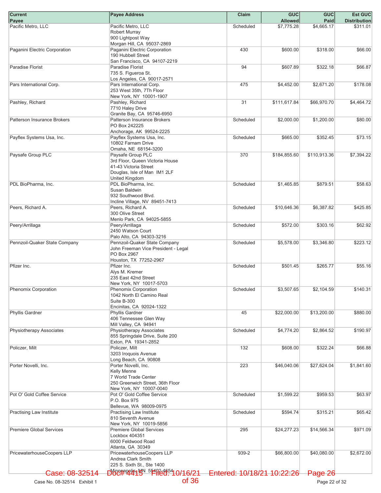| <b>Current</b>                     | <b>Payee Address</b>                                                 | Claim     | <b>GUC</b>            | <b>GUC</b>         | <b>Est GUC</b>                  |
|------------------------------------|----------------------------------------------------------------------|-----------|-----------------------|--------------------|---------------------------------|
| Payee<br>Pacific Metro, LLC        | Pacific Metro, LLC                                                   | Scheduled | Allowed<br>\$7,775.28 | Paid<br>\$4,665.17 | <b>Distribution</b><br>\$311.01 |
|                                    | <b>Robert Murray</b>                                                 |           |                       |                    |                                 |
|                                    | 900 Lightpost Way                                                    |           |                       |                    |                                 |
|                                    | Morgan Hill, CA 95037-2869                                           |           |                       |                    |                                 |
| Paganini Electric Corporation      | Paganini Electric Corporation<br>190 Hubbell Street                  | 430       | \$600.00              | \$318.00           | \$66.00                         |
|                                    | San Francisco, CA 94107-2219                                         |           |                       |                    |                                 |
| <b>Paradise Florist</b>            | Paradise Florist                                                     | 94        | \$607.89              | \$322.18           | \$66.87                         |
|                                    | 735 S. Figueroa St.                                                  |           |                       |                    |                                 |
|                                    | Los Angeles, CA 90017-2571                                           |           |                       |                    |                                 |
| Pars International Corp.           | Pars International Corp.                                             | 475       | \$4,452.00            | \$2,671.20         | \$178.08                        |
|                                    | 253 West 35th, 7Th Floor<br>New York, NY 10001-1907                  |           |                       |                    |                                 |
| Pashley, Richard                   | Pashley, Richard                                                     | 31        | \$111,617.84          | \$66,970.70        | \$4,464.72                      |
|                                    | 7710 Haley Drive                                                     |           |                       |                    |                                 |
|                                    | Granite Bay, CA 95746-6950                                           |           |                       |                    |                                 |
| <b>Patterson Insurance Brokers</b> | Patterson Insurance Brokers                                          | Scheduled | \$2,000.00            | \$1,200.00         | \$80.00                         |
|                                    | PO Box 242225<br>Anchorage, AK 99524-2225                            |           |                       |                    |                                 |
| Payflex Systems Usa, Inc.          | Payflex Systems Usa, Inc.                                            | Scheduled | \$665.00              | \$352.45           | \$73.15                         |
|                                    | 10802 Farnam Drive                                                   |           |                       |                    |                                 |
|                                    | Omaha, NE 68154-3200                                                 |           |                       |                    |                                 |
| Paysafe Group PLC                  | Paysafe Group PLC                                                    | 370       | \$184,855.60          | \$110,913.36       | \$7,394.22                      |
|                                    | 3rd Floor, Queen Victoria House<br>41-43 Victoria Street             |           |                       |                    |                                 |
|                                    | Douglas, Isle of Man IM1 2LF                                         |           |                       |                    |                                 |
|                                    | United Kingdom                                                       |           |                       |                    |                                 |
| PDL BioPharma, Inc.                | PDL BioPharma, Inc.                                                  | Scheduled | \$1,465.85            | \$879.51           | \$58.63                         |
|                                    | Susan Baldwin                                                        |           |                       |                    |                                 |
|                                    | 932 Southwood Blvd.                                                  |           |                       |                    |                                 |
| Peers, Richard A.                  | Incline Village, NV 89451-7413<br>Peers, Richard A.                  | Scheduled | \$10,646.36           | \$6,387.82         | \$425.85                        |
|                                    | 300 Olive Street                                                     |           |                       |                    |                                 |
|                                    | Menlo Park, CA 94025-5855                                            |           |                       |                    |                                 |
| Peery/Arrillaga                    | Peery/Arrillaga                                                      | Scheduled | \$572.00              | \$303.16           | \$62.92                         |
|                                    | 2450 Watson Court                                                    |           |                       |                    |                                 |
|                                    | Palo Alto, CA 94303-3216                                             |           |                       |                    |                                 |
| Pennzoil-Quaker State Company      | Pennzoil-Quaker State Company<br>John Freeman Vice President - Legal | Scheduled | \$5,578.00            | \$3,346.80         | \$223.12                        |
|                                    | PO Box 2967                                                          |           |                       |                    |                                 |
|                                    | Houston, TX 77252-2967                                               |           |                       |                    |                                 |
| Pfizer Inc.                        | Pfizer Inc.                                                          | Scheduled | \$501.45              | \$265.77           | \$55.16                         |
|                                    | Alys M. Kremer                                                       |           |                       |                    |                                 |
|                                    | 235 East 42nd Street<br>New York, NY 10017-5703                      |           |                       |                    |                                 |
| <b>Phenomix Corporation</b>        | <b>Phenomix Corporation</b>                                          | Scheduled | \$3,507.65            | \$2,104.59         | \$140.31                        |
|                                    | 1042 North El Camino Real                                            |           |                       |                    |                                 |
|                                    | Suite B-300                                                          |           |                       |                    |                                 |
|                                    | Encinitas, CA 92024-1322                                             |           |                       |                    |                                 |
| <b>Phyllis Gardner</b>             | <b>Phyllis Gardner</b><br>406 Tennessee Glen Way                     | 45        | \$22,000.00           | \$13,200.00        | \$880.00                        |
|                                    | Mill Valley, CA 94941                                                |           |                       |                    |                                 |
| <b>Physiotherapy Associates</b>    | Physiotherapy Associates                                             | Scheduled | \$4,774.20            | \$2,864.52         | \$190.97                        |
|                                    | 855 Springdale Drive, Suite 200                                      |           |                       |                    |                                 |
|                                    | Exton, PA 19341-2852                                                 |           |                       |                    |                                 |
| Policzer, Milt                     | Policzer, Milt<br>3203 Iroquois Avenue                               | 132       | \$608.00              | \$322.24           | \$66.88                         |
|                                    | Long Beach, CA 90808                                                 |           |                       |                    |                                 |
| Porter Novelli, Inc.               | Porter Novelli, Inc.                                                 | 223       | \$46,040.06           | \$27,624.04        | \$1,841.60                      |
|                                    | <b>Kelly Menne</b>                                                   |           |                       |                    |                                 |
|                                    | 7 World Trade Center                                                 |           |                       |                    |                                 |
|                                    | 250 Greenwich Street, 36th Floor                                     |           |                       |                    |                                 |
| Pot O' Gold Coffee Service         | New York, NY 10007-0040<br>Pot O' Gold Coffee Service                | Scheduled | \$1,599.22            | \$959.53           | \$63.97                         |
|                                    | P.O. Box 975                                                         |           |                       |                    |                                 |
|                                    | Bellevue, WA 98009-0975                                              |           |                       |                    |                                 |
| <b>Practising Law Institute</b>    | Practising Law Institute                                             | Scheduled | \$594.74              | \$315.21           | \$65.42                         |
|                                    | 810 Seventh Avenue                                                   |           |                       |                    |                                 |
|                                    | New York, NY 10019-5856                                              |           |                       |                    |                                 |
| <b>Premiere Global Services</b>    | Premiere Global Services<br>Lockbox 404351                           | 295       | \$24,277.23           | \$14,566.34        | \$971.09                        |
|                                    | 6000 Feldwood Road                                                   |           |                       |                    |                                 |
|                                    | Atlanta, GA 30349                                                    |           |                       |                    |                                 |
| PricewaterhouseCoopers LLP         | PricewaterhouseCoopers LLP                                           | 939-2     | \$66,800.00           | \$40,080.00        | \$2,672.00                      |
|                                    | Andrea Clark Smith                                                   |           |                       |                    |                                 |
|                                    | 225 S. Sixth St., Ste 1400                                           |           |                       |                    |                                 |
| Case: 08-32514                     | yor#24445" <sup>554</sup> ffed: 10/16/21 Entered: 10/18/21 10:22:26  |           |                       | Page 26            |                                 |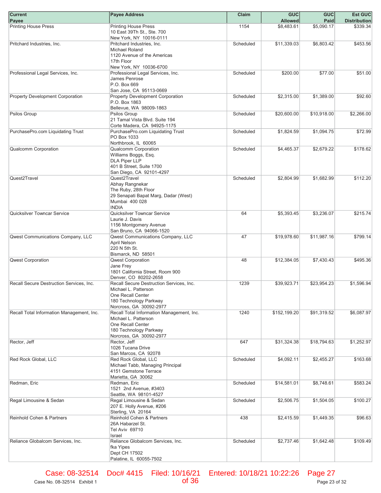| <b>Current</b>                            | <b>Payee Address</b>                                                                                                                               | Claim     | <b>GUC</b>   | <b>GUC</b>  | <b>Est GUC</b>      |
|-------------------------------------------|----------------------------------------------------------------------------------------------------------------------------------------------------|-----------|--------------|-------------|---------------------|
| Payee                                     |                                                                                                                                                    |           | Allowed      | Paid        | <b>Distribution</b> |
| <b>Printing House Press</b>               | <b>Printing House Press</b><br>10 East 39Th St., Ste. 700<br>New York, NY 10016-0111                                                               | 1154      | \$8,483.61   | \$5,090.17  | \$339.34            |
| Pritchard Industries, Inc.                | Pritchard Industries, Inc.                                                                                                                         | Scheduled | \$11,339.03  | \$6,803.42  | \$453.56            |
|                                           | Michael Roland<br>1120 Avenue of the Americas<br>17th Floor                                                                                        |           |              |             |                     |
|                                           | New York, NY 10036-6700                                                                                                                            |           |              |             |                     |
| Professional Legal Services, Inc.         | Professional Legal Services, Inc.<br>James Penrose<br>P.O. Box 669<br>San Jose, CA 95113-0669                                                      | Scheduled | \$200.00     | \$77.00     | \$51.00             |
| <b>Property Development Corporation</b>   | <b>Property Development Corporation</b><br>P.O. Box 1863<br>Bellevue, WA 98009-1863                                                                | Scheduled | \$2,315.00   | \$1,389.00  | \$92.60             |
| Psilos Group                              | Psilos Group<br>21 Tamal Vista Blvd. Suite 194<br>Corte Madera, CA 94925-1175                                                                      | Scheduled | \$20,600.00  | \$10,918.00 | \$2,266.00          |
| PurchasePro.com Liquidating Trust         | PurchasePro.com Liquidating Trust<br>PO Box 1033                                                                                                   | Scheduled | \$1,824.59   | \$1,094.75  | \$72.99             |
|                                           | Northbrook, IL 60065                                                                                                                               |           |              |             |                     |
| <b>Qualcomm Corporation</b>               | Qualcomm Corporation<br>Williams Boggs, Esq.<br><b>DLA Piper LLP</b><br>401 B Street, Suite 1700<br>San Diego, CA 92101-4297                       | Scheduled | \$4,465.37   | \$2,679.22  | \$178.62            |
| Quest2Travel                              | Quest2Travel<br>Abhay Rangnekar<br>The Ruby, 28th Floor<br>29 Senapati Bapat Marg, Dadar (West)<br>Mumbai 400 028<br><b>INDIA</b>                  | Scheduled | \$2,804.99   | \$1,682.99  | \$112.20            |
| Quicksilver Towncar Service               | Quicksilver Towncar Service<br>Laurie J. Davis<br>1156 Montgomery Avenue<br>San Bruno, CA 94066-1520                                               | 64        | \$5,393.45   | \$3,236.07  | \$215.74            |
| Qwest Communications Company, LLC         | Qwest Communications Company, LLC<br>April Nelson<br>220 N 5th St.<br>Bismarck, ND 58501                                                           | 47        | \$19,978.60  | \$11,987.16 | \$799.14            |
| Qwest Corporation                         | Qwest Corporation<br>Jane Frey<br>1801 California Street, Room 900<br>Denver, CO 80202-2658                                                        | 48        | \$12,384.05  | \$7,430.43  | \$495.36            |
| Recall Secure Destruction Services, Inc.  | Recall Secure Destruction Services, Inc.<br>Michael L. Patterson<br>One Recall Center<br>180 Technology Parkway<br>Norcross, GA 30092-2977         | 1239      | \$39,923.71  | \$23,954.23 | \$1,596.94          |
| Recall Total Information Management, Inc. | Recall Total Information Management, Inc.<br>Michael L. Patterson<br><b>One Recall Center</b><br>180 Technology Parkway<br>Norcross, GA 30092-2977 | 1240      | \$152,199.20 | \$91,319.52 | \$6,087.97          |
| Rector, Jeff                              | Rector, Jeff<br>1026 Tucana Drive<br>San Marcos, CA 92078                                                                                          | 647       | \$31,324.38  | \$18,794.63 | \$1,252.97          |
| Red Rock Global, LLC                      | Red Rock Global, LLC<br>Michael Tabb, Managing Principal<br>4151 Gemstone Terrace<br>Marietta, GA 30062                                            | Scheduled | \$4,092.11   | \$2,455.27  | \$163.68            |
| Redman, Eric                              | Redman, Eric<br>1521 2nd Avenue, #3403                                                                                                             | Scheduled | \$14,581.01  | \$8,748.61  | \$583.24            |
| Regal Limousine & Sedan                   | Seattle, WA 98101-4527<br>Regal Limousine & Sedan<br>207 E. Holly Avenue, #206                                                                     | Scheduled | \$2,506.75   | \$1,504.05  | \$100.27            |
| <b>Reinhold Cohen &amp; Partners</b>      | Sterling, VA 20164<br><b>Reinhold Cohen &amp; Partners</b><br>26A Habarzel St.<br>Tel Aviv 69710<br>Israel                                         | 438       | \$2,415.59   | \$1,449.35  | \$96.63             |
| Reliance Globalcom Services, Inc.         | Reliance Globalcom Services, Inc.<br>fka Yipes<br>Dept CH 17502<br>Palatine, IL 60055-7502                                                         | Scheduled | \$2,737.46   | \$1,642.48  | \$109.49            |

Case No. 08-32514 Exhibit 1

of 36

Case: 08-32514 Doc# 4415 Filed: 10/16/21 Entered: 10/18/21 10:22:26 Page 27

Page 23 of 32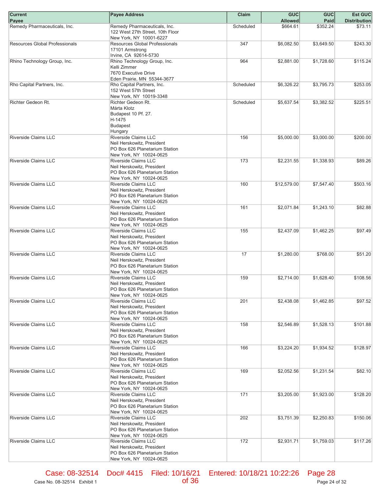| <b>Current</b>                 | <b>Payee Address</b>                                                                                                   | Claim     | <b>GUC</b>     | <b>GUC</b> | <b>Est GUC</b>      |
|--------------------------------|------------------------------------------------------------------------------------------------------------------------|-----------|----------------|------------|---------------------|
| Payee                          |                                                                                                                        |           | <b>Allowed</b> | Paid       | <b>Distribution</b> |
| Remedy Pharmaceuticals, Inc.   | Remedy Pharmaceuticals, Inc.<br>122 West 27th Street. 10th Floor<br>New York, NY 10001-6227                            | Scheduled | \$664.61       | \$352.24   | \$73.11             |
| Resources Global Professionals | Resources Global Professionals<br>17101 Armstrong<br>Irvine, CA 92614-5730                                             | 347       | \$6,082.50     | \$3,649.50 | \$243.30            |
| Rhino Technology Group, Inc.   | Rhino Technology Group, Inc.<br>Kelli Zimmer<br>7670 Executive Drive                                                   | 964       | \$2,881.00     | \$1,728.60 | \$115.24            |
| Rho Capital Partners, Inc.     | Eden Prairie, MN 55344-3677<br>Rho Capital Partners, Inc.<br>152 West 57th Street<br>New York, NY 10019-3348           | Scheduled | \$6,326.22     | \$3,795.73 | \$253.05            |
| Richter Gedeon Rt.             | Richter Gedeon Rt.<br>Márta Klotz<br>Budapest 10 Pf. 27.<br>H-1475<br><b>Budapest</b><br>Hungary                       | Scheduled | \$5,637.54     | \$3,382.52 | \$225.51            |
| Riverside Claims LLC           | <b>Riverside Claims LLC</b><br>Neil Herskowitz, President<br>PO Box 626 Planetarium Station<br>New York, NY 10024-0625 | 156       | \$5,000.00     | \$3,000.00 | \$200.00            |
| Riverside Claims LLC           | <b>Riverside Claims LLC</b><br>Neil Herskowitz, President<br>PO Box 626 Planetarium Station<br>New York, NY 10024-0625 | 173       | \$2,231.55     | \$1,338.93 | \$89.26             |
| <b>Riverside Claims LLC</b>    | <b>Riverside Claims LLC</b><br>Neil Herskowitz, President<br>PO Box 626 Planetarium Station<br>New York, NY 10024-0625 | 160       | \$12,579.00    | \$7,547.40 | \$503.16            |
| <b>Riverside Claims LLC</b>    | <b>Riverside Claims LLC</b><br>Neil Herskowitz, President<br>PO Box 626 Planetarium Station<br>New York, NY 10024-0625 | 161       | \$2,071.84     | \$1,243.10 | \$82.88             |
| Riverside Claims LLC           | <b>Riverside Claims LLC</b><br>Neil Herskowitz, President<br>PO Box 626 Planetarium Station<br>New York, NY 10024-0625 | 155       | \$2,437.09     | \$1,462.25 | \$97.49             |
| Riverside Claims LLC           | Riverside Claims LLC<br>Neil Herskowitz, President<br>PO Box 626 Planetarium Station<br>New York, NY 10024-0625        | 17        | \$1,280.00     | \$768.00   | \$51.20             |
| <b>Riverside Claims LLC</b>    | <b>Riverside Claims LLC</b><br>Neil Herskowitz, President<br>PO Box 626 Planetarium Station<br>New York, NY 10024-0625 | 159       | \$2,714.00     | \$1,628.40 | \$108.56            |
| <b>Riverside Claims LLC</b>    | <b>Riverside Claims LLC</b><br>Neil Herskowitz, President<br>PO Box 626 Planetarium Station<br>New York, NY 10024-0625 | 201       | \$2,438.08     | \$1.462.85 | \$97.52             |
| Riverside Claims LLC           | <b>Riverside Claims LLC</b><br>Neil Herskowitz, President<br>PO Box 626 Planetarium Station<br>New York, NY 10024-0625 | 158       | \$2,546.89     | \$1,528.13 | \$101.88            |
| Riverside Claims LLC           | <b>Riverside Claims LLC</b><br>Neil Herskowitz, President<br>PO Box 626 Planetarium Station<br>New York, NY 10024-0625 | 166       | \$3,224.20     | \$1,934.52 | \$128.97            |
| <b>Riverside Claims LLC</b>    | <b>Riverside Claims LLC</b><br>Neil Herskowitz, President<br>PO Box 626 Planetarium Station<br>New York, NY 10024-0625 | 169       | \$2,052.56     | \$1,231.54 | \$82.10             |
| <b>Riverside Claims LLC</b>    | <b>Riverside Claims LLC</b><br>Neil Herskowitz, President<br>PO Box 626 Planetarium Station<br>New York, NY 10024-0625 | 171       | \$3,205.00     | \$1,923.00 | \$128.20            |
| <b>Riverside Claims LLC</b>    | <b>Riverside Claims LLC</b><br>Neil Herskowitz, President<br>PO Box 626 Planetarium Station<br>New York, NY 10024-0625 | 202       | \$3,751.39     | \$2,250.83 | \$150.06            |
| <b>Riverside Claims LLC</b>    | <b>Riverside Claims LLC</b><br>Neil Herskowitz, President<br>PO Box 626 Planetarium Station<br>New York, NY 10024-0625 | 172       | \$2,931.71     | \$1,759.03 | \$117.26            |

Case: 08-32514 Doc# 4415 Filed: 10/16/21 Entered: 10/18/21 10:22:26<br>
of 36 Page 28

Page 24 of 32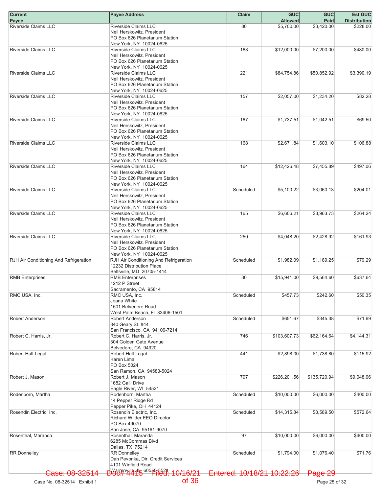| <b>Current</b>                         | <b>Payee Address</b>                                               | Claim     | <b>GUC</b>     | <b>GUC</b>   | Est GUC             |
|----------------------------------------|--------------------------------------------------------------------|-----------|----------------|--------------|---------------------|
| Payee                                  |                                                                    |           | <b>Allowed</b> | Paid         | <b>Distribution</b> |
| <b>Riverside Claims LLC</b>            | <b>Riverside Claims LLC</b><br>Neil Herskowitz, President          | 80        | \$5,700.00     | \$3,420.00   | \$228.00            |
|                                        | PO Box 626 Planetarium Station                                     |           |                |              |                     |
|                                        | New York, NY 10024-0625                                            |           |                |              |                     |
| <b>Riverside Claims LLC</b>            | <b>Riverside Claims LLC</b>                                        | 163       | \$12,000.00    | \$7,200.00   | \$480.00            |
|                                        | Neil Herskowitz, President                                         |           |                |              |                     |
|                                        | PO Box 626 Planetarium Station                                     |           |                |              |                     |
|                                        | New York, NY 10024-0625                                            |           |                |              |                     |
| <b>Riverside Claims LLC</b>            | Riverside Claims LLC                                               | 221       | \$84,754.86    | \$50,852.92  | \$3,390.19          |
|                                        | Neil Herskowitz, President                                         |           |                |              |                     |
|                                        | PO Box 626 Planetarium Station                                     |           |                |              |                     |
|                                        | New York, NY 10024-0625                                            |           |                |              |                     |
| <b>Riverside Claims LLC</b>            | Riverside Claims LLC<br>Neil Herskowitz, President                 | 157       | \$2,057.00     | \$1,234.20   | \$82.28             |
|                                        | PO Box 626 Planetarium Station                                     |           |                |              |                     |
|                                        | New York, NY 10024-0625                                            |           |                |              |                     |
| <b>Riverside Claims LLC</b>            | <b>Riverside Claims LLC</b>                                        | 167       | \$1,737.51     | \$1,042.51   | \$69.50             |
|                                        | Neil Herskowitz, President                                         |           |                |              |                     |
|                                        | PO Box 626 Planetarium Station                                     |           |                |              |                     |
|                                        | New York, NY 10024-0625                                            |           |                |              |                     |
| <b>Riverside Claims LLC</b>            | <b>Riverside Claims LLC</b>                                        | 168       | \$2,671.84     | \$1,603.10   | \$106.88            |
|                                        | Neil Herskowitz, President                                         |           |                |              |                     |
|                                        | PO Box 626 Planetarium Station                                     |           |                |              |                     |
|                                        | New York, NY 10024-0625                                            |           |                |              |                     |
| <b>Riverside Claims LLC</b>            | <b>Riverside Claims LLC</b>                                        | 164       | \$12,426.48    | \$7,455.89   | \$497.06            |
|                                        | Neil Herskowitz, President                                         |           |                |              |                     |
|                                        | PO Box 626 Planetarium Station                                     |           |                |              |                     |
| <b>Riverside Claims LLC</b>            | New York, NY 10024-0625<br><b>Riverside Claims LLC</b>             | Scheduled | \$5,100.22     | \$3,060.13   | \$204.01            |
|                                        | Neil Herskowitz, President                                         |           |                |              |                     |
|                                        | PO Box 626 Planetarium Station                                     |           |                |              |                     |
|                                        | New York, NY 10024-0625                                            |           |                |              |                     |
| <b>Riverside Claims LLC</b>            | <b>Riverside Claims LLC</b>                                        | 165       | \$6,606.21     | \$3,963.73   | \$264.24            |
|                                        | Neil Herskowitz, President                                         |           |                |              |                     |
|                                        | PO Box 626 Planetarium Station                                     |           |                |              |                     |
|                                        | New York, NY 10024-0625                                            |           |                |              |                     |
| <b>Riverside Claims LLC</b>            | Riverside Claims LLC                                               | 250       | \$4,048.20     | \$2,428.92   | \$161.93            |
|                                        | Neil Herskowitz, President                                         |           |                |              |                     |
|                                        | PO Box 626 Planetarium Station                                     |           |                |              |                     |
|                                        | New York, NY 10024-0625                                            |           |                |              |                     |
| RJH Air Conditioning And Refrigeration | RJH Air Conditioning And Refrigeration<br>12232 Distribution Place | Scheduled | \$1,982.09     | \$1,189.25   | \$79.29             |
|                                        | Beltsville, MD 20705-1414                                          |           |                |              |                     |
| <b>RMB</b> Enterprises                 | <b>RMB</b> Enterprises                                             | 30        | \$15,941.00    | \$9,564.60   | \$637.64            |
|                                        | 1212 P Street                                                      |           |                |              |                     |
|                                        | Sacramento, CA 95814                                               |           |                |              |                     |
| RMC USA, Inc.                          | RMC USA, Inc.                                                      | Scheduled | \$457.73       | \$242.60     | \$50.35             |
|                                        | Jeana White                                                        |           |                |              |                     |
|                                        | 1501 Belvedere Road                                                |           |                |              |                     |
|                                        | West Palm Beach, FI 33406-1501                                     |           |                |              |                     |
| <b>Robert Anderson</b>                 | Robert Anderson                                                    | Scheduled | \$651.67       | \$345.38     | \$71.69             |
|                                        | 840 Geary St. #44                                                  |           |                |              |                     |
|                                        | San Francisco, CA 94109-7214                                       |           |                |              |                     |
| Robert C. Harris, Jr.                  | Robert C. Harris, Jr.<br>304 Golden Gate Avenue                    | 746       | \$103,607.73   | \$62,164.64  | \$4,144.31          |
|                                        | Belvedere, CA 94920                                                |           |                |              |                     |
| Robert Half Legal                      | Robert Half Legal                                                  | 441       | \$2,898.00     | \$1,738.80   | \$115.92            |
|                                        | Karen Lima                                                         |           |                |              |                     |
|                                        | PO Box 5024                                                        |           |                |              |                     |
|                                        | San Ramon, CA 94583-5024                                           |           |                |              |                     |
| Robert J. Mason                        | Robert J. Mason                                                    | 797       | \$226,201.56   | \$135,720.94 | \$9,048.06          |
|                                        | 1682 Galli Drive                                                   |           |                |              |                     |
|                                        | Eagle River, WI 54521                                              |           |                |              |                     |
| Rodenborn, Martha                      | Rodenborn, Martha                                                  | Scheduled | \$10,000.00    | \$6,000.00   | \$400.00            |
|                                        | 14 Pepper Ridge Rd                                                 |           |                |              |                     |
|                                        | Pepper Pike, OH 44124                                              |           |                |              |                     |
| Rosendin Electric, Inc.                | Rosendin Electric, Inc.<br><b>Richard Wilder EEO Director</b>      | Scheduled | \$14,315.84    | \$8,589.50   | \$572.64            |
|                                        | PO Box 49070                                                       |           |                |              |                     |
|                                        | San Jose, CA 95161-9070                                            |           |                |              |                     |
| Rosenthal, Maranda                     | Rosenthal, Maranda                                                 | 97        | \$10,000.00    | \$6,000.00   | \$400.00            |
|                                        | 6285 McCommas Blvd                                                 |           |                |              |                     |
|                                        | Dallas, TX 75214                                                   |           |                |              |                     |
| <b>RR</b> Donnelley                    | <b>RR</b> Donnelley                                                | Scheduled | \$1,794.00     | \$1,076.40   | \$71.76             |
|                                        | Dan Pevonka, Dir. Credit Services                                  |           |                |              |                     |
|                                        | 4101 Winfield Road                                                 |           |                |              |                     |
| Case: 08-32514                         | 018721 10:22:26                                                    |           |                | Page 29      |                     |
|                                        |                                                                    |           |                |              |                     |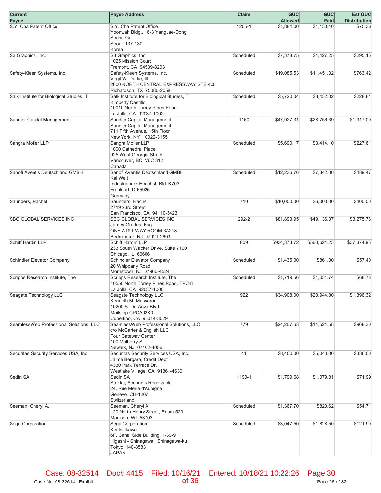| <b>Current</b>                           | <b>Payee Address</b>                                                    | <b>Claim</b> | <b>GUC</b>   | <b>GUC</b>   | Est GUC      |
|------------------------------------------|-------------------------------------------------------------------------|--------------|--------------|--------------|--------------|
| Payee                                    |                                                                         |              | Allowed      | Paid         | Distribution |
| S.Y. Cha Patent Office                   | S.Y. Cha Patent Office<br>Yoonwah Bldg., 16-3 YangJae-Dong              | 1205-1       | \$1,884.00   | \$1,130.40   | \$75.36      |
|                                          | Socho-Gu                                                                |              |              |              |              |
|                                          | Seoul 137-130<br>Korea                                                  |              |              |              |              |
| S3 Graphics, Inc.                        | S3 Graphics, Inc.                                                       | Scheduled    | \$7,378.75   | \$4,427.25   | \$295.15     |
|                                          | 1025 Mission Court                                                      |              |              |              |              |
| Safety-Kleen Systems, Inc.               | Fremont, CA 94539-8203<br>Safety-Kleen Systems, Inc.                    | Scheduled    | \$19,085.53  | \$11,451.32  | \$763.42     |
|                                          | Virgil W. Duffie, III                                                   |              |              |              |              |
|                                          | 2600 NORTH CENTRAL EXPRESSWAY STE 400                                   |              |              |              |              |
|                                          | Richardson, TX 75080-2058                                               |              |              |              |              |
| Salk Institute for Biological Studies, T | Salk Institute for Biological Studies, T<br>Kimberly Castillo           | Scheduled    | \$5,720.04   | \$3,432.02   | \$228.81     |
|                                          | 10010 North Torrey Pines Road                                           |              |              |              |              |
|                                          | La Jolla, CA 92037-1002                                                 |              |              |              |              |
| Sandler Capital Management               | Sandler Capital Management<br>Sandler Capital Management                | 1160         | \$47,927.31  | \$28,756.39  | \$1,917.09   |
|                                          | 711 Fifth Avenue, 15th Floor                                            |              |              |              |              |
|                                          | New York, NY 10022-3155                                                 |              |              |              |              |
| Sangra Moller LLP                        | Sangra Moller LLP                                                       | Scheduled    | \$5,690.17   | \$3,414.10   | \$227.61     |
|                                          | 1000 Cathedral Place<br>925 West Georgia Street                         |              |              |              |              |
|                                          | Vancouver, BC V6C 312                                                   |              |              |              |              |
|                                          | Canada                                                                  |              |              |              |              |
| Sanofi Aventis Deutschland GMBH          | Sanofi Aventis Deutschland GMBH                                         | Scheduled    | \$12,236.76  | \$7,342.06   | \$489.47     |
|                                          | Kal Weit<br>Industriepark Hoechst, Bld. K703                            |              |              |              |              |
|                                          | Frankfurt D-65926                                                       |              |              |              |              |
|                                          | Germany                                                                 |              |              |              |              |
| Saunders, Rachel                         | Saunders, Rachel<br>2719 23rd Street                                    | 710          | \$10,000.00  | \$6,000.00   | \$400.00     |
|                                          | San Francisco, CA 94110-3423                                            |              |              |              |              |
| SBC GLOBAL SERVICES INC                  | SBC GLOBAL SERVICES INC                                                 | 292-2        | \$81,893.95  | \$49,136.37  | \$3,275.76   |
|                                          | James Grudus, Esq                                                       |              |              |              |              |
|                                          | ONE AT&T WAY ROOM 3A218<br>Bedminster, NJ 07921-2693                    |              |              |              |              |
| Schiff Hardin LLP                        | Schiff Hardin LLP                                                       | 809          | \$934,373.72 | \$560,624.23 | \$37,374.95  |
|                                          | 233 South Wacker Drive, Suite 7100                                      |              |              |              |              |
| Schindler Elevator Company               | Chicago, IL 60606<br><b>Schindler Elevator Company</b>                  | Scheduled    | \$1,435.00   | \$861.00     | \$57.40      |
|                                          | 20 Whippany Road                                                        |              |              |              |              |
|                                          | Morristown, NJ 07960-4524                                               |              |              |              |              |
| Scripps Research Institute, The          | Scripps Research Institute, The<br>10550 North Torrey Pines Road, TPC-8 | Scheduled    | \$1.719.56   | \$1,031.74   | \$68.78      |
|                                          | La Jolla, CA 92037-1000                                                 |              |              |              |              |
| Seagate Technology LLC                   | Seagate Technology LLC                                                  | 922          | \$34,908.00  | \$20,944.80  | \$1,396.32   |
|                                          | Kenneth M. Massaroni                                                    |              |              |              |              |
|                                          | 10200 S. De Anza Blvd<br>Mailstop CPCA03K0                              |              |              |              |              |
|                                          | Cupertino, CA 95014-3029                                                |              |              |              |              |
| SeamlessWeb Professional Solutions, LLC  | SeamlessWeb Professional Solutions, LLC                                 | 779          | \$24,207.63  | \$14,524.58  | \$968.30     |
|                                          | c/o McCarter & English LLC                                              |              |              |              |              |
|                                          | Four Gateway Center<br>100 Mulberry St.                                 |              |              |              |              |
|                                          | Newark, NJ 07102-4056                                                   |              |              |              |              |
| Securitas Security Services USA, Inc.    | Securitas Security Services USA, Inc.                                   | 41           | \$8,400.00   | \$5,040.00   | \$336.00     |
|                                          | Jaime Bergara, Credit Dept.<br>4330 Park Terrace Dr.                    |              |              |              |              |
|                                          | Westlake Village, CA 91361-4630                                         |              |              |              |              |
| Sedin SA                                 | Sedin SA                                                                | 1190-1       | \$1,799.68   | \$1,079.81   | \$71.99      |
|                                          | Stokke, Accounts Receivable<br>24, Rue Merle d'Aubigne                  |              |              |              |              |
|                                          | Geneve CH-1207                                                          |              |              |              |              |
|                                          | Switzerland                                                             |              |              |              |              |
| Seeman, Cheryl A.                        | Seeman, Cheryl A.                                                       | Scheduled    | \$1,367.70   | \$820.62     | \$54.71      |
|                                          | 120 North Henry Street, Room 520<br>Madison, WI 53703                   |              |              |              |              |
| Sega Corporation                         | Sega Corporation                                                        | Scheduled    | \$3,047.50   | \$1,828.50   | \$121.90     |
|                                          | Kei Ishikawa                                                            |              |              |              |              |
|                                          | 6F, Canal Side Building, 1-39-9<br>Higashi - Shinagawa, Shinagawa-ku    |              |              |              |              |
|                                          | Tokyo 140-8583                                                          |              |              |              |              |
|                                          | <b>JAPAN</b>                                                            |              |              |              |              |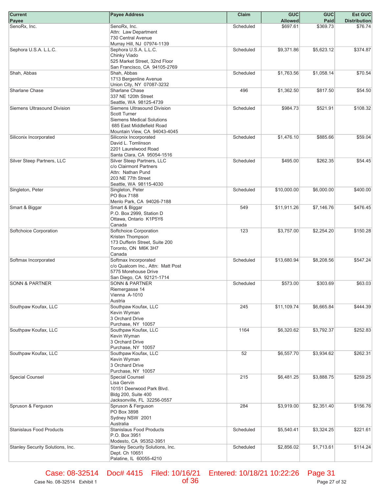| Current                          | <b>Payee Address</b>                                          | Claim     | <b>GUC</b>     | <b>GUC</b> | <b>Est GUC</b>      |
|----------------------------------|---------------------------------------------------------------|-----------|----------------|------------|---------------------|
| Payee                            |                                                               |           | <b>Allowed</b> | Paid       | <b>Distribution</b> |
| SenoRx, Inc.                     | SenoRx, Inc.                                                  | Scheduled | \$697.61       | \$369.73   | \$76.74             |
|                                  | Attn: Law Department                                          |           |                |            |                     |
|                                  | 730 Central Avenue                                            |           |                |            |                     |
|                                  | Murray Hill, NJ 07974-1139                                    |           |                |            |                     |
| Sephora U.S.A. L.L.C.            | Sephora U.S.A. L.L.C.                                         | Scheduled | \$9,371.86     | \$5.623.12 | \$374.87            |
|                                  | Chinky Viado                                                  |           |                |            |                     |
|                                  | 525 Market Street, 32nd Floor                                 |           |                |            |                     |
|                                  | San Francisco, CA 94105-2769                                  |           |                |            |                     |
| Shah, Abbas                      | Shah, Abbas                                                   | Scheduled | \$1,763.56     | \$1,058.14 | \$70.54             |
|                                  | 1713 Bergenline Avenue                                        |           |                |            |                     |
|                                  | Union City, NY 07087-3232                                     |           |                |            |                     |
| Sharlane Chase                   | Sharlane Chase                                                | 496       | \$1,362.50     | \$817.50   | \$54.50             |
|                                  | 337 NE 120th Street                                           |           |                |            |                     |
|                                  | Seattle, WA 98125-4739                                        |           |                |            |                     |
| Siemens Ultrasound Division      | Siemens Ultrasound Division                                   | Scheduled | \$984.73       | \$521.91   | \$108.32            |
|                                  | <b>Scott Turner</b>                                           |           |                |            |                     |
|                                  | <b>Siemens Medical Solutions</b><br>685 East Middlefield Road |           |                |            |                     |
|                                  |                                                               |           |                |            |                     |
|                                  | Mountain View, CA 94043-4045                                  |           |                |            |                     |
| Siliconix Incorporated           | Siliconix Incorporated                                        | Scheduled | \$1,476.10     | \$885.66   | \$59.04             |
|                                  | David L. Tomlinson                                            |           |                |            |                     |
|                                  | 2201 Laurelwood Road<br>Santa Clara, CA 95054-1516            |           |                |            |                     |
|                                  |                                                               |           |                |            |                     |
| Silver Steep Partners, LLC       | Silver Steep Partners, LLC                                    | Scheduled | \$495.00       | \$262.35   | \$54.45             |
|                                  | c/o Clairmont Partners                                        |           |                |            |                     |
|                                  | Attn: Nathan Pund                                             |           |                |            |                     |
|                                  | 203 NE 77th Street<br>Seattle, WA 98115-4030                  |           |                |            |                     |
| Singleton, Peter                 |                                                               | Scheduled |                | \$6,000.00 | \$400.00            |
|                                  | Singleton, Peter                                              |           | \$10,000.00    |            |                     |
|                                  | PO Box 7188                                                   |           |                |            |                     |
| Smart & Biggar                   | Menlo Park, CA 94026-7188<br>Smart & Biggar                   | 549       | \$11,911.26    | \$7,146.76 | \$476.45            |
|                                  | P.O. Box 2999, Station D                                      |           |                |            |                     |
|                                  | Ottawa, Ontario K1P5Y6                                        |           |                |            |                     |
|                                  | Canada                                                        |           |                |            |                     |
| Softchoice Corporation           | Softchoice Corporation                                        | 123       | \$3,757.00     | \$2,254.20 | \$150.28            |
|                                  | Kristen Thompson                                              |           |                |            |                     |
|                                  | 173 Dufferin Street, Suite 200                                |           |                |            |                     |
|                                  | Toronto, ON M6K 3H7                                           |           |                |            |                     |
|                                  | Canada                                                        |           |                |            |                     |
| Softmax Incorporated             | Softmax Incorporated                                          | Scheduled | \$13,680.94    | \$8,208.56 | \$547.24            |
|                                  | c/o Qualcom Inc., Attn: Matt Post                             |           |                |            |                     |
|                                  | 5775 Morehouse Drive                                          |           |                |            |                     |
|                                  | San Diego, CA 92121-1714                                      |           |                |            |                     |
| <b>SONN &amp; PARTNER</b>        | <b>SONN &amp; PARTNER</b>                                     | Scheduled | \$573.00       | \$303.69   | \$63.03             |
|                                  | Riemergasse 14                                                |           |                |            |                     |
|                                  | Vienna A-1010                                                 |           |                |            |                     |
|                                  | Austria                                                       |           |                |            |                     |
| Southpaw Koufax, LLC             | Southpaw Koufax, LLC                                          | 245       | \$11,109.74    | \$6,665.84 | \$444.39            |
|                                  | Kevin Wyman                                                   |           |                |            |                     |
|                                  | 3 Orchard Drive                                               |           |                |            |                     |
|                                  | Purchase, NY 10057                                            |           |                |            |                     |
| Southpaw Koufax, LLC             | Southpaw Koufax, LLC                                          | 1164      | \$6,320.62     | \$3,792.37 | \$252.83            |
|                                  | Kevin Wyman                                                   |           |                |            |                     |
|                                  | 3 Orchard Drive                                               |           |                |            |                     |
|                                  | Purchase, NY 10057                                            |           |                |            |                     |
| Southpaw Koufax, LLC             | Southpaw Koufax, LLC                                          | 52        | \$6,557.70     | \$3,934.62 | \$262.31            |
|                                  | Kevin Wyman                                                   |           |                |            |                     |
|                                  | 3 Orchard Drive                                               |           |                |            |                     |
|                                  | Purchase, NY 10057                                            |           |                |            |                     |
| <b>Special Counsel</b>           | <b>Special Counsel</b>                                        | 215       | \$6,481.25     | \$3,888.75 | \$259.25            |
|                                  | Lisa Gervin                                                   |           |                |            |                     |
|                                  | 10151 Deerwood Park Blvd.                                     |           |                |            |                     |
|                                  | <b>Bldg 200, Suite 400</b>                                    |           |                |            |                     |
|                                  | Jacksonville, FL 32256-0557                                   |           |                |            |                     |
| Spruson & Ferguson               | Spruson & Ferguson                                            | 284       | \$3,919.00     | \$2,351.40 | \$156.76            |
|                                  | PO Box 3898                                                   |           |                |            |                     |
|                                  | Sydney NSW 2001                                               |           |                |            |                     |
|                                  | Australia                                                     |           |                |            |                     |
| <b>Stanislaus Food Products</b>  | <b>Stanislaus Food Products</b>                               | Scheduled | \$5,540.41     | \$3,324.25 | \$221.61            |
|                                  | P.O. Box 3951                                                 |           |                |            |                     |
|                                  | Modesto, CA 95352-3951                                        |           |                |            |                     |
| Stanley Security Solutions, Inc. | Stanley Security Solutions, Inc.                              | Scheduled | \$2,856.02     | \$1,713.61 | \$114.24            |
|                                  | Dept. Ch 10651                                                |           |                |            |                     |
|                                  | Palatine, IL 60055-4210                                       |           |                |            |                     |

Case: 08-32514 Doc# 4415 Filed: 10/16/21 Entered: 10/18/21 10:22:26 Page 31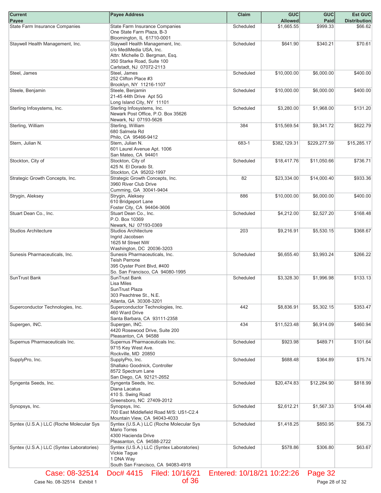| <b>Current</b>                            | <b>Payee Address</b>                                                    | Claim                      | <b>GUC</b>   | <b>GUC</b>   | <b>Est GUC</b>      |
|-------------------------------------------|-------------------------------------------------------------------------|----------------------------|--------------|--------------|---------------------|
| Payee                                     |                                                                         |                            | Allowed      | Paid         | <b>Distribution</b> |
| State Farm Insurance Companies            | State Farm Insurance Companies<br>One State Farm Plaza, B-3             | Scheduled                  | \$1,665.55   | \$999.33     | \$66.62             |
|                                           | Bloomington, IL 61710-0001                                              |                            |              |              |                     |
| Staywell Health Management, Inc.          | Staywell Health Management, Inc.                                        | Scheduled                  | \$641.90     | \$340.21     | \$70.61             |
|                                           | c/o MediMedia USA, Inc.                                                 |                            |              |              |                     |
|                                           | Attn: Michelle D. Bergman, Esq.<br>350 Starke Road, Suite 100           |                            |              |              |                     |
|                                           | Carlstadt, NJ 07072-2113                                                |                            |              |              |                     |
| Steel, James                              | Steel, James                                                            | Scheduled                  | \$10,000.00  | \$6,000.00   | \$400.00            |
|                                           | 252 Clifton Place #3                                                    |                            |              |              |                     |
|                                           | Brooklyn, NY 11216-1107                                                 |                            |              |              |                     |
| Steele, Benjamin                          | Steele, Benjamin                                                        | Scheduled                  | \$10,000.00  | \$6,000.00   | \$400.00            |
|                                           | 21-45 44th Drive Apt 5G                                                 |                            |              |              |                     |
|                                           | Long Island City, NY 11101                                              |                            |              |              |                     |
| Sterling Infosystems, Inc.                | Sterling Infosystems, Inc.                                              | Scheduled                  | \$3,280.00   | \$1,968.00   | \$131.20            |
|                                           | Newark Post Office, P.O. Box 35626                                      |                            |              |              |                     |
|                                           | Newark, NJ 07193-5626                                                   |                            |              |              |                     |
| Sterling, William                         | Sterling, William<br>680 Salmela Rd                                     | 384                        | \$15,569.54  | \$9,341.72   | \$622.79            |
|                                           | Philo, CA 95466-9412                                                    |                            |              |              |                     |
| Stern, Julian N.                          | Stern, Julian N.                                                        | 683-1                      | \$382,129.31 | \$229,277.59 | \$15,285.17         |
|                                           | 601 Laurel Avenue Apt. 1006                                             |                            |              |              |                     |
|                                           | San Mateo, CA 94401                                                     |                            |              |              |                     |
| Stockton, City of                         | Stockton, City of                                                       | Scheduled                  | \$18,417.76  | \$11,050.66  | \$736.71            |
|                                           | 425 N. El Dorado St.                                                    |                            |              |              |                     |
|                                           | Stockton, CA 95202-1997                                                 |                            |              |              |                     |
| Strategic Growth Concepts, Inc.           | Strategic Growth Concepts, Inc.                                         | 82                         | \$23,334.00  | \$14,000.40  | \$933.36            |
|                                           | 3960 River Club Drive                                                   |                            |              |              |                     |
|                                           | Cumming, GA 30041-9404                                                  |                            |              |              |                     |
| Strygin, Aleksey                          | Strygin, Aleksey                                                        | 886                        | \$10,000.00  | \$6,000.00   | \$400.00            |
|                                           | 610 Bridgeport Lane                                                     |                            |              |              |                     |
|                                           | Foster City, CA 94404-3606                                              |                            |              |              |                     |
| Stuart Dean Co., Inc.                     | Stuart Dean Co., Inc.                                                   | Scheduled                  | \$4,212.00   | \$2,527.20   | \$168.48            |
|                                           | P.O. Box 10369                                                          |                            |              |              |                     |
|                                           | Newark, NJ 07193-0369                                                   |                            |              |              |                     |
| <b>Studios Architecture</b>               | <b>Studios Architecture</b>                                             | 203                        | \$9,216.91   | \$5,530.15   | \$368.67            |
|                                           | Ingrid Jacobsen<br>1625 M Street NW                                     |                            |              |              |                     |
|                                           | Washington, DC 20036-3203                                               |                            |              |              |                     |
| Sunesis Pharmaceuticals, Inc.             | Sunesis Pharmaceuticals, Inc.                                           | Scheduled                  | \$6,655.40   | \$3,993.24   | \$266.22            |
|                                           | <b>Teish Perrone</b>                                                    |                            |              |              |                     |
|                                           | 395 Oyster Point Blvd, #400                                             |                            |              |              |                     |
|                                           | So. San Francisco, CA 94080-1995                                        |                            |              |              |                     |
| SunTrust Bank                             | SunTrust Bank                                                           | Scheduled                  | \$3,328.30   | \$1,996.98   | \$133.13            |
|                                           | Lisa Miles                                                              |                            |              |              |                     |
|                                           | SunTrust Plaza                                                          |                            |              |              |                     |
|                                           | 303 Peachtree St., N.E.                                                 |                            |              |              |                     |
|                                           | Atlanta, GA 30308-3201                                                  |                            |              |              |                     |
| Superconductor Technologies, Inc.         | Superconductor Technologies, Inc.                                       | 442                        | \$8.836.91   | \$5,302.15   | \$353.47            |
|                                           | 460 Ward Drive                                                          |                            |              |              |                     |
|                                           | Santa Barbara, CA 93111-2358                                            |                            |              |              |                     |
| Supergen, INC.                            | Supergen, INC.<br>4420 Rosewood Drive, Suite 200                        | 434                        | \$11,523.48  | \$6,914.09   | \$460.94            |
|                                           | Pleasanton, CA 94588                                                    |                            |              |              |                     |
| Supernus Pharmaceuticals Inc.             | Supernus Pharmaceuticals Inc.                                           | Scheduled                  | \$923.98     | \$489.71     | \$101.64            |
|                                           | 9715 Key West Ave.                                                      |                            |              |              |                     |
|                                           | Rockville, MD 20850                                                     |                            |              |              |                     |
| SupplyPro, Inc.                           | SupplyPro, Inc.                                                         | Scheduled                  | \$688.48     | \$364.89     | \$75.74             |
|                                           | Shallako Goodnick, Controller                                           |                            |              |              |                     |
|                                           | 8572 Spectrum Lane                                                      |                            |              |              |                     |
|                                           | San Diego, CA 92121-2652                                                |                            |              |              |                     |
| Syngenta Seeds, Inc.                      | Syngenta Seeds, Inc.                                                    | Scheduled                  | \$20,474.83  | \$12,284.90  | \$818.99            |
|                                           | Diana Lacatus                                                           |                            |              |              |                     |
|                                           | 410 S. Swing Road                                                       |                            |              |              |                     |
|                                           | Greensboro, NC 27409-2012                                               |                            |              |              |                     |
| Synopsys, Inc.                            | Synopsys, Inc.                                                          | Scheduled                  | \$2,612.21   | \$1,567.33   | \$104.48            |
|                                           | 700 East Middlefield Road M/S: US1-C2.4<br>Mountain View, CA 94043-4033 |                            |              |              |                     |
| Syntex (U.S.A.) LLC (Roche Molecular Sys  | Syntex (U.S.A.) LLC (Roche Molecular Sys                                | Scheduled                  | \$1,418.25   | \$850.95     | \$56.73             |
|                                           | <b>Mario Torres</b>                                                     |                            |              |              |                     |
|                                           | 4300 Hacienda Drive                                                     |                            |              |              |                     |
|                                           | Pleasanton, CA 94588-2722                                               |                            |              |              |                     |
| Syntex (U.S.A.) LLC (Syntex Laboratories) | Syntex (U.S.A.) LLC (Syntex Laboratories)                               | Scheduled                  | \$578.86     | \$306.80     | \$63.67             |
|                                           | Vickie Tague                                                            |                            |              |              |                     |
|                                           | 1 DNA Way                                                               |                            |              |              |                     |
|                                           | South San Francisco, CA 94083-4918                                      |                            |              |              |                     |
| Case: 08-32514                            | Filed: 10/16/21<br>Doc# 4415                                            | Entered: 10/18/21 10:22:26 |              | Page 32      |                     |
|                                           |                                                                         |                            |              |              |                     |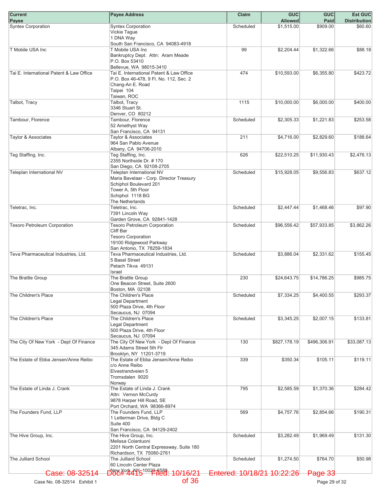| <b>Current</b>                           | <b>Payee Address</b>                                                  | Claim                               | <b>GUC</b>   | <b>GUC</b>   | <b>Est GUC</b>      |
|------------------------------------------|-----------------------------------------------------------------------|-------------------------------------|--------------|--------------|---------------------|
| Payee                                    |                                                                       |                                     | Allowed      | Paid         | <b>Distribution</b> |
| <b>Syntex Corporation</b>                | <b>Syntex Corporation</b><br>Vickie Tague                             | Scheduled                           | \$1,515.00   | \$909.00     | \$60.60             |
|                                          | 1 DNA Way                                                             |                                     |              |              |                     |
|                                          | South San Francisco, CA 94083-4918                                    |                                     |              |              |                     |
| T Mobile USA Inc                         | T Mobile USA Inc                                                      | 99                                  | \$2,204.44   | \$1,322.66   | \$88.18             |
|                                          | Bankruptcy Dept. Attn: Aram Meade                                     |                                     |              |              |                     |
|                                          | P.O. Box 53410                                                        |                                     |              |              |                     |
|                                          | Bellevue, WA 98015-3410                                               |                                     |              |              |                     |
| Tai E. International Patent & Law Office | Tai E. International Patent & Law Office                              | 474                                 | \$10,593.00  | \$6,355.80   | \$423.72            |
|                                          | P.O. Box 46-478, 9 Fl. No. 112, Sec. 2                                |                                     |              |              |                     |
|                                          | Chang-An E. Road<br>Taipei 104                                        |                                     |              |              |                     |
|                                          | Taiwan, ROC                                                           |                                     |              |              |                     |
| Talbot, Tracy                            | Talbot, Tracy                                                         | 1115                                | \$10,000.00  | \$6,000.00   | \$400.00            |
|                                          | 3346 Stuart St.                                                       |                                     |              |              |                     |
|                                          | Denver, CO 80212                                                      |                                     |              |              |                     |
| Tambour, Florence                        | Tambour, Florence                                                     | Scheduled                           | \$2,305.33   | \$1,221.83   | \$253.58            |
|                                          | 52 Amethyst Way                                                       |                                     |              |              |                     |
|                                          | San Francisco, CA 94131<br>Taylor & Associates                        | 211                                 |              | \$2,829.60   | \$188.64            |
| Taylor & Associates                      | 964 San Pablo Avenue                                                  |                                     | \$4,716.00   |              |                     |
|                                          | Albany, CA 94706-2010                                                 |                                     |              |              |                     |
| Teg Staffing, Inc.                       | Teg Staffing, Inc.                                                    | 626                                 | \$22,510.25  | \$11,930.43  | \$2,476.13          |
|                                          | 2355 Northside Dr. # 170                                              |                                     |              |              |                     |
|                                          | San Diego, CA 92108-2705                                              |                                     |              |              |                     |
| Teleplan International NV                | Teleplan International NV                                             | Scheduled                           | \$15,928.05  | \$9,556.83   | \$637.12            |
|                                          | Maria Bavelaar - Corp. Director Treasury                              |                                     |              |              |                     |
|                                          | Schiphol Boulevard 201                                                |                                     |              |              |                     |
|                                          | Tower A, 5th Floor<br>Schiphol 1118 BG                                |                                     |              |              |                     |
|                                          | The Netherlands                                                       |                                     |              |              |                     |
| Teletrac, Inc.                           | Teletrac, Inc.                                                        | Scheduled                           | \$2,447.44   | \$1,468.46   | \$97.90             |
|                                          | 7391 Lincoln Way                                                      |                                     |              |              |                     |
|                                          | Garden Grove, CA 92841-1428                                           |                                     |              |              |                     |
| <b>Tesoro Petroleum Corporation</b>      | <b>Tesoro Petroleum Corporation</b>                                   | Scheduled                           | \$96,556.42  | \$57,933.85  | \$3,862.26          |
|                                          | Cliff Bar                                                             |                                     |              |              |                     |
|                                          | <b>Tesoro Corporation</b><br>19100 Ridgewood Parkway                  |                                     |              |              |                     |
|                                          | San Antonio, TX 78259-1834                                            |                                     |              |              |                     |
| Teva Pharmaceutical Industries, Ltd.     | Teva Pharmaceutical Industries, Ltd.                                  | Scheduled                           | \$3,886.04   | \$2,331.62   | \$155.45            |
|                                          | 5 Basel Street                                                        |                                     |              |              |                     |
|                                          | Petach Tikva 49131                                                    |                                     |              |              |                     |
|                                          | Israel                                                                |                                     |              |              |                     |
| The Brattle Group                        | The Brattle Group                                                     | 230                                 | \$24,643.75  | \$14,786.25  | \$985.75            |
|                                          | One Beacon Street, Suite 2600                                         |                                     |              |              |                     |
| The Children's Place                     | Boston, MA 02108<br>The Children's Place                              | Scheduled                           | \$7,334.25   | \$4,400.55   | \$293.37            |
|                                          | Legal Department                                                      |                                     |              |              |                     |
|                                          | 500 Plaza Drive, 4th Floor                                            |                                     |              |              |                     |
|                                          | Secaucus, NJ 07094                                                    |                                     |              |              |                     |
| The Children's Place                     | The Children's Place                                                  | Scheduled                           | \$3,345.25   | \$2,007.15   | \$133.81            |
|                                          | <b>Legal Department</b>                                               |                                     |              |              |                     |
|                                          | 500 Plaza Drive, 4th Floor                                            |                                     |              |              |                     |
| The City Of New York - Dept Of Finance   | Secaucus, NJ 07094<br>The City Of New York - Dept Of Finance          | 130                                 |              |              | \$33,087.13         |
|                                          | 345 Adams Street 5th Flr                                              |                                     | \$827,178.19 | \$496,306.91 |                     |
|                                          | Brooklyn, NY 11201-3719                                               |                                     |              |              |                     |
| The Estate of Ebba Jensen/Anne Reibo     | The Estate of Ebba Jensen/Anne Reibo                                  | 339                                 | \$350.34     | \$105.11     | \$119.11            |
|                                          | c/o Anne Reibo                                                        |                                     |              |              |                     |
|                                          | Elvestrandveien 5                                                     |                                     |              |              |                     |
|                                          | Tromsdalen 9020                                                       |                                     |              |              |                     |
|                                          | Norway                                                                |                                     |              |              |                     |
| The Estate of Linda J. Crank             | The Estate of Linda J. Crank                                          | 795                                 | \$2,585.59   | \$1,370.36   | \$284.42            |
|                                          | Attn: Vernon McCurdy<br>9878 Harper Hill Road, SE                     |                                     |              |              |                     |
|                                          | Port Orchard, WA 98366-8974                                           |                                     |              |              |                     |
| The Founders Fund, LLP                   | The Founders Fund, LLP                                                | 569                                 | \$4,757.76   | \$2,854.66   | \$190.31            |
|                                          | 1 Letterman Drive, Bldg C                                             |                                     |              |              |                     |
|                                          | Suite 400                                                             |                                     |              |              |                     |
|                                          | San Francisco, CA 94129-2402                                          |                                     |              |              |                     |
| The Hive Group, Inc.                     | The Hive Group, Inc.                                                  | Scheduled                           | \$3,282.49   | \$1,969.49   | \$131.30            |
|                                          | Melissa Colantuoni                                                    |                                     |              |              |                     |
|                                          | 2201 North Central Expressway, Suite 180<br>Richardson, TX 75080-2761 |                                     |              |              |                     |
| The Julliard School                      | The Julliard School                                                   | Scheduled                           | \$1,274.50   | \$764.70     | \$50.98             |
|                                          | 60 Lincoln Center Plaza                                               |                                     |              |              |                     |
|                                          | <u>New York, NY—10023</u>                                             | 10/16/21 Entered: 10/18/21 10:22:26 |              |              |                     |
| Case: 08-32514                           |                                                                       |                                     |              | Page 33      |                     |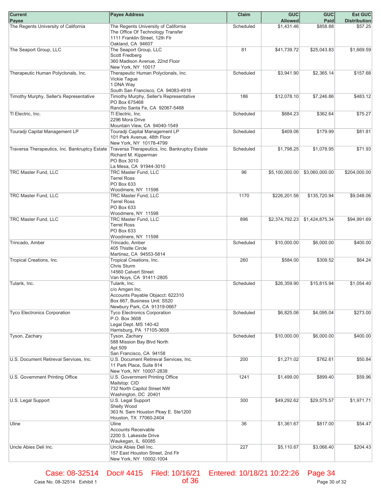| Current                                       | <b>Payee Address</b>                                                                                        | Claim     | <b>GUC</b>     | <b>GUC</b>     | <b>Est GUC</b>      |
|-----------------------------------------------|-------------------------------------------------------------------------------------------------------------|-----------|----------------|----------------|---------------------|
| Payee                                         |                                                                                                             |           | <b>Allowed</b> | Paid           | <b>Distribution</b> |
| The Regents University of California          | The Regents University of California<br>The Office Of Technology Transfer<br>1111 Franklin Street, 12th Flr | Scheduled | \$1,431.46     | \$858.88       | \$57.25             |
|                                               | Oakland, CA 94607                                                                                           |           |                |                |                     |
| The Seaport Group, LLC                        | The Seaport Group, LLC<br>Scott Fredberg<br>360 Madison Avenue, 22nd Floor                                  | 81        | \$41,739.72    | \$25,043.83    | \$1,669.59          |
|                                               | New York, NY 10017                                                                                          |           |                |                |                     |
| Therapeutic Human Polyclonals, Inc.           | Therapeutic Human Polyclonals, Inc.<br>Vickie Tague<br>1 DNA Way                                            | Scheduled | \$3,941.90     | \$2,365.14     | \$157.68            |
|                                               | South San Francisco, CA 94083-4918                                                                          |           |                |                |                     |
| Timothy Murphy, Seller's Representative       | Timothy Murphy, Seller's Representative<br>PO Box 675468                                                    | 186       | \$12,078.10    | \$7,246.86     | \$483.12            |
|                                               | Rancho Santa Fe, CA 92067-5468                                                                              |           |                |                |                     |
| TI Electric, Inc.                             | TI Electric, Inc.<br>2296 Mora Drive<br>Mountain View, CA 94040-1549                                        | Scheduled | \$684.23       | \$362.64       | \$75.27             |
| Touradji Capital Management LP                | Touradji Capital Management LP                                                                              | Scheduled | \$409.06       | \$179.99       | \$81.81             |
|                                               | 101 Park Avenue, 48th Floor<br>New York, NY 10178-4799                                                      |           |                |                |                     |
| Traversa Therapeutics, Inc. Bankruptcy Estate | Traversa Therapeutics, Inc. Bankruptcy Estate                                                               | Scheduled | \$1.798.25     | \$1,078.95     | \$71.93             |
|                                               | Richard M. Kipperman<br>PO Box 3010                                                                         |           |                |                |                     |
| TRC Master Fund, LLC                          | La Mesa, CA 91944-3010<br>TRC Master Fund, LLC                                                              | 96        |                | \$3,060,000.00 | \$204,000.00        |
|                                               | <b>Terrel Ross</b><br>PO Box 633                                                                            |           | \$5,100,000.00 |                |                     |
|                                               | Woodmere, NY 11598                                                                                          |           |                |                |                     |
| TRC Master Fund, LLC                          | <b>TRC Master Fund, LLC</b><br><b>Terrel Ross</b><br>PO Box 633                                             | 1170      | \$226,201.56   | \$135,720.94   | \$9,048.06          |
|                                               | Woodmere, NY 11598                                                                                          |           |                |                |                     |
| TRC Master Fund, LLC                          | TRC Master Fund, LLC<br><b>Terrel Ross</b><br>PO Box 633                                                    | 896       | \$2,374,792.23 | \$1,424,875.34 | \$94,991.69         |
|                                               | Woodmere, NY 11598                                                                                          |           |                |                |                     |
| Trincado, Amber                               | Trincado, Amber<br>405 Thistle Circle<br>Martinez, CA 94553-5814                                            | Scheduled | \$10,000.00    | \$6,000.00     | \$400.00            |
| Tropical Creations, Inc.                      | Tropical Creations, Inc.                                                                                    | 260       | \$584.00       | \$309.52       | \$64.24             |
|                                               | Chris Sturm<br>14560 Calvert Street                                                                         |           |                |                |                     |
|                                               | Van Nuys, CA 91411-2805                                                                                     | Scheduled |                |                |                     |
| Tularik, Inc.                                 | Tularik, Inc.<br>c/o Amgen Inc.<br>Accounts Payable Objacct: 622310<br>Box 667, Business Unit: S520         |           | \$26,359.90    | \$15,815.94    | \$1,054.40          |
| <b>Tyco Electronics Corporation</b>           | Newbury Park, CA 91319-0667<br><b>Tyco Electronics Corporation</b>                                          | Scheduled | \$6,825.06     | \$4,095.04     | \$273.00            |
|                                               | P.O. Box 3608<br>Legal Dept. MS 140-42                                                                      |           |                |                |                     |
| Tyson, Zachary                                | Harrisburg, PA 17105-3608<br>Tyson, Zachary                                                                 | Scheduled | \$10,000.00    | \$6,000.00     | \$400.00            |
|                                               | 588 Mission Bay Blvd North<br>Apt 509                                                                       |           |                |                |                     |
|                                               | San Francisco, CA 94158<br>U.S. Document Retireval Services, Inc.                                           |           |                |                |                     |
| U.S. Document Retireval Services, Inc.        | 11 Park Place, Suite 814<br>New York, NY 10007-2838                                                         | 200       | \$1,271.02     | \$762.61       | \$50.84             |
| U.S. Government Printing Office               | U.S. Government Printing Office                                                                             | 1241      | \$1,499.00     | \$899.40       | \$59.96             |
|                                               | Mailstop: CID<br>732 North Capitol Street NW                                                                |           |                |                |                     |
| U.S. Legal Support                            | Washington, DC 20401<br>U.S. Legal Support                                                                  | 300       | \$49,292.62    | \$29,575.57    | \$1,971.71          |
|                                               | Shelly Wood<br>363 N. Sam Houston Pkwy E. Ste1200                                                           |           |                |                |                     |
|                                               | Houston, TX 77060-2404                                                                                      |           |                |                |                     |
| Uline                                         | Uline<br><b>Accounts Receivable</b><br>2200 S. Lakeside Drive                                               | 36        | \$1,361.67     | \$817.00       | \$54.47             |
|                                               | Waukegan, IL 60085                                                                                          |           |                |                |                     |
| Uncle Abies Deli Inc.                         | Uncle Abies Deli Inc.<br>157 East Houston Street, 2nd Flr                                                   | 227       | \$5,110.67     | \$3,066.40     | \$204.43            |
|                                               | New York, NY 10002-1004                                                                                     |           |                |                |                     |

Case: 08-32514 Doc# 4415 Filed: 10/16/21 Entered: 10/18/21 10:22:26 Page 34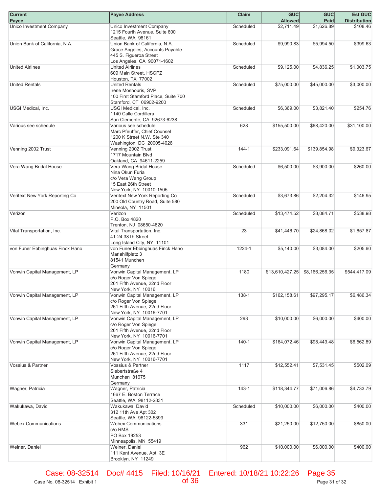| <b>Current</b>                  | <b>Payee Address</b>                                                                                              | Claim     | <b>GUC</b>      | <b>GUC</b>     | Est GUC             |
|---------------------------------|-------------------------------------------------------------------------------------------------------------------|-----------|-----------------|----------------|---------------------|
| Payee                           |                                                                                                                   |           | <b>Allowed</b>  | Paid           | <b>Distribution</b> |
| Unico Investment Company        | Unico Investment Company<br>1215 Fourth Avenue, Suite 600<br>Seattle, WA 98161                                    | Scheduled | \$2,711.49      | \$1,626.89     | \$108.46            |
| Union Bank of California, N.A.  | Union Bank of California, N.A.                                                                                    | Scheduled | \$9,990.83      | \$5,994.50     | \$399.63            |
|                                 | Grace Angeles, Accounts Payable<br>445 S. Figueroa Street                                                         |           |                 |                |                     |
|                                 | Los Angeles, CA 90071-1602                                                                                        |           |                 |                |                     |
| <b>United Airlines</b>          | <b>United Airlines</b><br>609 Main Street, HSCPZ<br>Houston, TX 77002                                             | Scheduled | \$9,125.00      | \$4,836.25     | \$1,003.75          |
| <b>United Rentals</b>           | <b>United Rentals</b>                                                                                             | Scheduled | \$75,000.00     | \$45,000.00    | \$3,000.00          |
|                                 | Irene Moshouris, SVP<br>100 First Stamford Place, Suite 700<br>Stamford, CT 06902-9200                            |           |                 |                |                     |
| USGI Medical, Inc.              | USGI Medical, Inc.<br>1140 Calle Cordillera                                                                       | Scheduled | \$6,369.00      | \$3,821.40     | \$254.76            |
|                                 | San Clemente, CA 92673-6238                                                                                       | 628       |                 |                |                     |
| Various see schedule            | Various see schedule<br>Marc Pfeuffer, Chief Counsel<br>1200 K Street N.W. Ste 340                                |           | \$155,500.00    | \$68,420.00    | \$31,100.00         |
|                                 | Washington, DC 20005-4026                                                                                         |           |                 |                |                     |
| Venning 2002 Trust              | Venning 2002 Trust<br>1717 Mountain Blvd<br>Oakland, CA 94611-2259                                                | $144 - 1$ | \$233,091.64    | \$139,854.98   | \$9,323.67          |
| Vera Wang Bridal House          | Vera Wang Bridal House                                                                                            | Scheduled | \$6,500.00      | \$3,900.00     | \$260.00            |
|                                 | Nina Okun Furia<br>c/o Vera Wang Group<br>15 East 26th Street                                                     |           |                 |                |                     |
| Veritext New York Reporting Co  | New York, NY 10010-1505<br>Veritext New York Reporting Co                                                         | Scheduled |                 | \$2,204.32     |                     |
|                                 | 200 Old Country Road, Suite 580<br>Mineola, NY 11501                                                              |           | \$3,673.86      |                | \$146.95            |
| Verizon                         | Verizon                                                                                                           | Scheduled | \$13,474.52     | \$8,084.71     | \$538.98            |
|                                 | P.O. Box 4820<br>Trenton, NJ 08650-4820                                                                           |           |                 |                |                     |
| Vital Transportation, Inc.      | Vital Transportation, Inc.                                                                                        | 23        | \$41,446.70     | \$24,868.02    | \$1,657.87          |
|                                 | 41-24 38Th Street                                                                                                 |           |                 |                |                     |
| von Funer Ebbinghuas Finck Hano | Long Island City, NY 11101<br>von Funer Ebbinghuas Finck Hano<br>Mariahilfplatz 3                                 | 1224-1    | \$5,140.00      | \$3,084.00     | \$205.60            |
|                                 | 81541 Munchen<br>Germany                                                                                          |           |                 |                |                     |
| Vonwin Capital Management, LP   | Vonwin Capital Management, LP<br>c/o Roger Von Spiegel<br>261 Fifth Avenue, 22nd Floor                            | 1180      | \$13,610,427.25 | \$8,166,256.35 | \$544,417.09        |
| Vonwin Capital Management, LP   | New York, NY 10016<br>Vonwin Capital Management, LP                                                               | 138-1     | \$162,158.61    | \$97,295.17    | \$6,486.34          |
|                                 | c/o Roger Von Spiegel<br>261 Fifth Avenue, 22nd Floor                                                             |           |                 |                |                     |
|                                 | New York, NY 10016-7701                                                                                           |           |                 |                |                     |
| Vonwin Capital Management, LP   | Vonwin Capital Management, LP<br>c/o Roger Von Spiegel<br>261 Fifth Avenue, 22nd Floor<br>New York, NY 10016-7701 | 293       | \$10,000.00     | \$6,000.00     | \$400.00            |
| Vonwin Capital Management, LP   | Vonwin Capital Management, LP                                                                                     | $140 - 1$ | \$164,072.46    | \$98,443.48    | \$6,562.89          |
|                                 | c/o Roger Von Spiegel<br>261 Fifth Avenue, 22nd Floor<br>New York, NY 10016-7701                                  |           |                 |                |                     |
| Vossius & Partner               | Vossius & Partner                                                                                                 | 1117      | \$12,552.41     | \$7,531.45     | \$502.09            |
|                                 | Siebertstraße 4<br>Munchen 81675<br>Germany                                                                       |           |                 |                |                     |
| Wagner, Patricia                | Wagner, Patricia<br>1667 E. Boston Terrace<br>Seattle, WA 98112-2831                                              | $143 - 1$ | \$118,344.77    | \$71,006.86    | \$4,733.79          |
| Wakukawa, David                 | Wakukawa, David<br>312 11th Ave Apt 302                                                                           | Scheduled | \$10,000.00     | \$6,000.00     | \$400.00            |
|                                 | Seattle, WA 98122-5399                                                                                            |           |                 |                |                     |
| <b>Webex Communications</b>     | <b>Webex Communications</b><br>c/o RMS                                                                            | 331       | \$21,250.00     | \$12,750.00    | \$850.00            |
|                                 | PO Box 19253<br>Minneapolis, MN 55419                                                                             |           |                 |                |                     |
| Weiner, Daniel                  | Weiner, Daniel                                                                                                    | 962       | \$10,000.00     | \$6,000.00     | \$400.00            |
|                                 | 111 Kent Avenue, Apt. 3E<br>Brooklyn, NY 11249                                                                    |           |                 |                |                     |

Case: 08-32514 Doc# 4415 Filed: 10/16/21 Entered: 10/18/21 10:22:26 Page 35